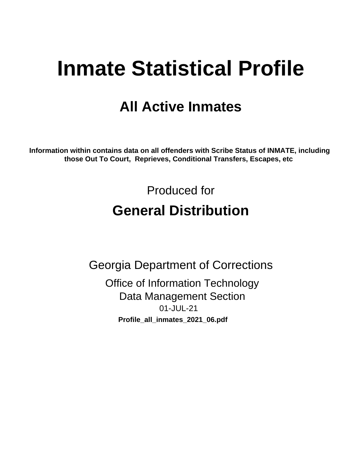# **Inmate Statistical Profile**

## **All Active Inmates**

Information within contains data on all offenders with Scribe Status of INMATE, including those Out To Court, Reprieves, Conditional Transfers, Escapes, etc

> Produced for **General Distribution**

**Georgia Department of Corrections Office of Information Technology Data Management Section** 01-JUL-21 Profile\_all\_inmates\_2021\_06.pdf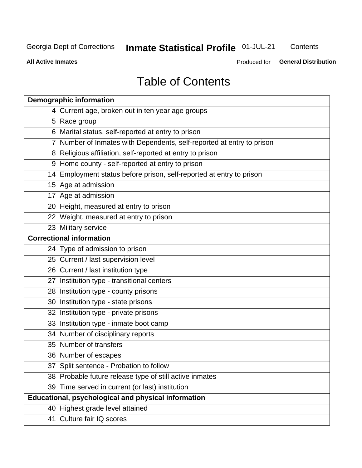## **Inmate Statistical Profile 01-JUL-21**

Contents

**All Active Inmates** 

**General Distribution** Produced for

## **Table of Contents**

| <b>Demographic information</b>                                        |
|-----------------------------------------------------------------------|
| 4 Current age, broken out in ten year age groups                      |
| 5 Race group                                                          |
| 6 Marital status, self-reported at entry to prison                    |
| 7 Number of Inmates with Dependents, self-reported at entry to prison |
| 8 Religious affiliation, self-reported at entry to prison             |
| 9 Home county - self-reported at entry to prison                      |
| 14 Employment status before prison, self-reported at entry to prison  |
| 15 Age at admission                                                   |
| 17 Age at admission                                                   |
| 20 Height, measured at entry to prison                                |
| 22 Weight, measured at entry to prison                                |
| 23 Military service                                                   |
| <b>Correctional information</b>                                       |
| 24 Type of admission to prison                                        |
| 25 Current / last supervision level                                   |
| 26 Current / last institution type                                    |
| 27 Institution type - transitional centers                            |
| 28 Institution type - county prisons                                  |
| 30 Institution type - state prisons                                   |
| 32 Institution type - private prisons                                 |
| 33 Institution type - inmate boot camp                                |
| 34 Number of disciplinary reports                                     |
| 35 Number of transfers                                                |
| 36 Number of escapes                                                  |
| 37 Split sentence - Probation to follow                               |
| 38 Probable future release type of still active inmates               |
| 39 Time served in current (or last) institution                       |
| Educational, psychological and physical information                   |
| 40 Highest grade level attained                                       |
| 41 Culture fair IQ scores                                             |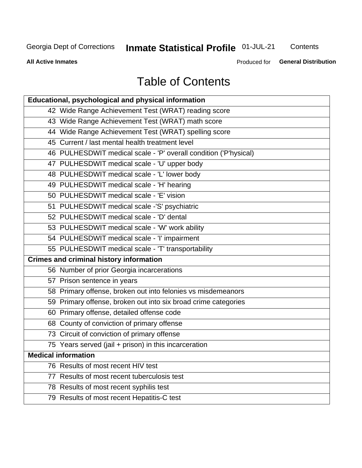## **Inmate Statistical Profile 01-JUL-21**

Contents

**All Active Inmates** 

Produced for **General Distribution** 

## **Table of Contents**

| Educational, psychological and physical information              |
|------------------------------------------------------------------|
| 42 Wide Range Achievement Test (WRAT) reading score              |
| 43 Wide Range Achievement Test (WRAT) math score                 |
| 44 Wide Range Achievement Test (WRAT) spelling score             |
| 45 Current / last mental health treatment level                  |
| 46 PULHESDWIT medical scale - 'P' overall condition ('P'hysical) |
| 47 PULHESDWIT medical scale - 'U' upper body                     |
| 48 PULHESDWIT medical scale - 'L' lower body                     |
| 49 PULHESDWIT medical scale - 'H' hearing                        |
| 50 PULHESDWIT medical scale - 'E' vision                         |
| 51 PULHESDWIT medical scale -'S' psychiatric                     |
| 52 PULHESDWIT medical scale - 'D' dental                         |
| 53 PULHESDWIT medical scale - 'W' work ability                   |
| 54 PULHESDWIT medical scale - 'I' impairment                     |
| 55 PULHESDWIT medical scale - 'T' transportability               |
| <b>Crimes and criminal history information</b>                   |
| 56 Number of prior Georgia incarcerations                        |
| 57 Prison sentence in years                                      |
| 58 Primary offense, broken out into felonies vs misdemeanors     |
| 59 Primary offense, broken out into six broad crime categories   |
| 60 Primary offense, detailed offense code                        |
| 68 County of conviction of primary offense                       |
| 73 Circuit of conviction of primary offense                      |
| 75 Years served (jail + prison) in this incarceration            |
| <b>Medical information</b>                                       |
| 76 Results of most recent HIV test                               |
| 77 Results of most recent tuberculosis test                      |
| 78 Results of most recent syphilis test                          |
| 79 Results of most recent Hepatitis-C test                       |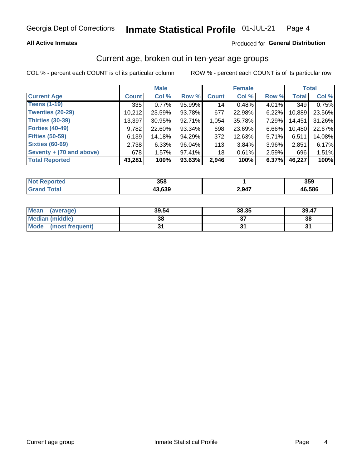### **All Active Inmates**

### Produced for General Distribution

### Current age, broken out in ten-year age groups

COL % - percent each COUNT is of its particular column

|                          | <b>Male</b>  |        |        | <b>Female</b> |          |          | <b>Total</b> |        |
|--------------------------|--------------|--------|--------|---------------|----------|----------|--------------|--------|
| <b>Current Age</b>       | <b>Count</b> | Col %  | Row %  | <b>Count</b>  | Col %    | Row %    | <b>Total</b> | Col %  |
| <b>Teens (1-19)</b>      | 335          | 0.77%  | 95.99% | 14            | 0.48%    | 4.01%    | 349          | 0.75%  |
| <b>Twenties (20-29)</b>  | 10,212       | 23.59% | 93.78% | 677           | 22.98%   | 6.22%    | 10,889       | 23.56% |
| Thirties (30-39)         | 13,397       | 30.95% | 92.71% | 1,054         | 35.78%   | 7.29%    | 14,451       | 31.26% |
| <b>Forties (40-49)</b>   | 9,782        | 22.60% | 93.34% | 698           | 23.69%   | 6.66%    | 10,480       | 22.67% |
| <b>Fifties (50-59)</b>   | 6,139        | 14.18% | 94.29% | 372           | 12.63%   | $5.71\%$ | 6,511        | 14.08% |
| <b>Sixties (60-69)</b>   | 2,738        | 6.33%  | 96.04% | 113           | $3.84\%$ | 3.96%    | 2,851        | 6.17%  |
| Seventy + (70 and above) | 678          | 1.57%  | 97.41% | 18            | 0.61%    | $2.59\%$ | 696          | 1.51%  |
| <b>Total Reported</b>    | 43,281       | 100%   | 93.63% | 2,946         | 100%     | 6.37%    | 46,227       | 100%   |

| NOI<br>тес<br>       | 358        |             | <b>OFO</b><br>ააა |
|----------------------|------------|-------------|-------------------|
| $F_{\mathbf{A}}$ tal | $\sim$ 000 | 2 947<br>-- | 46.586            |

| <b>Mean</b><br>(average)       | 39.54 | 38.35 | 39.47 |
|--------------------------------|-------|-------|-------|
| Median (middle)                | 38    |       | 38    |
| <b>Mode</b><br>(most frequent) |       |       |       |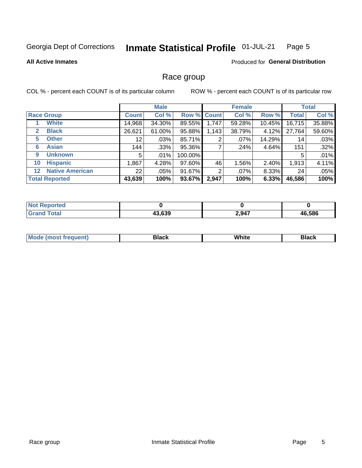#### Inmate Statistical Profile 01-JUL-21 Page 5

### **All Active Inmates**

### Produced for General Distribution

### Race group

COL % - percent each COUNT is of its particular column

|                                   |              | <b>Male</b> |             |       | <b>Female</b> |          |              | <b>Total</b> |  |
|-----------------------------------|--------------|-------------|-------------|-------|---------------|----------|--------------|--------------|--|
| <b>Race Group</b>                 | <b>Count</b> | Col %       | Row % Count |       | Col %         | Row %    | <b>Total</b> | Col %        |  |
| <b>White</b>                      | 14,968       | 34.30%      | 89.55%      | 1,747 | 59.28%        | 10.45%   | 16,715       | 35.88%       |  |
| <b>Black</b><br>2                 | 26,621       | 61.00%      | 95.88%      | 1,143 | 38.79%        | $4.12\%$ | 27,764       | 59.60%       |  |
| <b>Other</b><br>5.                | 12           | $.03\%$     | 85.71%      | 2     | $.07\%$       | 14.29%   | 14           | .03%         |  |
| <b>Asian</b><br>6                 | 144          | .33%        | 95.36%      |       | .24%          | 4.64%    | 151          | .32%         |  |
| <b>Unknown</b><br>9               | 5            | $.01\%$     | 100.00%     |       |               |          | 5            | .01%         |  |
| <b>Hispanic</b><br>10             | .867         | 4.28%       | 97.60%      | 46    | 1.56%         | 2.40%    | 1,913        | 4.11%        |  |
| <b>Native American</b><br>$12 \,$ | 22           | $.05\%$     | 91.67%      | 2     | $.07\%$       | 8.33%    | 24           | .05%         |  |
| <b>Total Reported</b>             | 43,639       | 100%        | 93.67%      | 2,947 | 100%          | 6.33%    | 46,586       | 100%         |  |

| orted<br>NO             |        |       |        |
|-------------------------|--------|-------|--------|
| <b>c</b> otal<br>'Grano | 43,639 | 2,947 | 46,586 |

| M | . |  |
|---|---|--|
|   |   |  |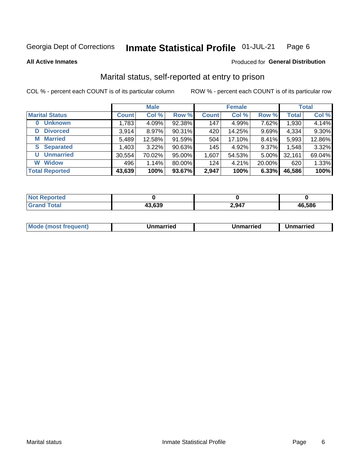#### Inmate Statistical Profile 01-JUL-21 Page 6

**All Active Inmates** 

### Produced for General Distribution

### Marital status, self-reported at entry to prison

COL % - percent each COUNT is of its particular column

|                            | <b>Male</b>  |          |        | <b>Female</b> |        |        | <b>Total</b> |        |
|----------------------------|--------------|----------|--------|---------------|--------|--------|--------------|--------|
| <b>Marital Status</b>      | <b>Count</b> | Col %    | Row %  | <b>Count</b>  | Col %  | Row %  | <b>Total</b> | Col %  |
| <b>Unknown</b><br>$\bf{0}$ | 1,783        | 4.09%    | 92.38% | 147           | 4.99%  | 7.62%  | 1,930        | 4.14%  |
| <b>Divorced</b><br>D       | 3,914        | $8.97\%$ | 90.31% | 420           | 14.25% | 9.69%  | 4,334        | 9.30%  |
| <b>Married</b><br>М        | 5,489        | 12.58%   | 91.59% | 504           | 17.10% | 8.41%  | 5,993        | 12.86% |
| <b>Separated</b><br>S.     | 1,403        | 3.22%    | 90.63% | 145           | 4.92%  | 9.37%  | 1,548        | 3.32%  |
| <b>Unmarried</b><br>U      | 30,554       | 70.02%   | 95.00% | 1,607         | 54.53% | 5.00%  | 32,161       | 69.04% |
| <b>Widow</b><br>W          | 496          | 1.14%    | 80.00% | 124           | 4.21%  | 20.00% | 620          | 1.33%  |
| <b>Total Reported</b>      | 43,639       | 100%     | 93.67% | 2,947         | 100%   | 6.33%  | 46,586       | 100%   |

| ాorted<br>NOT |        |       |        |
|---------------|--------|-------|--------|
| ſotal         | $\sim$ | 2,947 | 46.586 |

|--|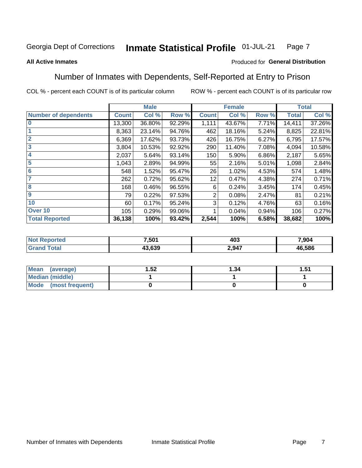#### **Inmate Statistical Profile 01-JUL-21** Page 7

### **All Active Inmates**

### Produced for General Distribution

### Number of Inmates with Dependents, Self-Reported at Entry to Prison

COL % - percent each COUNT is of its particular column

|                             |              | <b>Male</b> |        |                | <b>Female</b> |       |              | <b>Total</b> |
|-----------------------------|--------------|-------------|--------|----------------|---------------|-------|--------------|--------------|
| <b>Number of dependents</b> | <b>Count</b> | Col %       | Row %  | <b>Count</b>   | Col %         | Row % | <b>Total</b> | Col %        |
| $\bf{0}$                    | 13,300       | 36.80%      | 92.29% | 1,111          | 43.67%        | 7.71% | 14,411       | 37.26%       |
|                             | 8,363        | 23.14%      | 94.76% | 462            | 18.16%        | 5.24% | 8,825        | 22.81%       |
| $\overline{2}$              | 6,369        | 17.62%      | 93.73% | 426            | 16.75%        | 6.27% | 6,795        | 17.57%       |
| 3                           | 3,804        | 10.53%      | 92.92% | 290            | 11.40%        | 7.08% | 4,094        | 10.58%       |
| 4                           | 2,037        | 5.64%       | 93.14% | 150            | 5.90%         | 6.86% | 2,187        | 5.65%        |
| 5                           | 1,043        | 2.89%       | 94.99% | 55             | 2.16%         | 5.01% | 1,098        | 2.84%        |
| 6                           | 548          | 1.52%       | 95.47% | 26             | 1.02%         | 4.53% | 574          | 1.48%        |
| 7                           | 262          | 0.72%       | 95.62% | 12             | 0.47%         | 4.38% | 274          | 0.71%        |
| 8                           | 168          | 0.46%       | 96.55% | 6              | 0.24%         | 3.45% | 174          | 0.45%        |
| 9                           | 79           | 0.22%       | 97.53% | $\overline{2}$ | 0.08%         | 2.47% | 81           | 0.21%        |
| 10                          | 60           | 0.17%       | 95.24% | 3              | 0.12%         | 4.76% | 63           | 0.16%        |
| Over 10                     | 105          | 0.29%       | 99.06% |                | 0.04%         | 0.94% | 106          | 0.27%        |
| <b>Total Reported</b>       | 36,138       | 100%        | 93.42% | 2,544          | 100%          | 6.58% | 38,682       | 100%         |

| 7,501  | 403               | 7,904      |
|--------|-------------------|------------|
| 13 639 | $Q_{47}$<br>-.v-1 | .586<br>46 |

| Mean (average)          | .52 | 1.34 | -51<br>ا ت. ا |
|-------------------------|-----|------|---------------|
| Median (middle)         |     |      |               |
| Mode<br>(most frequent) |     |      |               |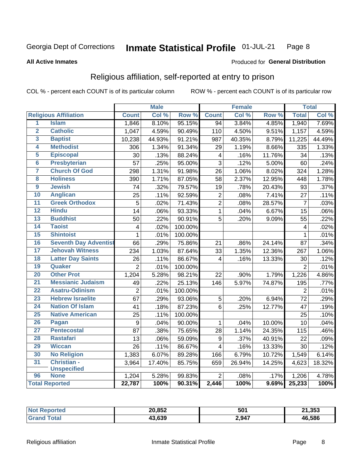#### Inmate Statistical Profile 01-JUL-21 Page 8

### **All Active Inmates**

### Produced for General Distribution

### Religious affiliation, self-reported at entry to prison

COL % - percent each COUNT is of its particular column

|                 |                              |                | <b>Male</b> |         |                         | <b>Female</b> |                  |                | <b>Total</b> |
|-----------------|------------------------------|----------------|-------------|---------|-------------------------|---------------|------------------|----------------|--------------|
|                 | <b>Religious Affiliation</b> | <b>Count</b>   | Col %       | Row %   | <b>Count</b>            | Col %         | Row <sup>%</sup> | <b>Total</b>   | Col %        |
| 1               | <b>Islam</b>                 | 1,846          | 8.10%       | 95.15%  | $\overline{94}$         | 3.84%         | 4.85%            | 1,940          | 7.69%        |
| $\overline{2}$  | <b>Catholic</b>              | 1,047          | 4.59%       | 90.49%  | 110                     | 4.50%         | 9.51%            | 1,157          | 4.59%        |
| 3               | <b>Baptist</b>               | 10,238         | 44.93%      | 91.21%  | 987                     | 40.35%        | 8.79%            | 11,225         | 44.49%       |
| 4               | <b>Methodist</b>             | 306            | 1.34%       | 91.34%  | 29                      | 1.19%         | 8.66%            | 335            | 1.33%        |
| 5               | <b>Episcopal</b>             | 30             | .13%        | 88.24%  | $\overline{\mathbf{4}}$ | .16%          | 11.76%           | 34             | .13%         |
| $\overline{6}$  | <b>Presbyterian</b>          | 57             | .25%        | 95.00%  | 3                       | .12%          | 5.00%            | 60             | .24%         |
| 7               | <b>Church Of God</b>         | 298            | 1.31%       | 91.98%  | 26                      | 1.06%         | 8.02%            | 324            | 1.28%        |
| 8               | <b>Holiness</b>              | 390            | 1.71%       | 87.05%  | 58                      | 2.37%         | 12.95%           | 448            | 1.78%        |
| $\overline{9}$  | <b>Jewish</b>                | 74             | .32%        | 79.57%  | 19                      | .78%          | 20.43%           | 93             | .37%         |
| 10              | <b>Anglican</b>              | 25             | .11%        | 92.59%  | $\mathbf 2$             | .08%          | 7.41%            | 27             | .11%         |
| 11              | <b>Greek Orthodox</b>        | $\overline{5}$ | .02%        | 71.43%  | $\overline{2}$          | .08%          | 28.57%           | $\overline{7}$ | .03%         |
| 12              | <b>Hindu</b>                 | 14             | .06%        | 93.33%  | $\mathbf{1}$            | .04%          | 6.67%            | 15             | .06%         |
| 13              | <b>Buddhist</b>              | 50             | .22%        | 90.91%  | 5                       | .20%          | 9.09%            | 55             | .22%         |
| $\overline{14}$ | <b>Taoist</b>                | $\overline{4}$ | .02%        | 100.00% |                         |               |                  | 4              | .02%         |
| 15              | <b>Shintoist</b>             | $\mathbf 1$    | .01%        | 100.00% |                         |               |                  | 1              | .01%         |
| 16              | <b>Seventh Day Adventist</b> | 66             | .29%        | 75.86%  | 21                      | .86%          | 24.14%           | 87             | .34%         |
| 17              | <b>Jehovah Witness</b>       | 234            | 1.03%       | 87.64%  | 33                      | 1.35%         | 12.36%           | 267            | 1.06%        |
| 18              | <b>Latter Day Saints</b>     | 26             | .11%        | 86.67%  | 4                       | .16%          | 13.33%           | 30             | .12%         |
| 19              | Quaker                       | $\overline{2}$ | .01%        | 100.00% |                         |               |                  | $\overline{2}$ | .01%         |
| 20              | <b>Other Prot</b>            | 1,204          | 5.28%       | 98.21%  | 22                      | .90%          | 1.79%            | 1,226          | 4.86%        |
| 21              | <b>Messianic Judaism</b>     | 49             | .22%        | 25.13%  | $\overline{1}$ 46       | 5.97%         | 74.87%           | 195            | .77%         |
| 22              | <b>Asatru-Odinism</b>        | $\overline{2}$ | .01%        | 100.00% |                         |               |                  | $\overline{2}$ | .01%         |
| 23              | <b>Hebrew Israelite</b>      | 67             | .29%        | 93.06%  | $\sqrt{5}$              | .20%          | 6.94%            | 72             | .29%         |
| 24              | <b>Nation Of Islam</b>       | 41             | .18%        | 87.23%  | 6                       | .25%          | 12.77%           | 47             | .19%         |
| 25              | <b>Native American</b>       | 25             | .11%        | 100.00% |                         |               |                  | 25             | .10%         |
| 26              | Pagan                        | 9              | .04%        | 90.00%  | $\mathbf{1}$            | .04%          | 10.00%           | 10             | .04%         |
| 27              | <b>Pentecostal</b>           | 87             | .38%        | 75.65%  | 28                      | 1.14%         | 24.35%           | 115            | .46%         |
| 28              | <b>Rastafari</b>             | 13             | .06%        | 59.09%  | 9                       | .37%          | 40.91%           | 22             | .09%         |
| 29              | <b>Wiccan</b>                | 26             | .11%        | 86.67%  | $\overline{\mathbf{4}}$ | .16%          | 13.33%           | 30             | .12%         |
| 30              | <b>No Religion</b>           | 1,383          | 6.07%       | 89.28%  | 166                     | 6.79%         | 10.72%           | 1,549          | 6.14%        |
| 31              | Christian -                  | 3,964          | 17.40%      | 85.75%  | 659                     | 26.94%        | 14.25%           | 4,623          | 18.32%       |
|                 | <b>Unspecified</b>           |                |             |         |                         |               |                  |                |              |
| 96              | <b>None</b>                  | 1,204          | 5.28%       | 99.83%  | $\overline{2}$          | .08%          | .17%             | 1,206          | 4.78%        |
|                 | <b>Total Reported</b>        | 22,787         | 100%        | 90.31%  | 2,446                   | 100%          | 9.69%            | 25,233         | 100%         |

| 20,852                        | י∩⊼<br>ּ טע | 21,353 |
|-------------------------------|-------------|--------|
| 3.639<br>$\ddot{\phantom{1}}$ | 2,947       | 46.586 |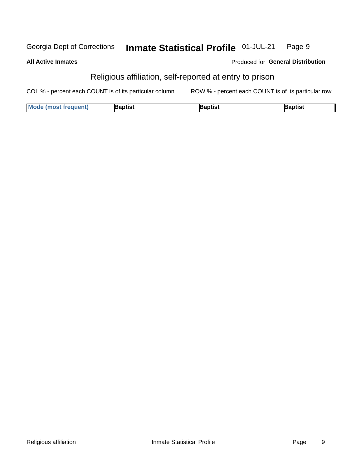#### Inmate Statistical Profile 01-JUL-21 Georgia Dept of Corrections Page 9

### **All Active Inmates**

### Produced for General Distribution

### Religious affiliation, self-reported at entry to prison

COL % - percent each COUNT is of its particular column ROW % - percent each COUNT is of its particular row

| <b>Mode (most frequent)</b> | Baptist | aptist | Baptist |
|-----------------------------|---------|--------|---------|
|-----------------------------|---------|--------|---------|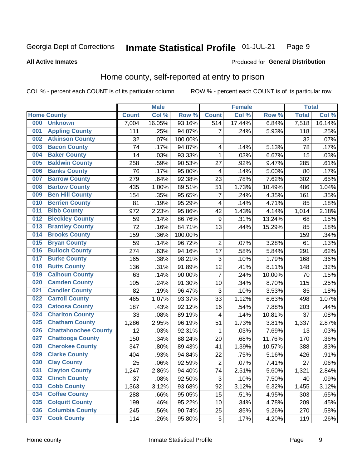#### Inmate Statistical Profile 01-JUL-21 Page 9

**All Active Inmates** 

### **Produced for General Distribution**

### Home county, self-reported at entry to prison

COL % - percent each COUNT is of its particular column

|     |                             |              | <b>Male</b> |                  |                  | <b>Female</b> |        | <b>Total</b> |        |
|-----|-----------------------------|--------------|-------------|------------------|------------------|---------------|--------|--------------|--------|
|     | <b>Home County</b>          | <b>Count</b> | Col %       | Row <sup>%</sup> | <b>Count</b>     | Col %         | Row %  | <b>Total</b> | Col %  |
| 000 | <b>Unknown</b>              | 7,004        | 16.05%      | 93.16%           | $\overline{514}$ | 17.44%        | 6.84%  | 7,518        | 16.14% |
| 001 | <b>Appling County</b>       | 111          | .25%        | 94.07%           | 7                | .24%          | 5.93%  | 118          | .25%   |
| 002 | <b>Atkinson County</b>      | 32           | .07%        | 100.00%          |                  |               |        | 32           | .07%   |
| 003 | <b>Bacon County</b>         | 74           | .17%        | 94.87%           | 4                | .14%          | 5.13%  | 78           | .17%   |
| 004 | <b>Baker County</b>         | 14           | .03%        | 93.33%           | $\mathbf{1}$     | .03%          | 6.67%  | 15           | .03%   |
| 005 | <b>Baldwin County</b>       | 258          | .59%        | 90.53%           | 27               | .92%          | 9.47%  | 285          | .61%   |
| 006 | <b>Banks County</b>         | 76           | .17%        | 95.00%           | 4                | .14%          | 5.00%  | 80           | .17%   |
| 007 | <b>Barrow County</b>        | 279          | .64%        | 92.38%           | 23               | .78%          | 7.62%  | 302          | .65%   |
| 008 | <b>Bartow County</b>        | 435          | 1.00%       | 89.51%           | 51               | 1.73%         | 10.49% | 486          | 1.04%  |
| 009 | <b>Ben Hill County</b>      | 154          | .35%        | 95.65%           | 7                | .24%          | 4.35%  | 161          | .35%   |
| 010 | <b>Berrien County</b>       | 81           | .19%        | 95.29%           | 4                | .14%          | 4.71%  | 85           | .18%   |
| 011 | <b>Bibb County</b>          | 972          | 2.23%       | 95.86%           | 42               | 1.43%         | 4.14%  | 1,014        | 2.18%  |
| 012 | <b>Bleckley County</b>      | 59           | .14%        | 86.76%           | $\boldsymbol{9}$ | .31%          | 13.24% | 68           | .15%   |
| 013 | <b>Brantley County</b>      | 72           | .16%        | 84.71%           | 13               | .44%          | 15.29% | 85           | .18%   |
| 014 | <b>Brooks County</b>        | 159          | .36%        | 100.00%          |                  |               |        | 159          | .34%   |
| 015 | <b>Bryan County</b>         | 59           | .14%        | 96.72%           | $\overline{2}$   | .07%          | 3.28%  | 61           | .13%   |
| 016 | <b>Bulloch County</b>       | 274          | .63%        | 94.16%           | 17               | .58%          | 5.84%  | 291          | .62%   |
| 017 | <b>Burke County</b>         | 165          | .38%        | 98.21%           | $\mathbf{3}$     | .10%          | 1.79%  | 168          | .36%   |
| 018 | <b>Butts County</b>         | 136          | .31%        | 91.89%           | 12               | .41%          | 8.11%  | 148          | .32%   |
| 019 | <b>Calhoun County</b>       | 63           | .14%        | 90.00%           | $\overline{7}$   | .24%          | 10.00% | 70           | .15%   |
| 020 | <b>Camden County</b>        | 105          | .24%        | 91.30%           | 10               | .34%          | 8.70%  | 115          | .25%   |
| 021 | <b>Candler County</b>       | 82           | .19%        | 96.47%           | 3                | .10%          | 3.53%  | 85           | .18%   |
| 022 | <b>Carroll County</b>       | 465          | 1.07%       | 93.37%           | 33               | 1.12%         | 6.63%  | 498          | 1.07%  |
| 023 | <b>Catoosa County</b>       | 187          | .43%        | 92.12%           | 16               | .54%          | 7.88%  | 203          | .44%   |
| 024 | <b>Charlton County</b>      | 33           | .08%        | 89.19%           | 4                | .14%          | 10.81% | 37           | .08%   |
| 025 | <b>Chatham County</b>       | 1,286        | 2.95%       | 96.19%           | 51               | 1.73%         | 3.81%  | 1,337        | 2.87%  |
| 026 | <b>Chattahoochee County</b> | 12           | .03%        | 92.31%           | 1                | .03%          | 7.69%  | 13           | .03%   |
| 027 | <b>Chattooga County</b>     | 150          | .34%        | 88.24%           | 20               | .68%          | 11.76% | 170          | .36%   |
| 028 | <b>Cherokee County</b>      | 347          | .80%        | 89.43%           | 41               | 1.39%         | 10.57% | 388          | .83%   |
| 029 | <b>Clarke County</b>        | 404          | .93%        | 94.84%           | 22               | .75%          | 5.16%  | 426          | .91%   |
| 030 | <b>Clay County</b>          | 25           | .06%        | 92.59%           | $\overline{2}$   | .07%          | 7.41%  | 27           | .06%   |
| 031 | <b>Clayton County</b>       | 1,247        | 2.86%       | 94.40%           | 74               | 2.51%         | 5.60%  | 1,321        | 2.84%  |
| 032 | <b>Clinch County</b>        | 37           | .08%        | 92.50%           | 3                | .10%          | 7.50%  | 40           | .09%   |
| 033 | <b>Cobb County</b>          | 1,363        | 3.12%       | 93.68%           | 92               | 3.12%         | 6.32%  | 1,455        | 3.12%  |
| 034 | <b>Coffee County</b>        | 288          | .66%        | 95.05%           | 15               | .51%          | 4.95%  | 303          | .65%   |
| 035 | <b>Colquitt County</b>      | 199          | .46%        | 95.22%           | 10               | .34%          | 4.78%  | 209          | .45%   |
| 036 | <b>Columbia County</b>      | 245          | .56%        | 90.74%           | 25               | .85%          | 9.26%  | 270          | .58%   |
| 037 | <b>Cook County</b>          | 114          | .26%        | 95.80%           | 5                | .17%          | 4.20%  | 119          | .26%   |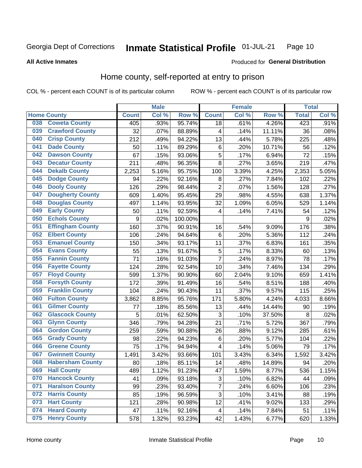#### Inmate Statistical Profile 01-JUL-21 Page 10

**All Active Inmates** 

### Produced for General Distribution

### Home county, self-reported at entry to prison

COL % - percent each COUNT is of its particular column

|     |                         |              | <b>Male</b> |         |                         | <b>Female</b> |        | <b>Total</b> |       |
|-----|-------------------------|--------------|-------------|---------|-------------------------|---------------|--------|--------------|-------|
|     | <b>Home County</b>      | <b>Count</b> | Col %       | Row %   | <b>Count</b>            | Col %         | Row %  | <b>Total</b> | Col % |
| 038 | <b>Coweta County</b>    | 405          | .93%        | 95.74%  | 18                      | .61%          | 4.26%  | 423          | .91%  |
| 039 | <b>Crawford County</b>  | 32           | .07%        | 88.89%  | 4                       | .14%          | 11.11% | 36           | .08%  |
| 040 | <b>Crisp County</b>     | 212          | .49%        | 94.22%  | 13                      | .44%          | 5.78%  | 225          | .48%  |
| 041 | <b>Dade County</b>      | 50           | .11%        | 89.29%  | $\,6$                   | .20%          | 10.71% | 56           | .12%  |
| 042 | <b>Dawson County</b>    | 67           | .15%        | 93.06%  | 5                       | .17%          | 6.94%  | 72           | .15%  |
| 043 | <b>Decatur County</b>   | 211          | .48%        | 96.35%  | 8                       | .27%          | 3.65%  | 219          | .47%  |
| 044 | <b>Dekalb County</b>    | 2,253        | 5.16%       | 95.75%  | 100                     | 3.39%         | 4.25%  | 2,353        | 5.05% |
| 045 | <b>Dodge County</b>     | 94           | .22%        | 92.16%  | 8                       | .27%          | 7.84%  | 102          | .22%  |
| 046 | <b>Dooly County</b>     | 126          | .29%        | 98.44%  | $\overline{2}$          | .07%          | 1.56%  | 128          | .27%  |
| 047 | <b>Dougherty County</b> | 609          | 1.40%       | 95.45%  | 29                      | .98%          | 4.55%  | 638          | 1.37% |
| 048 | <b>Douglas County</b>   | 497          | 1.14%       | 93.95%  | 32                      | 1.09%         | 6.05%  | 529          | 1.14% |
| 049 | <b>Early County</b>     | 50           | .11%        | 92.59%  | 4                       | .14%          | 7.41%  | 54           | .12%  |
| 050 | <b>Echols County</b>    | 9            | .02%        | 100.00% |                         |               |        | 9            | .02%  |
| 051 | <b>Effingham County</b> | 160          | .37%        | 90.91%  | 16                      | .54%          | 9.09%  | 176          | .38%  |
| 052 | <b>Elbert County</b>    | 106          | .24%        | 94.64%  | $\,6$                   | .20%          | 5.36%  | 112          | .24%  |
| 053 | <b>Emanuel County</b>   | 150          | .34%        | 93.17%  | 11                      | .37%          | 6.83%  | 161          | .35%  |
| 054 | <b>Evans County</b>     | 55           | .13%        | 91.67%  | 5                       | .17%          | 8.33%  | 60           | .13%  |
| 055 | <b>Fannin County</b>    | 71           | .16%        | 91.03%  | $\overline{7}$          | .24%          | 8.97%  | 78           | .17%  |
| 056 | <b>Fayette County</b>   | 124          | .28%        | 92.54%  | 10                      | .34%          | 7.46%  | 134          | .29%  |
| 057 | <b>Floyd County</b>     | 599          | 1.37%       | 90.90%  | 60                      | 2.04%         | 9.10%  | 659          | 1.41% |
| 058 | <b>Forsyth County</b>   | 172          | .39%        | 91.49%  | 16                      | .54%          | 8.51%  | 188          | .40%  |
| 059 | <b>Franklin County</b>  | 104          | .24%        | 90.43%  | 11                      | .37%          | 9.57%  | 115          | .25%  |
| 060 | <b>Fulton County</b>    | 3,862        | 8.85%       | 95.76%  | 171                     | 5.80%         | 4.24%  | 4,033        | 8.66% |
| 061 | <b>Gilmer County</b>    | 77           | .18%        | 85.56%  | 13                      | .44%          | 14.44% | 90           | .19%  |
| 062 | <b>Glascock County</b>  | 5            | .01%        | 62.50%  | 3                       | .10%          | 37.50% | 8            | .02%  |
| 063 | <b>Glynn County</b>     | 346          | .79%        | 94.28%  | 21                      | .71%          | 5.72%  | 367          | .79%  |
| 064 | <b>Gordon County</b>    | 259          | .59%        | 90.88%  | 26                      | .88%          | 9.12%  | 285          | .61%  |
| 065 | <b>Grady County</b>     | 98           | .22%        | 94.23%  | $\,6$                   | .20%          | 5.77%  | 104          | .22%  |
| 066 | <b>Greene County</b>    | 75           | .17%        | 94.94%  | $\overline{\mathbf{4}}$ | .14%          | 5.06%  | 79           | .17%  |
| 067 | <b>Gwinnett County</b>  | 1,491        | 3.42%       | 93.66%  | 101                     | 3.43%         | 6.34%  | 1,592        | 3.42% |
| 068 | <b>Habersham County</b> | 80           | .18%        | 85.11%  | 14                      | .48%          | 14.89% | 94           | .20%  |
| 069 | <b>Hall County</b>      | 489          | 1.12%       | 91.23%  | 47                      | 1.59%         | 8.77%  | 536          | 1.15% |
| 070 | <b>Hancock County</b>   | 41           | .09%        | 93.18%  | 3                       | .10%          | 6.82%  | 44           | .09%  |
| 071 | <b>Haralson County</b>  | 99           | .23%        | 93.40%  | 7                       | .24%          | 6.60%  | 106          | .23%  |
| 072 | <b>Harris County</b>    | 85           | .19%        | 96.59%  | $\overline{3}$          | .10%          | 3.41%  | 88           | .19%  |
| 073 | <b>Hart County</b>      | 121          | .28%        | 90.98%  | 12                      | .41%          | 9.02%  | 133          | .29%  |
| 074 | <b>Heard County</b>     | 47           | .11%        | 92.16%  | $\overline{\mathbf{4}}$ | .14%          | 7.84%  | 51           | .11%  |
| 075 | <b>Henry County</b>     | 578          | 1.32%       | 93.23%  | 42                      | 1.43%         | 6.77%  | 620          | 1.33% |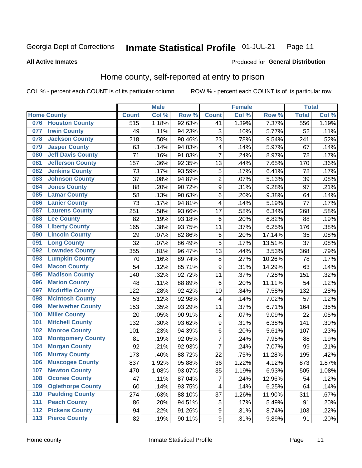#### Inmate Statistical Profile 01-JUL-21 Page 11

**All Active Inmates** 

### Produced for General Distribution

### Home county, self-reported at entry to prison

COL % - percent each COUNT is of its particular column

|                  |                          |              | <b>Male</b> |                  |                         | <b>Female</b> |        | <b>Total</b> |       |
|------------------|--------------------------|--------------|-------------|------------------|-------------------------|---------------|--------|--------------|-------|
|                  | <b>Home County</b>       | <b>Count</b> | Col %       | Row <sup>%</sup> | <b>Count</b>            | Col %         | Row %  | <b>Total</b> | Col % |
| 076              | <b>Houston County</b>    | 515          | 1.18%       | 92.63%           | 41                      | 1.39%         | 7.37%  | 556          | 1.19% |
| 077              | <b>Irwin County</b>      | 49           | .11%        | 94.23%           | 3                       | .10%          | 5.77%  | 52           | .11%  |
| 078              | <b>Jackson County</b>    | 218          | .50%        | 90.46%           | 23                      | .78%          | 9.54%  | 241          | .52%  |
| 079              | <b>Jasper County</b>     | 63           | .14%        | 94.03%           | $\overline{\mathbf{4}}$ | .14%          | 5.97%  | 67           | .14%  |
| 080              | <b>Jeff Davis County</b> | 71           | .16%        | 91.03%           | $\overline{7}$          | .24%          | 8.97%  | 78           | .17%  |
| 081              | <b>Jefferson County</b>  | 157          | .36%        | 92.35%           | 13                      | .44%          | 7.65%  | 170          | .36%  |
| 082              | <b>Jenkins County</b>    | 73           | .17%        | 93.59%           | 5                       | .17%          | 6.41%  | 78           | .17%  |
| 083              | <b>Johnson County</b>    | 37           | .08%        | 94.87%           | $\mathbf 2$             | .07%          | 5.13%  | 39           | .08%  |
| 084              | <b>Jones County</b>      | 88           | .20%        | 90.72%           | 9                       | .31%          | 9.28%  | 97           | .21%  |
| 085              | <b>Lamar County</b>      | 58           | .13%        | 90.63%           | 6                       | .20%          | 9.38%  | 64           | .14%  |
| 086              | <b>Lanier County</b>     | 73           | .17%        | 94.81%           | $\overline{\mathbf{4}}$ | .14%          | 5.19%  | 77           | .17%  |
| 087              | <b>Laurens County</b>    | 251          | .58%        | 93.66%           | 17                      | .58%          | 6.34%  | 268          | .58%  |
| 088              | <b>Lee County</b>        | 82           | .19%        | 93.18%           | 6                       | .20%          | 6.82%  | 88           | .19%  |
| 089              | <b>Liberty County</b>    | 165          | .38%        | 93.75%           | 11                      | .37%          | 6.25%  | 176          | .38%  |
| 090              | <b>Lincoln County</b>    | 29           | .07%        | 82.86%           | $\,6$                   | .20%          | 17.14% | 35           | .08%  |
| 091              | <b>Long County</b>       | 32           | .07%        | 86.49%           | 5                       | .17%          | 13.51% | 37           | .08%  |
| 092              | <b>Lowndes County</b>    | 355          | .81%        | 96.47%           | 13                      | .44%          | 3.53%  | 368          | .79%  |
| 093              | <b>Lumpkin County</b>    | 70           | .16%        | 89.74%           | $\bf 8$                 | .27%          | 10.26% | 78           | .17%  |
| 094              | <b>Macon County</b>      | 54           | .12%        | 85.71%           | $\boldsymbol{9}$        | .31%          | 14.29% | 63           | .14%  |
| 095              | <b>Madison County</b>    | 140          | .32%        | 92.72%           | 11                      | .37%          | 7.28%  | 151          | .32%  |
| 096              | <b>Marion County</b>     | 48           | .11%        | 88.89%           | 6                       | .20%          | 11.11% | 54           | .12%  |
| 097              | <b>Mcduffie County</b>   | 122          | .28%        | 92.42%           | 10                      | .34%          | 7.58%  | 132          | .28%  |
| 098              | <b>Mcintosh County</b>   | 53           | .12%        | 92.98%           | 4                       | .14%          | 7.02%  | 57           | .12%  |
| 099              | <b>Meriwether County</b> | 153          | .35%        | 93.29%           | 11                      | .37%          | 6.71%  | 164          | .35%  |
| 100              | <b>Miller County</b>     | 20           | .05%        | 90.91%           | $\mathbf 2$             | .07%          | 9.09%  | 22           | .05%  |
| 101              | <b>Mitchell County</b>   | 132          | .30%        | 93.62%           | $\boldsymbol{9}$        | .31%          | 6.38%  | 141          | .30%  |
| 102              | <b>Monroe County</b>     | 101          | .23%        | 94.39%           | 6                       | .20%          | 5.61%  | 107          | .23%  |
| 103              | <b>Montgomery County</b> | 81           | .19%        | 92.05%           | 7                       | .24%          | 7.95%  | 88           | .19%  |
| 104              | <b>Morgan County</b>     | 92           | .21%        | 92.93%           | 7                       | .24%          | 7.07%  | 99           | .21%  |
| 105              | <b>Murray County</b>     | 173          | .40%        | 88.72%           | 22                      | .75%          | 11.28% | 195          | .42%  |
| 106              | <b>Muscogee County</b>   | 837          | 1.92%       | 95.88%           | 36                      | 1.22%         | 4.12%  | 873          | 1.87% |
| 107              | <b>Newton County</b>     | 470          | 1.08%       | 93.07%           | 35                      | 1.19%         | 6.93%  | 505          | 1.08% |
| 108              | <b>Oconee County</b>     | 47           | .11%        | 87.04%           | 7                       | .24%          | 12.96% | 54           | .12%  |
| 109              | <b>Oglethorpe County</b> | 60           | .14%        | 93.75%           | 4                       | .14%          | 6.25%  | 64           | .14%  |
| 110              | <b>Paulding County</b>   | 274          | .63%        | 88.10%           | 37                      | 1.26%         | 11.90% | 311          | .67%  |
| 111              | <b>Peach County</b>      | 86           | .20%        | 94.51%           | 5                       | .17%          | 5.49%  | 91           | .20%  |
| $\overline{112}$ | <b>Pickens County</b>    | 94           | .22%        | 91.26%           | 9                       | .31%          | 8.74%  | 103          | .22%  |
| 113              | <b>Pierce County</b>     | 82           | .19%        | 90.11%           | $\overline{9}$          | .31%          | 9.89%  | 91           | .20%  |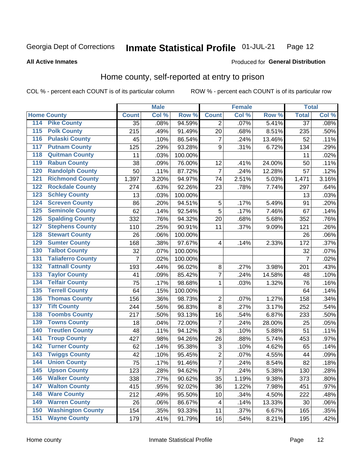#### Inmate Statistical Profile 01-JUL-21 Page 12

**All Active Inmates** 

### Produced for General Distribution

### Home county, self-reported at entry to prison

COL % - percent each COUNT is of its particular column

|                  |                          |                 | <b>Male</b> |         |                | <b>Female</b> |        | <b>Total</b>    |       |
|------------------|--------------------------|-----------------|-------------|---------|----------------|---------------|--------|-----------------|-------|
|                  | <b>Home County</b>       | <b>Count</b>    | Col %       | Row %   | <b>Count</b>   | Col %         | Row %  | <b>Total</b>    | Col % |
| 114              | <b>Pike County</b>       | $\overline{35}$ | .08%        | 94.59%  | 2              | .07%          | 5.41%  | $\overline{37}$ | .08%  |
| 115              | <b>Polk County</b>       | 215             | .49%        | 91.49%  | 20             | .68%          | 8.51%  | 235             | .50%  |
| 116              | <b>Pulaski County</b>    | 45              | .10%        | 86.54%  | $\overline{7}$ | .24%          | 13.46% | 52              | .11%  |
| 117              | <b>Putnam County</b>     | 125             | .29%        | 93.28%  | 9              | .31%          | 6.72%  | 134             | .29%  |
| 118              | <b>Quitman County</b>    | 11              | .03%        | 100.00% |                |               |        | 11              | .02%  |
| 119              | <b>Rabun County</b>      | 38              | .09%        | 76.00%  | 12             | .41%          | 24.00% | 50              | .11%  |
| 120              | <b>Randolph County</b>   | 50              | .11%        | 87.72%  | $\overline{7}$ | .24%          | 12.28% | 57              | .12%  |
| 121              | <b>Richmond County</b>   | 1,397           | 3.20%       | 94.97%  | 74             | 2.51%         | 5.03%  | 1,471           | 3.16% |
| 122              | <b>Rockdale County</b>   | 274             | .63%        | 92.26%  | 23             | .78%          | 7.74%  | 297             | .64%  |
| 123              | <b>Schley County</b>     | 13              | .03%        | 100.00% |                |               |        | 13              | .03%  |
| 124              | <b>Screven County</b>    | 86              | .20%        | 94.51%  | 5              | .17%          | 5.49%  | 91              | .20%  |
| 125              | <b>Seminole County</b>   | 62              | .14%        | 92.54%  | 5              | .17%          | 7.46%  | 67              | .14%  |
| 126              | <b>Spalding County</b>   | 332             | .76%        | 94.32%  | 20             | .68%          | 5.68%  | 352             | .76%  |
| 127              | <b>Stephens County</b>   | 110             | .25%        | 90.91%  | 11             | .37%          | 9.09%  | 121             | .26%  |
| 128              | <b>Stewart County</b>    | 26              | .06%        | 100.00% |                |               |        | 26              | .06%  |
| 129              | <b>Sumter County</b>     | 168             | .38%        | 97.67%  | 4              | .14%          | 2.33%  | 172             | .37%  |
| 130              | <b>Talbot County</b>     | 32              | .07%        | 100.00% |                |               |        | 32              | .07%  |
| 131              | <b>Taliaferro County</b> | $\overline{7}$  | .02%        | 100.00% |                |               |        | $\overline{7}$  | .02%  |
| 132              | <b>Tattnall County</b>   | 193             | .44%        | 96.02%  | $\bf 8$        | .27%          | 3.98%  | 201             | .43%  |
| 133              | <b>Taylor County</b>     | 41              | .09%        | 85.42%  | 7              | .24%          | 14.58% | 48              | .10%  |
| 134              | <b>Telfair County</b>    | 75              | .17%        | 98.68%  | 1              | .03%          | 1.32%  | 76              | .16%  |
| 135              | <b>Terrell County</b>    | 64              | .15%        | 100.00% |                |               |        | 64              | .14%  |
| 136              | <b>Thomas County</b>     | 156             | .36%        | 98.73%  | $\overline{c}$ | .07%          | 1.27%  | 158             | .34%  |
| 137              | <b>Tift County</b>       | 244             | .56%        | 96.83%  | 8              | .27%          | 3.17%  | 252             | .54%  |
| 138              | <b>Toombs County</b>     | 217             | .50%        | 93.13%  | 16             | .54%          | 6.87%  | 233             | .50%  |
| 139              | <b>Towns County</b>      | 18              | .04%        | 72.00%  | 7              | .24%          | 28.00% | 25              | .05%  |
| 140              | <b>Treutlen County</b>   | 48              | .11%        | 94.12%  | $\overline{3}$ | .10%          | 5.88%  | 51              | .11%  |
| 141              | <b>Troup County</b>      | 427             | .98%        | 94.26%  | 26             | .88%          | 5.74%  | 453             | .97%  |
| $\overline{142}$ | <b>Turner County</b>     | 62              | .14%        | 95.38%  | $\mathbf{3}$   | .10%          | 4.62%  | 65              | .14%  |
| 143              | <b>Twiggs County</b>     | 42              | .10%        | 95.45%  | $\overline{2}$ | .07%          | 4.55%  | 44              | .09%  |
| 144              | <b>Union County</b>      | 75              | .17%        | 91.46%  | $\overline{7}$ | .24%          | 8.54%  | 82              | .18%  |
| 145              | <b>Upson County</b>      | 123             | .28%        | 94.62%  | $\overline{7}$ | .24%          | 5.38%  | 130             | .28%  |
| 146              | <b>Walker County</b>     | 338             | .77%        | 90.62%  | 35             | 1.19%         | 9.38%  | 373             | .80%  |
| 147              | <b>Walton County</b>     | 415             | .95%        | 92.02%  | 36             | 1.22%         | 7.98%  | 451             | .97%  |
| 148              | <b>Ware County</b>       | 212             | .49%        | 95.50%  | 10             | .34%          | 4.50%  | 222             | .48%  |
| 149              | <b>Warren County</b>     | 26              | .06%        | 86.67%  | 4              | .14%          | 13.33% | 30              | .06%  |
| 150              | <b>Washington County</b> | 154             | .35%        | 93.33%  | 11             | .37%          | 6.67%  | 165             | .35%  |
| 151              | <b>Wayne County</b>      | 179             | .41%        | 91.79%  | 16             | .54%          | 8.21%  | 195             | .42%  |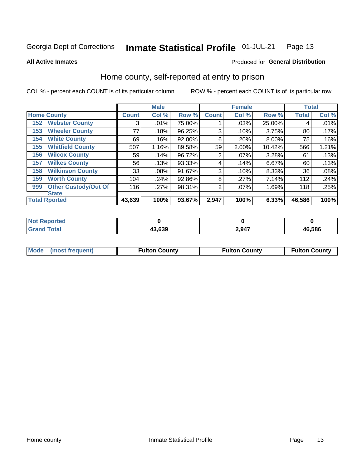#### Inmate Statistical Profile 01-JUL-21 Page 13

### **All Active Inmates**

### Produced for General Distribution

### Home county, self-reported at entry to prison

COL % - percent each COUNT is of its particular column

|     |                             |              | <b>Male</b> |        |                | <b>Female</b> |        | <b>Total</b> |       |
|-----|-----------------------------|--------------|-------------|--------|----------------|---------------|--------|--------------|-------|
|     | <b>Home County</b>          | <b>Count</b> | Col %       | Row %  | <b>Count</b>   | Col %         | Row %  | <b>Total</b> | Col % |
| 152 | <b>Webster County</b>       | 3            | .01%        | 75.00% |                | .03%          | 25.00% | 4            | .01%  |
| 153 | <b>Wheeler County</b>       | 77           | .18%        | 96.25% | 3              | .10%          | 3.75%  | 80           | .17%  |
| 154 | <b>White County</b>         | 69           | .16%        | 92.00% | 6              | .20%          | 8.00%  | 75           | .16%  |
| 155 | <b>Whitfield County</b>     | 507          | 1.16%       | 89.58% | 59             | 2.00%         | 10.42% | 566          | 1.21% |
| 156 | <b>Wilcox County</b>        | 59           | .14%        | 96.72% | 2              | $.07\%$       | 3.28%  | 61           | .13%  |
| 157 | <b>Wilkes County</b>        | 56           | .13%        | 93.33% | 4              | .14%          | 6.67%  | 60           | .13%  |
| 158 | <b>Wilkinson County</b>     | 33           | .08%        | 91.67% | 3              | .10%          | 8.33%  | 36           | .08%  |
| 159 | <b>Worth County</b>         | 104          | .24%        | 92.86% | 8              | .27%          | 7.14%  | 112          | .24%  |
| 999 | <b>Other Custody/Out Of</b> | 116          | .27%        | 98.31% | $\overline{2}$ | .07%          | 1.69%  | 118          | .25%  |
|     | <b>State</b>                |              |             |        |                |               |        |              |       |
|     | <b>Total Rported</b>        | 43,639       | 100%        | 93.67% | 2,947          | 100%          | 6.33%  | 46,586       | 100%  |

| <b>Not</b><br>orted<br>eno |        |       |        |
|----------------------------|--------|-------|--------|
| Total<br><b>Grand</b>      | 43,639 | 2,947 | 46,586 |

|  | Mode (most frequent) | <b>Fulton County</b> | <b>Fulton County</b> | <b>Fulton County</b> |
|--|----------------------|----------------------|----------------------|----------------------|
|--|----------------------|----------------------|----------------------|----------------------|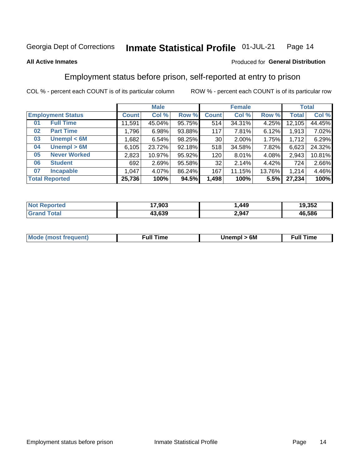#### Inmate Statistical Profile 01-JUL-21 Page 14

### **All Active Inmates**

### Produced for General Distribution

### Employment status before prison, self-reported at entry to prison

COL % - percent each COUNT is of its particular column

|                           | <b>Male</b> |        |        |              | <b>Female</b> | <b>Total</b> |        |        |
|---------------------------|-------------|--------|--------|--------------|---------------|--------------|--------|--------|
| <b>Employment Status</b>  | Count l     | Col %  | Row %  | <b>Count</b> | Col %         | Row %        | Total  | Col %  |
| <b>Full Time</b><br>01    | 11,591      | 45.04% | 95.75% | 514          | 34.31%        | $4.25\%$     | 12,105 | 44.45% |
| <b>Part Time</b><br>02    | 1,796       | 6.98%  | 93.88% | 117          | 7.81%         | 6.12%        | 1,913  | 7.02%  |
| Unempl $<$ 6M<br>03       | 1,682       | 6.54%  | 98.25% | 30           | 2.00%         | 1.75%        | 1,712  | 6.29%  |
| Unempl > 6M<br>04         | 6,105       | 23.72% | 92.18% | 518          | 34.58%        | 7.82%        | 6,623  | 24.32% |
| <b>Never Worked</b><br>05 | 2,823       | 10.97% | 95.92% | 120          | $8.01\%$      | 4.08%        | 2,943  | 10.81% |
| <b>Student</b><br>06      | 692         | 2.69%  | 95.58% | 32           | 2.14%         | 4.42%        | 724    | 2.66%  |
| <b>Incapable</b><br>07    | 1,047       | 4.07%  | 86.24% | 167          | 11.15%        | 13.76%       | 1,214  | 4.46%  |
| <b>Total Reported</b>     | 25,736      | 100%   | 94.5%  | 1,498        | 100%          | 5.5%         | 27,234 | 100%   |

| <b>orted</b><br>NO | 17,903 | ,449  | 19,352 |
|--------------------|--------|-------|--------|
| $T$ atal $T$       | 43.639 | 2,947 | 46,586 |

| <b>Mode (most frequent)</b> | 6M<br>Inc | ∙ull<br>īme<br>the contract of the contract of the contract of the contract of the contract of the contract of the contract of |
|-----------------------------|-----------|--------------------------------------------------------------------------------------------------------------------------------|
|                             |           |                                                                                                                                |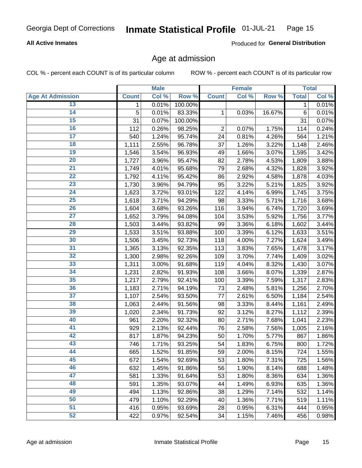### **All Active Inmates**

Produced for General Distribution

### Age at admission

COL % - percent each COUNT is of its particular column

|                         |              | <b>Male</b> |         |                | <b>Female</b> |        |              | <b>Total</b> |
|-------------------------|--------------|-------------|---------|----------------|---------------|--------|--------------|--------------|
| <b>Age At Admission</b> | <b>Count</b> | Col %       | Row %   | <b>Count</b>   | Col %         | Row %  | <b>Total</b> | Col %        |
| 13                      | 1.           | 0.01%       | 100.00% |                |               |        | 1            | 0.01%        |
| $\overline{14}$         | 5            | 0.01%       | 83.33%  | 1              | 0.03%         | 16.67% | 6            | 0.01%        |
| 15                      | 31           | 0.07%       | 100.00% |                |               |        | 31           | 0.07%        |
| 16                      | 112          | 0.26%       | 98.25%  | $\overline{2}$ | 0.07%         | 1.75%  | 114          | 0.24%        |
| $\overline{17}$         | 540          | 1.24%       | 95.74%  | 24             | 0.81%         | 4.26%  | 564          | 1.21%        |
| 18                      | 1,111        | 2.55%       | 96.78%  | 37             | 1.26%         | 3.22%  | 1,148        | 2.46%        |
| 19                      | 1,546        | 3.54%       | 96.93%  | 49             | 1.66%         | 3.07%  | 1,595        | 3.42%        |
| 20                      | 1,727        | 3.96%       | 95.47%  | 82             | 2.78%         | 4.53%  | 1,809        | 3.88%        |
| $\overline{21}$         | 1,749        | 4.01%       | 95.68%  | 79             | 2.68%         | 4.32%  | 1,828        | 3.92%        |
| $\overline{22}$         | 1,792        | 4.11%       | 95.42%  | 86             | 2.92%         | 4.58%  | 1,878        | 4.03%        |
| 23                      | 1,730        | 3.96%       | 94.79%  | 95             | 3.22%         | 5.21%  | 1,825        | 3.92%        |
| $\overline{24}$         | 1,623        | 3.72%       | 93.01%  | 122            | 4.14%         | 6.99%  | 1,745        | 3.75%        |
| $\overline{25}$         | 1,618        | 3.71%       | 94.29%  | 98             | 3.33%         | 5.71%  | 1,716        | 3.68%        |
| $\overline{26}$         | 1,604        | 3.68%       | 93.26%  | 116            | 3.94%         | 6.74%  | 1,720        | 3.69%        |
| $\overline{27}$         | 1,652        | 3.79%       | 94.08%  | 104            | 3.53%         | 5.92%  | 1,756        | 3.77%        |
| 28                      | 1,503        | 3.44%       | 93.82%  | 99             | 3.36%         | 6.18%  | 1,602        | 3.44%        |
| 29                      | 1,533        | 3.51%       | 93.88%  | 100            | 3.39%         | 6.12%  | 1,633        | 3.51%        |
| 30                      | 1,506        | 3.45%       | 92.73%  | 118            | 4.00%         | 7.27%  | 1,624        | 3.49%        |
| 31                      | 1,365        | 3.13%       | 92.35%  | 113            | 3.83%         | 7.65%  | 1,478        | 3.17%        |
| 32                      | 1,300        | 2.98%       | 92.26%  | 109            | 3.70%         | 7.74%  | 1,409        | 3.02%        |
| 33                      | 1,311        | 3.00%       | 91.68%  | 119            | 4.04%         | 8.32%  | 1,430        | 3.07%        |
| 34                      | 1,231        | 2.82%       | 91.93%  | 108            | 3.66%         | 8.07%  | 1,339        | 2.87%        |
| 35                      | 1,217        | 2.79%       | 92.41%  | 100            | 3.39%         | 7.59%  | 1,317        | 2.83%        |
| 36                      | 1,183        | 2.71%       | 94.19%  | 73             | 2.48%         | 5.81%  | 1,256        | 2.70%        |
| $\overline{37}$         | 1,107        | 2.54%       | 93.50%  | 77             | 2.61%         | 6.50%  | 1,184        | 2.54%        |
| 38                      | 1,063        | 2.44%       | 91.56%  | 98             | 3.33%         | 8.44%  | 1,161        | 2.49%        |
| 39                      | 1,020        | 2.34%       | 91.73%  | 92             | 3.12%         | 8.27%  | 1,112        | 2.39%        |
| 40                      | 961          | 2.20%       | 92.32%  | 80             | 2.71%         | 7.68%  | 1,041        | 2.23%        |
| 41                      | 929          | 2.13%       | 92.44%  | 76             | 2.58%         | 7.56%  | 1,005        | 2.16%        |
| 42                      | 817          | 1.87%       | 94.23%  | 50             | 1.70%         | 5.77%  | 867          | 1.86%        |
| 43                      | 746          | 1.71%       | 93.25%  | 54             | 1.83%         | 6.75%  | 800          | 1.72%        |
| 44                      | 665          | 1.52%       | 91.85%  | 59             | 2.00%         | 8.15%  | 724          | 1.55%        |
| 45                      | 672          | 1.54%       | 92.69%  | 53             | 1.80%         | 7.31%  | 725          | 1.56%        |
| 46                      | 632          | 1.45%       | 91.86%  | 56             | 1.90%         | 8.14%  | 688          | 1.48%        |
| 47                      | 581          | 1.33%       | 91.64%  | 53             | 1.80%         | 8.36%  | 634          | 1.36%        |
| 48                      | 591          | 1.35%       | 93.07%  | 44             | 1.49%         | 6.93%  | 635          | 1.36%        |
| 49                      | 494          | 1.13%       | 92.86%  | 38             | 1.29%         | 7.14%  | 532          | 1.14%        |
| 50                      | 479          | 1.10%       | 92.29%  | 40             | 1.36%         | 7.71%  | 519          | 1.11%        |
| 51                      | 416          | 0.95%       | 93.69%  | 28             | 0.95%         | 6.31%  | 444          | 0.95%        |
| 52                      | 422          | 0.97%       | 92.54%  | 34             | 1.15%         | 7.46%  | 456          | 0.98%        |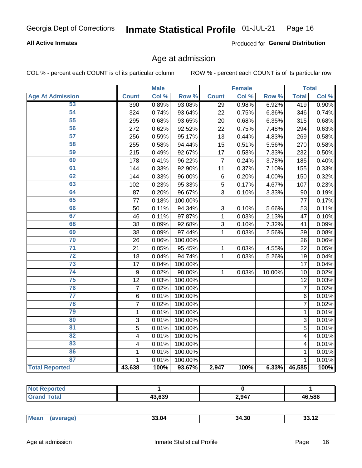### **All Active Inmates**

Produced for General Distribution

### Age at admission

COL % - percent each COUNT is of its particular column

|                         |                         | <b>Male</b> |         |                 | <b>Female</b> |        |                | <b>Total</b> |
|-------------------------|-------------------------|-------------|---------|-----------------|---------------|--------|----------------|--------------|
| <b>Age At Admission</b> | <b>Count</b>            | Col %       | Row %   | <b>Count</b>    | Col %         | Row %  | <b>Total</b>   | Col %        |
| 53                      | 390                     | 0.89%       | 93.08%  | 29              | 0.98%         | 6.92%  | 419            | 0.90%        |
| 54                      | 324                     | 0.74%       | 93.64%  | 22              | 0.75%         | 6.36%  | 346            | 0.74%        |
| 55                      | 295                     | 0.68%       | 93.65%  | 20              | 0.68%         | 6.35%  | 315            | 0.68%        |
| 56                      | 272                     | 0.62%       | 92.52%  | 22              | 0.75%         | 7.48%  | 294            | 0.63%        |
| 57                      | 256                     | 0.59%       | 95.17%  | 13              | 0.44%         | 4.83%  | 269            | 0.58%        |
| 58                      | 255                     | 0.58%       | 94.44%  | 15              | 0.51%         | 5.56%  | 270            | 0.58%        |
| 59                      | 215                     | 0.49%       | 92.67%  | $\overline{17}$ | 0.58%         | 7.33%  | 232            | 0.50%        |
| 60                      | 178                     | 0.41%       | 96.22%  | 7               | 0.24%         | 3.78%  | 185            | 0.40%        |
| 61                      | 144                     | 0.33%       | 92.90%  | 11              | 0.37%         | 7.10%  | 155            | 0.33%        |
| 62                      | 144                     | 0.33%       | 96.00%  | 6               | 0.20%         | 4.00%  | 150            | 0.32%        |
| 63                      | 102                     | 0.23%       | 95.33%  | 5               | 0.17%         | 4.67%  | 107            | 0.23%        |
| 64                      | 87                      | 0.20%       | 96.67%  | $\overline{3}$  | 0.10%         | 3.33%  | 90             | 0.19%        |
| 65                      | 77                      | 0.18%       | 100.00% |                 |               |        | 77             | 0.17%        |
| 66                      | 50                      | 0.11%       | 94.34%  | 3               | 0.10%         | 5.66%  | 53             | 0.11%        |
| 67                      | 46                      | 0.11%       | 97.87%  | 1               | 0.03%         | 2.13%  | 47             | 0.10%        |
| 68                      | 38                      | 0.09%       | 92.68%  | 3               | 0.10%         | 7.32%  | 41             | 0.09%        |
| 69                      | 38                      | 0.09%       | 97.44%  | $\mathbf{1}$    | 0.03%         | 2.56%  | 39             | 0.08%        |
| 70                      | 26                      | 0.06%       | 100.00% |                 |               |        | 26             | 0.06%        |
| $\overline{71}$         | 21                      | 0.05%       | 95.45%  | $\mathbf{1}$    | 0.03%         | 4.55%  | 22             | 0.05%        |
| $\overline{72}$         | 18                      | 0.04%       | 94.74%  | $\mathbf{1}$    | 0.03%         | 5.26%  | 19             | 0.04%        |
| $\overline{73}$         | 17                      | 0.04%       | 100.00% |                 |               |        | 17             | 0.04%        |
| $\overline{74}$         | $\boldsymbol{9}$        | 0.02%       | 90.00%  | $\mathbf{1}$    | 0.03%         | 10.00% | 10             | 0.02%        |
| 75                      | 12                      | 0.03%       | 100.00% |                 |               |        | 12             | 0.03%        |
| 76                      | $\overline{7}$          | 0.02%       | 100.00% |                 |               |        | $\overline{7}$ | 0.02%        |
| $\overline{77}$         | $\overline{6}$          | 0.01%       | 100.00% |                 |               |        | $\overline{6}$ | 0.01%        |
| 78                      | $\overline{7}$          | 0.02%       | 100.00% |                 |               |        | $\overline{7}$ | 0.02%        |
| 79                      | $\mathbf 1$             | 0.01%       | 100.00% |                 |               |        | $\mathbf{1}$   | 0.01%        |
| 80                      | 3                       | 0.01%       | 100.00% |                 |               |        | $\overline{3}$ | 0.01%        |
| 81                      | 5                       | 0.01%       | 100.00% |                 |               |        | 5              | 0.01%        |
| $\overline{82}$         | 4                       | 0.01%       | 100.00% |                 |               |        | 4              | 0.01%        |
| 83                      | $\overline{\mathbf{4}}$ | 0.01%       | 100.00% |                 |               |        | 4              | 0.01%        |
| 86                      | $\mathbf{1}$            | 0.01%       | 100.00% |                 |               |        | 1              | 0.01%        |
| 87                      | $\mathbf{1}$            | 0.01%       | 100.00% |                 |               |        | $\mathbf{1}$   | 0.01%        |
| <b>Total Reported</b>   | 43,638                  | 100%        | 93.67%  | 2,947           | 100%          | 6.33%  | 46,585         | 100%         |

| 10.000<br>ວວວ | 2,947 | 46.586 |
|---------------|-------|--------|

| 33.U4<br>чин.<br>.<br>___ | <b>Mear</b> |  | 34.30 |  |
|---------------------------|-------------|--|-------|--|
|---------------------------|-------------|--|-------|--|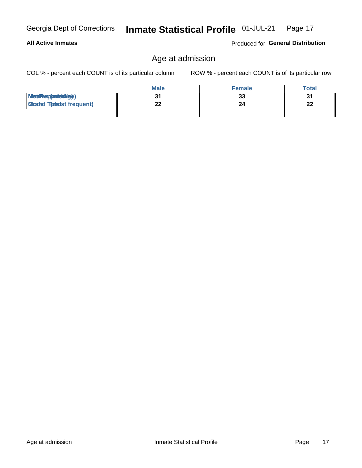**All Active Inmates** 

#### Inmate Statistical Profile 01-JUL-21 Page 17

## Age at admission

COL % - percent each COUNT is of its particular column

ROW % - percent each COUNT is of its particular row

Produced for General Distribution

|                                  | <b>Male</b> | <b>Female</b> | <b>Total</b> |
|----------------------------------|-------------|---------------|--------------|
| MetiRep(anicidig)                |             | 33            | 31           |
| <b>Micaded Tomadst frequent)</b> | ົາ          | 24            | 22           |
|                                  |             |               |              |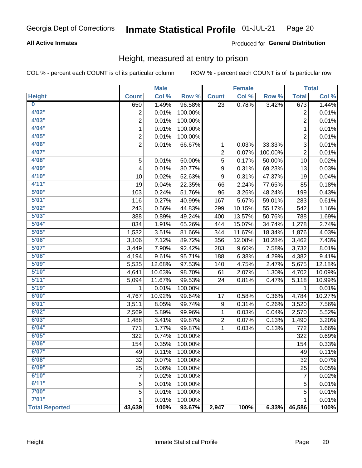### **All Active Inmates**

### Produced for General Distribution

### Height, measured at entry to prison

COL % - percent each COUNT is of its particular column

|                         |                | <b>Male</b> |         |                | <b>Female</b> |         |                | <b>Total</b> |
|-------------------------|----------------|-------------|---------|----------------|---------------|---------|----------------|--------------|
| <b>Height</b>           | <b>Count</b>   | Col %       | Row %   | <b>Count</b>   | Col %         | Row %   | <b>Total</b>   | Col %        |
| $\overline{\mathbf{0}}$ | 650            | 1.49%       | 96.58%  | 23             | 0.78%         | 3.42%   | 673            | 1.44%        |
| 4'02"                   | $\overline{2}$ | 0.01%       | 100.00% |                |               |         | 2              | 0.01%        |
| 4'03''                  | $\overline{2}$ | 0.01%       | 100.00% |                |               |         | $\overline{2}$ | 0.01%        |
| 4'04"                   | $\mathbf{1}$   | 0.01%       | 100.00% |                |               |         | $\mathbf{1}$   | 0.01%        |
| 4'05"                   | $\overline{2}$ | 0.01%       | 100.00% |                |               |         | $\overline{c}$ | 0.01%        |
| 4'06"                   | $\overline{2}$ | 0.01%       | 66.67%  | 1              | 0.03%         | 33.33%  | $\overline{3}$ | 0.01%        |
| 4'07"                   |                |             |         | $\overline{c}$ | 0.07%         | 100.00% | $\overline{2}$ | 0.01%        |
| 4'08"                   | 5              | 0.01%       | 50.00%  | 5              | 0.17%         | 50.00%  | 10             | 0.02%        |
| 4'09"                   | 4              | 0.01%       | 30.77%  | 9              | 0.31%         | 69.23%  | 13             | 0.03%        |
| 4'10"                   | 10             | 0.02%       | 52.63%  | 9              | 0.31%         | 47.37%  | 19             | 0.04%        |
| 4'11''                  | 19             | 0.04%       | 22.35%  | 66             | 2.24%         | 77.65%  | 85             | 0.18%        |
| 5'00''                  | 103            | 0.24%       | 51.76%  | 96             | 3.26%         | 48.24%  | 199            | 0.43%        |
| 5'01"                   | 116            | 0.27%       | 40.99%  | 167            | 5.67%         | 59.01%  | 283            | 0.61%        |
| 5'02"                   | 243            | 0.56%       | 44.83%  | 299            | 10.15%        | 55.17%  | 542            | 1.16%        |
| 5'03''                  | 388            | 0.89%       | 49.24%  | 400            | 13.57%        | 50.76%  | 788            | 1.69%        |
| 5'04"                   | 834            | 1.91%       | 65.26%  | 444            | 15.07%        | 34.74%  | 1,278          | 2.74%        |
| 5'05"                   | 1,532          | 3.51%       | 81.66%  | 344            | 11.67%        | 18.34%  | 1,876          | 4.03%        |
| 5'06''                  | 3,106          | 7.12%       | 89.72%  | 356            | 12.08%        | 10.28%  | 3,462          | 7.43%        |
| 5'07"                   | 3,449          | 7.90%       | 92.42%  | 283            | 9.60%         | 7.58%   | 3,732          | 8.01%        |
| 5'08''                  | 4,194          | 9.61%       | 95.71%  | 188            | 6.38%         | 4.29%   | 4,382          | 9.41%        |
| 5'09''                  | 5,535          | 12.68%      | 97.53%  | 140            | 4.75%         | 2.47%   | 5,675          | 12.18%       |
| 5'10''                  | 4,641          | 10.63%      | 98.70%  | 61             | 2.07%         | 1.30%   | 4,702          | 10.09%       |
| 5'11''                  | 5,094          | 11.67%      | 99.53%  | 24             | 0.81%         | 0.47%   | 5,118          | 10.99%       |
| 5'19''                  | 1              | 0.01%       | 100.00% |                |               |         | 1              | 0.01%        |
| 6'00''                  | 4,767          | 10.92%      | 99.64%  | 17             | 0.58%         | 0.36%   | 4,784          | 10.27%       |
| 6'01''                  | 3,511          | 8.05%       | 99.74%  | 9              | 0.31%         | 0.26%   | 3,520          | 7.56%        |
| 6'02"                   | 2,569          | 5.89%       | 99.96%  | 1              | 0.03%         | 0.04%   | 2,570          | 5.52%        |
| 6'03''                  | 1,488          | 3.41%       | 99.87%  | $\overline{2}$ | 0.07%         | 0.13%   | 1,490          | 3.20%        |
| 6'04"                   | 771            | 1.77%       | 99.87%  | 1              | 0.03%         | 0.13%   | 772            | 1.66%        |
| 6'05"                   | 322            | 0.74%       | 100.00% |                |               |         | 322            | 0.69%        |
| 6'06"                   | 154            | 0.35%       | 100.00% |                |               |         | 154            | 0.33%        |
| 6'07"                   | 49             | 0.11%       | 100.00% |                |               |         | 49             | 0.11%        |
| 6'08''                  | 32             | 0.07%       | 100.00% |                |               |         | 32             | 0.07%        |
| 6'09''                  | 25             | 0.06%       | 100.00% |                |               |         | 25             | 0.05%        |
| 6'10''                  | $\overline{7}$ | 0.02%       | 100.00% |                |               |         | 7              | 0.02%        |
| 6'11''                  | 5              | 0.01%       | 100.00% |                |               |         | 5              | 0.01%        |
| 7'00''                  | 5              | 0.01%       | 100.00% |                |               |         | 5              | 0.01%        |
| 7'01''                  | 1              | 0.01%       | 100.00% |                |               |         | 1              | 0.01%        |
| <b>Total Reported</b>   | 43,639         | 100%        | 93.67%  | 2,947          | 100%          | 6.33%   | 46,586         | 100%         |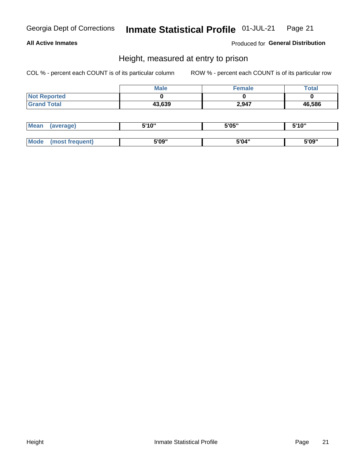### **All Active Inmates**

Produced for General Distribution

### Height, measured at entry to prison

COL % - percent each COUNT is of its particular column

|                     | <b>Male</b> | Female | $\tau$ otal |
|---------------------|-------------|--------|-------------|
| <b>Not Reported</b> |             |        |             |
| <b>Grand Total</b>  | 43,639      | 2,947  | 46,586      |

| <b>Mean</b> | erage) | 5'10" | 5'05" | <b>CIA AIL</b><br>. . |
|-------------|--------|-------|-------|-----------------------|
|             |        |       |       |                       |
| <b>Mode</b> |        | 5'09" | 5'04" | 5'09"                 |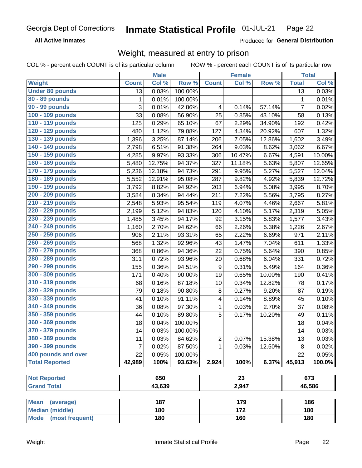**All Active Inmates** 

Produced for General Distribution

## Weight, measured at entry to prison

COL % - percent each COUNT is of its particular column

|                          |                | <b>Male</b> |         |                  | <b>Female</b>    |        |                 | <b>Total</b> |
|--------------------------|----------------|-------------|---------|------------------|------------------|--------|-----------------|--------------|
| Weight                   | <b>Count</b>   | Col %       | Row %   | <b>Count</b>     | Col %            | Row %  | <b>Total</b>    | Col %        |
| <b>Under 80 pounds</b>   | 13             | 0.03%       | 100.00% |                  |                  |        | $\overline{13}$ | 0.03%        |
| 80 - 89 pounds           | 1              | 0.01%       | 100.00% |                  |                  |        | 1               | 0.01%        |
| 90 - 99 pounds           | 3              | 0.01%       | 42.86%  | 4                | 0.14%            | 57.14% | $\overline{7}$  | 0.02%        |
| 100 - 109 pounds         | 33             | 0.08%       | 56.90%  | 25               | 0.85%            | 43.10% | 58              | 0.13%        |
| 110 - 119 pounds         | 125            | 0.29%       | 65.10%  | 67               | 2.29%            | 34.90% | 192             | 0.42%        |
| 120 - 129 pounds         | 480            | 1.12%       | 79.08%  | 127              | 4.34%            | 20.92% | 607             | 1.32%        |
| 130 - 139 pounds         | 1,396          | 3.25%       | 87.14%  | 206              | 7.05%            | 12.86% | 1,602           | 3.49%        |
| 140 - 149 pounds         | 2,798          | 6.51%       | 91.38%  | 264              | 9.03%            | 8.62%  | 3,062           | 6.67%        |
| 150 - 159 pounds         | 4,285          | 9.97%       | 93.33%  | 306              | 10.47%           | 6.67%  | 4,591           | 10.00%       |
| 160 - 169 pounds         | 5,480          | 12.75%      | 94.37%  | 327              | 11.18%           | 5.63%  | 5,807           | 12.65%       |
| 170 - 179 pounds         | 5,236          | 12.18%      | 94.73%  | 291              | 9.95%            | 5.27%  | 5,527           | 12.04%       |
| 180 - 189 pounds         | 5,552          | 12.91%      | 95.08%  | 287              | 9.82%            | 4.92%  | 5,839           | 12.72%       |
| 190 - 199 pounds         | 3,792          | 8.82%       | 94.92%  | 203              | 6.94%            | 5.08%  | 3,995           | 8.70%        |
| 200 - 209 pounds         | 3,584          | 8.34%       | 94.44%  | 211              | 7.22%            | 5.56%  | 3,795           | 8.27%        |
| 210 - 219 pounds         | 2,548          | 5.93%       | 95.54%  | 119              | 4.07%            | 4.46%  | 2,667           | 5.81%        |
| 220 - 229 pounds         | 2,199          | 5.12%       | 94.83%  | 120              | 4.10%            | 5.17%  | 2,319           | 5.05%        |
| 230 - 239 pounds         | 1,485          | 3.45%       | 94.17%  | 92               | 3.15%            | 5.83%  | 1,577           | 3.43%        |
| 240 - 249 pounds         | 1,160          | 2.70%       | 94.62%  | 66               | 2.26%            | 5.38%  | 1,226           | 2.67%        |
| 250 - 259 pounds         | 906            | 2.11%       | 93.31%  | 65               | 2.22%            | 6.69%  | 971             | 2.11%        |
| 260 - 269 pounds         | 568            | 1.32%       | 92.96%  | 43               | 1.47%            | 7.04%  | 611             | 1.33%        |
| 270 - 279 pounds         | 368            | 0.86%       | 94.36%  | 22               | 0.75%            | 5.64%  | 390             | 0.85%        |
| 280 - 289 pounds         | 311            | 0.72%       | 93.96%  | 20               | 0.68%            | 6.04%  | 331             | 0.72%        |
| 290 - 299 pounds         | 155            | 0.36%       | 94.51%  | $\boldsymbol{9}$ | 0.31%            | 5.49%  | 164             | 0.36%        |
| 300 - 309 pounds         | 171            | 0.40%       | 90.00%  | 19               | 0.65%            | 10.00% | 190             | 0.41%        |
| 310 - 319 pounds         | 68             | 0.16%       | 87.18%  | 10               | 0.34%            | 12.82% | 78              | 0.17%        |
| 320 - 329 pounds         | 79             | 0.18%       | 90.80%  | 8                | 0.27%            | 9.20%  | 87              | 0.19%        |
| 330 - 339 pounds         | 41             | 0.10%       | 91.11%  | 4                | 0.14%            | 8.89%  | 45              | 0.10%        |
| 340 - 349 pounds         | 36             | 0.08%       | 97.30%  | 1                | 0.03%            | 2.70%  | 37              | 0.08%        |
| 350 - 359 pounds         | 44             | 0.10%       | 89.80%  | 5                | 0.17%            | 10.20% | 49              | 0.11%        |
| 360 - 369 pounds         | 18             | 0.04%       | 100.00% |                  |                  |        | 18              | 0.04%        |
| 370 - 379 pounds         | 14             | 0.03%       | 100.00% |                  |                  |        | 14              | 0.03%        |
| 380 - 389 pounds         | 11             | 0.03%       | 84.62%  | $\overline{2}$   | 0.07%            | 15.38% | 13              | 0.03%        |
| 390 - 399 pounds         | $\overline{7}$ | 0.02%       | 87.50%  | 1                | 0.03%            | 12.50% | 8               | 0.02%        |
| 400 pounds and over      | 22             | 0.05%       | 100.00% |                  |                  |        | 22              | 0.05%        |
| <b>Total Reported</b>    | 42,989         | 100%        | 93.63%  | 2,924            | 100%             | 6.37%  | 45,913          | 100.0%       |
|                          |                |             |         |                  |                  |        |                 |              |
| <b>Not Reported</b>      |                | 650         |         |                  | $\overline{23}$  |        |                 | 673          |
| <b>Grand Total</b>       |                | 43,639      |         | 2,947            |                  |        | 46,586          |              |
|                          |                |             |         |                  |                  |        |                 |              |
| <b>Mean</b><br>(average) |                | 187         |         |                  | 179              |        |                 | 186          |
| <b>Median (middle)</b>   |                | 180         |         |                  | $\overline{172}$ |        |                 | 180          |
| Mode (most frequent)     |                | 180         |         |                  | 160              |        |                 | 180          |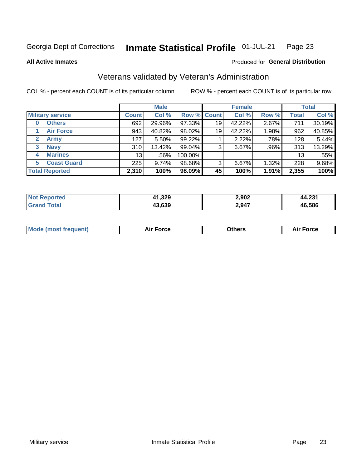#### Inmate Statistical Profile 01-JUL-21 Page 23

**All Active Inmates** 

### Produced for General Distribution

### Veterans validated by Veteran's Administration

COL % - percent each COUNT is of its particular column

|                          |                 | <b>Male</b> |                    |    | <b>Female</b> |       |              | <b>Total</b> |
|--------------------------|-----------------|-------------|--------------------|----|---------------|-------|--------------|--------------|
| <b>Military service</b>  | <b>Count</b>    | Col %       | <b>Row % Count</b> |    | Col %         | Row % | <b>Total</b> | Col %        |
| <b>Others</b><br>0       | 692             | 29.96%      | 97.33%             | 19 | 42.22%        | 2.67% | 711          | 30.19%       |
| <b>Air Force</b>         | 943             | 40.82%      | 98.02%             | 19 | 42.22%        | 1.98% | 962          | 40.85%       |
| <b>Army</b><br>2         | 127             | 5.50%       | 99.22%             |    | 2.22%         | .78%  | 128          | 5.44%        |
| <b>Navy</b><br>3         | 310             | 13.42%      | $99.04\%$          | 3  | 6.67%         | .96%  | 313          | 13.29%       |
| <b>Marines</b><br>4      | 13 <sub>1</sub> | .56%        | 100.00%            |    |               |       | 13           | .55%         |
| <b>Coast Guard</b><br>5. | 225             | 9.74%       | 98.68%             | 3  | 6.67%         | 1.32% | 228          | 9.68%        |
| <b>Total Reported</b>    | 2,310           | 100%        | 98.09%             | 45 | 100%          | 1.91% | 2,355        | 100%         |

| orted<br><b>NOT</b> | 41,329 | 2,902 | ີ<br>л0<br>. 3. P |
|---------------------|--------|-------|-------------------|
|                     | 43,639 | 2,947 | 46.586            |

|  |  | <b>Mode (most frequent)</b> | <b>Force</b><br>Aır | วthers | orce |
|--|--|-----------------------------|---------------------|--------|------|
|--|--|-----------------------------|---------------------|--------|------|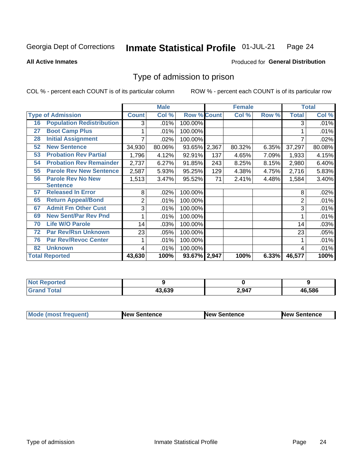#### Inmate Statistical Profile 01-JUL-21 Page 24

**All Active Inmates** 

### Produced for General Distribution

### Type of admission to prison

COL % - percent each COUNT is of its particular column

|    |                                  |                | <b>Male</b> |                    |       | <b>Female</b> |       |                | <b>Total</b> |
|----|----------------------------------|----------------|-------------|--------------------|-------|---------------|-------|----------------|--------------|
|    | <b>Type of Admission</b>         | <b>Count</b>   | Col %       | <b>Row % Count</b> |       | Col %         | Row % | <b>Total</b>   | Col %        |
| 16 | <b>Population Redistribution</b> | 3              | .01%        | 100.00%            |       |               |       | 3              | .01%         |
| 27 | <b>Boot Camp Plus</b>            |                | .01%        | 100.00%            |       |               |       |                | .01%         |
| 28 | <b>Initial Assignment</b>        |                | .02%        | 100.00%            |       |               |       |                | .02%         |
| 52 | <b>New Sentence</b>              | 34,930         | 80.06%      | 93.65%             | 2,367 | 80.32%        | 6.35% | 37,297         | 80.08%       |
| 53 | <b>Probation Rev Partial</b>     | 1,796          | 4.12%       | 92.91%             | 137   | 4.65%         | 7.09% | 1,933          | 4.15%        |
| 54 | <b>Probation Rev Remainder</b>   | 2,737          | 6.27%       | 91.85%             | 243   | 8.25%         | 8.15% | 2,980          | 6.40%        |
| 55 | <b>Parole Rev New Sentence</b>   | 2,587          | 5.93%       | 95.25%             | 129   | 4.38%         | 4.75% | 2,716          | 5.83%        |
| 56 | <b>Parole Rev No New</b>         | 1,513          | 3.47%       | 95.52%             | 71    | 2.41%         | 4.48% | 1,584          | 3.40%        |
|    | <b>Sentence</b>                  |                |             |                    |       |               |       |                |              |
| 57 | <b>Released In Error</b>         | 8              | .02%        | 100.00%            |       |               |       | 8              | .02%         |
| 65 | <b>Return Appeal/Bond</b>        | $\overline{2}$ | .01%        | 100.00%            |       |               |       | $\overline{2}$ | .01%         |
| 67 | <b>Admit Fm Other Cust</b>       | 3              | .01%        | 100.00%            |       |               |       | 3              | .01%         |
| 69 | <b>New Sent/Par Rev Pnd</b>      |                | .01%        | 100.00%            |       |               |       |                | .01%         |
| 70 | <b>Life W/O Parole</b>           | 14             | .03%        | 100.00%            |       |               |       | 14             | .03%         |
| 72 | <b>Par Rev/Rsn Unknown</b>       | 23             | .05%        | 100.00%            |       |               |       | 23             | .05%         |
| 76 | <b>Par Rev/Revoc Center</b>      |                | .01%        | 100.00%            |       |               |       |                | .01%         |
| 82 | <b>Unknown</b>                   | 4              | .01%        | 100.00%            |       |               |       | 4              | .01%         |
|    | <b>Total Reported</b>            | 43,630         | 100%        | 93.67% 2,947       |       | 100%          | 6.33% | 46,577         | 100%         |

| Not Repo<br><b>rortea</b> |                  |       |        |
|---------------------------|------------------|-------|--------|
| <b>Total</b><br>Gra       | 13 630<br>IJ.0JY | 2,947 | 46,586 |

| <b>Mode (most frequent)</b> | <b>New Sentence</b> | <b>New Sentence</b> | <b>New Sentence</b> |
|-----------------------------|---------------------|---------------------|---------------------|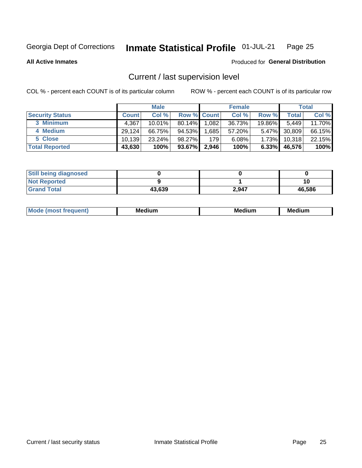#### Inmate Statistical Profile 01-JUL-21 Page 25

**All Active Inmates** 

### Produced for General Distribution

### Current / last supervision level

COL % - percent each COUNT is of its particular column

|                        |              | <b>Male</b> |                    |       | <b>Female</b> |          |        | <b>Total</b> |
|------------------------|--------------|-------------|--------------------|-------|---------------|----------|--------|--------------|
| <b>Security Status</b> | <b>Count</b> | Col %       | <b>Row % Count</b> |       | Col %         | Row %    | Total  | Col %        |
| 3 Minimum              | 4,367        | $10.01\%$   | $80.14\%$          | 1,082 | 36.73%        | 19.86%I  | 5,449  | 11.70%       |
| 4 Medium               | 29.124       | 66.75%      | 94.53%             | .685  | 57.20%        | $5.47\%$ | 30,809 | 66.15%       |
| 5 Close                | 10.139       | 23.24%      | 98.27%             | 179   | 6.08%         | 1.73%    | 10,318 | 22.15%       |
| <b>Total Reported</b>  | 43,630       | 100%        | 93.67%             | 2,946 | 100%          | $6.33\%$ | 46,576 | 100%         |

| <b>Still being diagnosed</b> |        |       |        |
|------------------------------|--------|-------|--------|
| <b>Not Reported</b>          |        |       |        |
| <b>Grand Total</b>           | 43,639 | 2,947 | 46,586 |

| M | M | . . |
|---|---|-----|
|   |   |     |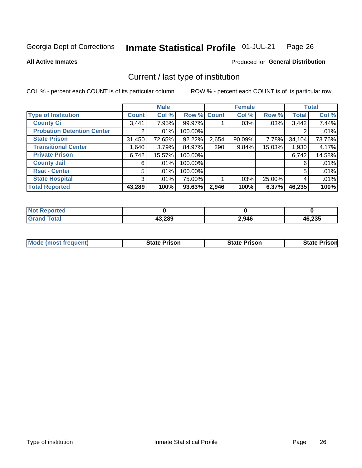#### Inmate Statistical Profile 01-JUL-21 Page 26

**All Active Inmates** 

### Produced for General Distribution

### Current / last type of institution

COL % - percent each COUNT is of its particular column

|                                   |                | <b>Male</b> |             |       | <b>Female</b> |        |              | <b>Total</b> |
|-----------------------------------|----------------|-------------|-------------|-------|---------------|--------|--------------|--------------|
| <b>Type of Institution</b>        | <b>Count</b>   | Col %       | Row % Count |       | Col %         | Row %  | <b>Total</b> | Col %        |
| <b>County Ci</b>                  | 3,441          | 7.95%       | 99.97%      |       | .03%          | .03%   | 3,442        | 7.44%        |
| <b>Probation Detention Center</b> | 2              | .01%        | 100.00%     |       |               |        |              | .01%         |
| <b>State Prison</b>               | 31,450         | 72.65%      | 92.22%      | 2,654 | 90.09%        | 7.78%  | 34,104       | 73.76%       |
| <b>Transitional Center</b>        | 1,640          | 3.79%       | 84.97%      | 290   | 9.84%         | 15.03% | 1,930        | 4.17%        |
| <b>Private Prison</b>             | 6,742          | 15.57%      | 100.00%     |       |               |        | 6,742        | 14.58%       |
| <b>County Jail</b>                | 6              | $.01\%$     | 100.00%     |       |               |        | 6            | .01%         |
| <b>Rsat - Center</b>              | 5              | $.01\%$     | 100.00%     |       |               |        | 5            | .01%         |
| <b>State Hospital</b>             | 3 <sup>1</sup> | $.01\%$     | 75.00%      |       | .03%          | 25.00% | 4            | .01%         |
| <b>Total Reported</b>             | 43,289         | 100%        | 93.63%      | 2,946 | 100%          | 6.37%  | 46,235       | 100%         |

| $^{\dagger}$ Not.<br>Reported |        |       |        |
|-------------------------------|--------|-------|--------|
| <b>Total</b>                  | 43,289 | 2,946 | 46,235 |

| <b>Mode (most frequent)</b> | <b>State Prison</b> | <b>State Prison</b> | <b>State Prisonl</b> |
|-----------------------------|---------------------|---------------------|----------------------|
|                             |                     |                     |                      |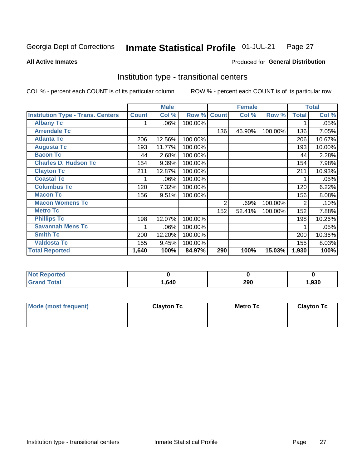#### Inmate Statistical Profile 01-JUL-21 Page 27

**All Active Inmates** 

### Produced for General Distribution

### Institution type - transitional centers

COL % - percent each COUNT is of its particular column

|                                          |              | <b>Male</b> |         |              | <b>Female</b> |         |                | <b>Total</b> |
|------------------------------------------|--------------|-------------|---------|--------------|---------------|---------|----------------|--------------|
| <b>Institution Type - Trans. Centers</b> | <b>Count</b> | Col %       | Row %   | <b>Count</b> | Col %         | Row %   | <b>Total</b>   | Col %        |
| <b>Albany Tc</b>                         |              | $.06\%$     | 100.00% |              |               |         |                | .05%         |
| <b>Arrendale Tc</b>                      |              |             |         | 136          | 46.90%        | 100.00% | 136            | 7.05%        |
| <b>Atlanta Tc</b>                        | 206          | 12.56%      | 100.00% |              |               |         | 206            | 10.67%       |
| <b>Augusta Tc</b>                        | 193          | 11.77%      | 100.00% |              |               |         | 193            | 10.00%       |
| <b>Bacon Tc</b>                          | 44           | 2.68%       | 100.00% |              |               |         | 44             | 2.28%        |
| <b>Charles D. Hudson Tc</b>              | 154          | 9.39%       | 100.00% |              |               |         | 154            | 7.98%        |
| <b>Clayton Tc</b>                        | 211          | 12.87%      | 100.00% |              |               |         | 211            | 10.93%       |
| <b>Coastal Tc</b>                        |              | .06%        | 100.00% |              |               |         |                | .05%         |
| <b>Columbus Tc</b>                       | 120          | 7.32%       | 100.00% |              |               |         | 120            | 6.22%        |
| <b>Macon Tc</b>                          | 156          | 9.51%       | 100.00% |              |               |         | 156            | 8.08%        |
| <b>Macon Womens Tc</b>                   |              |             |         | 2            | .69%          | 100.00% | $\overline{2}$ | .10%         |
| <b>Metro Tc</b>                          |              |             |         | 152          | 52.41%        | 100.00% | 152            | 7.88%        |
| <b>Phillips Tc</b>                       | 198          | 12.07%      | 100.00% |              |               |         | 198            | 10.26%       |
| <b>Savannah Mens Tc</b>                  | 1            | .06%        | 100.00% |              |               |         |                | .05%         |
| <b>Smith Tc</b>                          | 200          | 12.20%      | 100.00% |              |               |         | 200            | 10.36%       |
| <b>Valdosta Tc</b>                       | 155          | 9.45%       | 100.00% |              |               |         | 155            | 8.03%        |
| <b>Total Reported</b>                    | 1,640        | 100%        | 84.97%  | 290          | 100%          | 15.03%  | 1,930          | 100%         |

| <b>Reported</b> |      |            |      |
|-----------------|------|------------|------|
| <b>otal</b>     | .640 | חמכ<br>ZJU | .930 |

| Mode (most frequent) | <b>Clayton Tc</b> | Metro Tc | <b>Clayton Tc</b> |
|----------------------|-------------------|----------|-------------------|
|                      |                   |          |                   |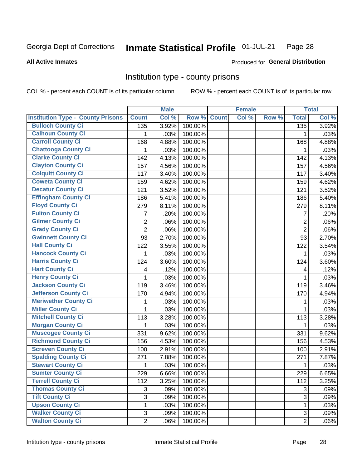#### Inmate Statistical Profile 01-JUL-21 Page 28

### **All Active Inmates**

### Produced for General Distribution

### Institution type - county prisons

COL % - percent each COUNT is of its particular column

|                                          |                           | <b>Male</b> |                    | <b>Female</b> |       |                  | <b>Total</b> |
|------------------------------------------|---------------------------|-------------|--------------------|---------------|-------|------------------|--------------|
| <b>Institution Type - County Prisons</b> | <b>Count</b>              | Col %       | <b>Row % Count</b> | Col %         | Row % | <b>Total</b>     | Col %        |
| <b>Bulloch County Ci</b>                 | 135                       | 3.92%       | 100.00%            |               |       | $\overline{135}$ | 3.92%        |
| <b>Calhoun County Ci</b>                 | 1                         | .03%        | 100.00%            |               |       | 1                | .03%         |
| <b>Carroll County Ci</b>                 | 168                       | 4.88%       | 100.00%            |               |       | 168              | 4.88%        |
| <b>Chattooga County Ci</b>               | $\mathbf{1}$              | .03%        | 100.00%            |               |       | 1                | .03%         |
| <b>Clarke County Ci</b>                  | 142                       | 4.13%       | 100.00%            |               |       | 142              | 4.13%        |
| <b>Clayton County Ci</b>                 | 157                       | 4.56%       | 100.00%            |               |       | 157              | 4.56%        |
| <b>Colquitt County Ci</b>                | 117                       | 3.40%       | 100.00%            |               |       | 117              | 3.40%        |
| <b>Coweta County Ci</b>                  | 159                       | 4.62%       | 100.00%            |               |       | 159              | 4.62%        |
| <b>Decatur County Ci</b>                 | 121                       | 3.52%       | 100.00%            |               |       | 121              | 3.52%        |
| <b>Effingham County Ci</b>               | 186                       | 5.41%       | 100.00%            |               |       | 186              | 5.40%        |
| <b>Floyd County Ci</b>                   | 279                       | 8.11%       | 100.00%            |               |       | 279              | 8.11%        |
| <b>Fulton County Ci</b>                  | 7                         | .20%        | 100.00%            |               |       | $\overline{7}$   | .20%         |
| <b>Gilmer County Ci</b>                  | $\boldsymbol{2}$          | .06%        | 100.00%            |               |       | $\overline{2}$   | .06%         |
| <b>Grady County Ci</b>                   | $\overline{2}$            | .06%        | 100.00%            |               |       | $\overline{2}$   | .06%         |
| <b>Gwinnett County Ci</b>                | 93                        | 2.70%       | 100.00%            |               |       | 93               | 2.70%        |
| <b>Hall County Ci</b>                    | 122                       | 3.55%       | 100.00%            |               |       | 122              | 3.54%        |
| <b>Hancock County Ci</b>                 | 1                         | .03%        | 100.00%            |               |       | $\mathbf{1}$     | .03%         |
| <b>Harris County Ci</b>                  | 124                       | 3.60%       | 100.00%            |               |       | 124              | 3.60%        |
| <b>Hart County Ci</b>                    | 4                         | .12%        | 100.00%            |               |       | 4                | .12%         |
| <b>Henry County Ci</b>                   | $\mathbf{1}$              | .03%        | 100.00%            |               |       | 1                | .03%         |
| <b>Jackson County Ci</b>                 | 119                       | 3.46%       | 100.00%            |               |       | 119              | 3.46%        |
| <b>Jefferson County Ci</b>               | 170                       | 4.94%       | 100.00%            |               |       | 170              | 4.94%        |
| <b>Meriwether County Ci</b>              | 1                         | .03%        | 100.00%            |               |       | 1                | .03%         |
| <b>Miller County Ci</b>                  | $\mathbf{1}$              | .03%        | 100.00%            |               |       | $\mathbf{1}$     | .03%         |
| <b>Mitchell County Ci</b>                | 113                       | 3.28%       | 100.00%            |               |       | 113              | 3.28%        |
| <b>Morgan County Ci</b>                  | 1                         | .03%        | 100.00%            |               |       | 1                | .03%         |
| <b>Muscogee County Ci</b>                | 331                       | 9.62%       | 100.00%            |               |       | 331              | 9.62%        |
| <b>Richmond County Ci</b>                | 156                       | 4.53%       | 100.00%            |               |       | 156              | 4.53%        |
| <b>Screven County Ci</b>                 | 100                       | 2.91%       | 100.00%            |               |       | 100              | 2.91%        |
| <b>Spalding County Ci</b>                | 271                       | 7.88%       | 100.00%            |               |       | 271              | 7.87%        |
| <b>Stewart County Ci</b>                 | 1                         | .03%        | 100.00%            |               |       | 1                | .03%         |
| <b>Sumter County Ci</b>                  | 229                       | 6.66%       | 100.00%            |               |       | 229              | 6.65%        |
| <b>Terrell County Ci</b>                 | 112                       | 3.25%       | 100.00%            |               |       | 112              | 3.25%        |
| <b>Thomas County Ci</b>                  | 3                         | .09%        | 100.00%            |               |       | 3                | .09%         |
| <b>Tift County Ci</b>                    | $\overline{3}$            | .09%        | 100.00%            |               |       | 3                | .09%         |
| <b>Upson County Ci</b>                   | $\mathbf{1}$              | .03%        | 100.00%            |               |       | $\mathbf{1}$     | .03%         |
| <b>Walker County Ci</b>                  | $\ensuremath{\mathsf{3}}$ | .09%        | 100.00%            |               |       | 3                | .09%         |
| <b>Walton County Ci</b>                  | $\overline{2}$            | .06%        | 100.00%            |               |       | $\overline{2}$   | .06%         |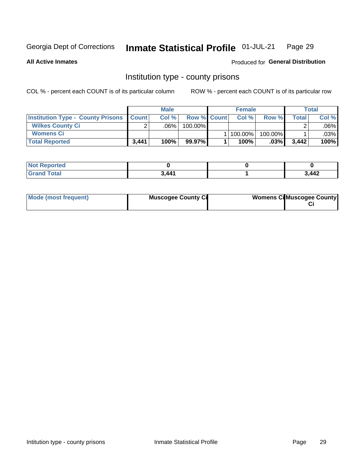#### Inmate Statistical Profile 01-JUL-21 Page 29

Produced for General Distribution

**All Active Inmates** 

## Institution type - county prisons

COL % - percent each COUNT is of its particular column

|                                                    | <b>Male</b> |         |                    | <b>Female</b> |             |         | <b>Total</b> |         |
|----------------------------------------------------|-------------|---------|--------------------|---------------|-------------|---------|--------------|---------|
| <b>Institution Type - County Prisons   Count  </b> |             | Col%    | <b>Row % Count</b> |               | Col%        | Row %   | Total        | Col %   |
| <b>Wilkes County Ci</b>                            |             | $.06\%$ | 100.00%            |               |             |         |              | $.06\%$ |
| <b>Womens Ci</b>                                   |             |         |                    |               | 1   100.00% | 100.00% |              | .03%    |
| <b>Total Reported</b>                              | 3,441       | 100%    | 99.97%             |               | 100%        | $.03\%$ | 3,442        | 100%    |

| <b>Not Reported</b> |       |       |
|---------------------|-------|-------|
| <b>Total</b>        | 3.441 | 3,442 |

| Mode (most frequent) | <b>Muscogee County Ci</b> | <b>Womens Cil Muscogee County</b> |  |
|----------------------|---------------------------|-----------------------------------|--|
|----------------------|---------------------------|-----------------------------------|--|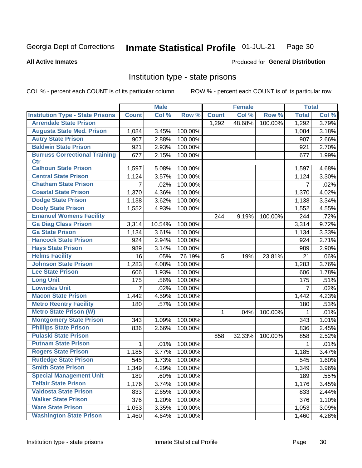#### Inmate Statistical Profile 01-JUL-21 Page 30

### **All Active Inmates**

### Produced for General Distribution

### Institution type - state prisons

COL % - percent each COUNT is of its particular column

|                                         |                | <b>Male</b> |         |              | <b>Female</b> |         | <b>Total</b>   |       |
|-----------------------------------------|----------------|-------------|---------|--------------|---------------|---------|----------------|-------|
| <b>Institution Type - State Prisons</b> | <b>Count</b>   | Col %       | Row %   | <b>Count</b> | Col %         | Row %   | <b>Total</b>   | Col % |
| <b>Arrendale State Prison</b>           |                |             |         | 1,292        | 48.68%        | 100.00% | 1,292          | 3.79% |
| <b>Augusta State Med. Prison</b>        | 1,084          | 3.45%       | 100.00% |              |               |         | 1,084          | 3.18% |
| <b>Autry State Prison</b>               | 907            | 2.88%       | 100.00% |              |               |         | 907            | 2.66% |
| <b>Baldwin State Prison</b>             | 921            | 2.93%       | 100.00% |              |               |         | 921            | 2.70% |
| <b>Burruss Correctional Training</b>    | 677            | 2.15%       | 100.00% |              |               |         | 677            | 1.99% |
| <b>Ctr</b>                              |                |             |         |              |               |         |                |       |
| <b>Calhoun State Prison</b>             | 1,597          | 5.08%       | 100.00% |              |               |         | 1,597          | 4.68% |
| <b>Central State Prison</b>             | 1,124          | 3.57%       | 100.00% |              |               |         | 1,124          | 3.30% |
| <b>Chatham State Prison</b>             | $\overline{7}$ | .02%        | 100.00% |              |               |         | $\overline{7}$ | .02%  |
| <b>Coastal State Prison</b>             | 1,370          | 4.36%       | 100.00% |              |               |         | 1,370          | 4.02% |
| <b>Dodge State Prison</b>               | 1,138          | 3.62%       | 100.00% |              |               |         | 1,138          | 3.34% |
| <b>Dooly State Prison</b>               | 1,552          | 4.93%       | 100.00% |              |               |         | 1,552          | 4.55% |
| <b>Emanuel Womens Facility</b>          |                |             |         | 244          | 9.19%         | 100.00% | 244            | .72%  |
| <b>Ga Diag Class Prison</b>             | 3,314          | 10.54%      | 100.00% |              |               |         | 3,314          | 9.72% |
| <b>Ga State Prison</b>                  | 1,134          | 3.61%       | 100.00% |              |               |         | 1,134          | 3.33% |
| <b>Hancock State Prison</b>             | 924            | 2.94%       | 100.00% |              |               |         | 924            | 2.71% |
| <b>Hays State Prison</b>                | 989            | 3.14%       | 100.00% |              |               |         | 989            | 2.90% |
| <b>Helms Facility</b>                   | 16             | .05%        | 76.19%  | 5            | .19%          | 23.81%  | 21             | .06%  |
| <b>Johnson State Prison</b>             | 1,283          | 4.08%       | 100.00% |              |               |         | 1,283          | 3.76% |
| <b>Lee State Prison</b>                 | 606            | 1.93%       | 100.00% |              |               |         | 606            | 1.78% |
| <b>Long Unit</b>                        | 175            | .56%        | 100.00% |              |               |         | 175            | .51%  |
| <b>Lowndes Unit</b>                     | $\overline{7}$ | .02%        | 100.00% |              |               |         | $\overline{7}$ | .02%  |
| <b>Macon State Prison</b>               | 1,442          | 4.59%       | 100.00% |              |               |         | 1,442          | 4.23% |
| <b>Metro Reentry Facility</b>           | 180            | .57%        | 100.00% |              |               |         | 180            | .53%  |
| <b>Metro State Prison (W)</b>           |                |             |         | 1.           | .04%          | 100.00% | 1              | .01%  |
| <b>Montgomery State Prison</b>          | 343            | 1.09%       | 100.00% |              |               |         | 343            | 1.01% |
| <b>Phillips State Prison</b>            | 836            | 2.66%       | 100.00% |              |               |         | 836            | 2.45% |
| <b>Pulaski State Prison</b>             |                |             |         | 858          | 32.33%        | 100.00% | 858            | 2.52% |
| <b>Putnam State Prison</b>              | 1              | .01%        | 100.00% |              |               |         | 1              | .01%  |
| <b>Rogers State Prison</b>              | 1,185          | 3.77%       | 100.00% |              |               |         | 1,185          | 3.47% |
| <b>Rutledge State Prison</b>            | 545            | 1.73%       | 100.00% |              |               |         | 545            | 1.60% |
| <b>Smith State Prison</b>               | 1,349          | $4.29\%$    | 100.00% |              |               |         | 1,349          | 3.96% |
| <b>Special Management Unit</b>          | 189            | .60%        | 100.00% |              |               |         | 189            | .55%  |
| <b>Telfair State Prison</b>             | 1,176          | 3.74%       | 100.00% |              |               |         | 1,176          | 3.45% |
| <b>Valdosta State Prison</b>            | 833            | 2.65%       | 100.00% |              |               |         | 833            | 2.44% |
| <b>Walker State Prison</b>              | 376            | 1.20%       | 100.00% |              |               |         | 376            | 1.10% |
| <b>Ware State Prison</b>                | 1,053          | 3.35%       | 100.00% |              |               |         | 1,053          | 3.09% |
| <b>Washington State Prison</b>          | 1,460          | 4.64%       | 100.00% |              |               |         | 1,460          | 4.28% |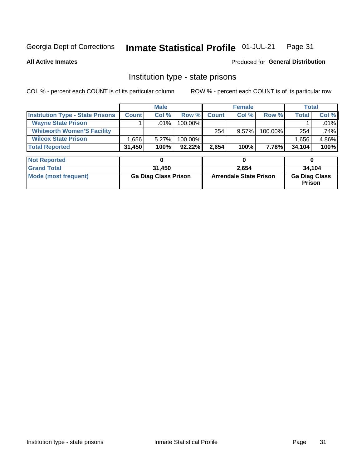#### Inmate Statistical Profile 01-JUL-21 Page 31

### **All Active Inmates**

### Produced for General Distribution

### Institution type - state prisons

COL % - percent each COUNT is of its particular column

|                                         | <b>Male</b>  |         |            | <b>Female</b> |          |         | Total        |         |
|-----------------------------------------|--------------|---------|------------|---------------|----------|---------|--------------|---------|
| <b>Institution Type - State Prisons</b> | <b>Count</b> | Col %   | Row %      | <b>Count</b>  | Col%     | Row %   | <b>Total</b> | Col %   |
| <b>Wayne State Prison</b>               |              | $.01\%$ | $100.00\%$ |               |          |         |              | .01%    |
| <b>Whitworth Women'S Facility</b>       |              |         |            | 254           | $9.57\%$ | 100.00% | 254          | $.74\%$ |
| <b>Wilcox State Prison</b>              | .656         | 5.27%   | 100.00%    |               |          |         | 1.656        | 4.86%   |
| <b>Total Reported</b>                   | 31,450       | 100%    | $92.22\%$  | 2,654         | 100%     | 7.78%   | 34,104       | 100%    |

| <b>Not Reported</b>  |                             |                               |                                       |
|----------------------|-----------------------------|-------------------------------|---------------------------------------|
| <b>Grand Total</b>   | 31.450                      | 2,654                         | 34,104                                |
| Mode (most frequent) | <b>Ga Diag Class Prison</b> | <b>Arrendale State Prison</b> | <b>Ga Diag Class</b><br><b>Prison</b> |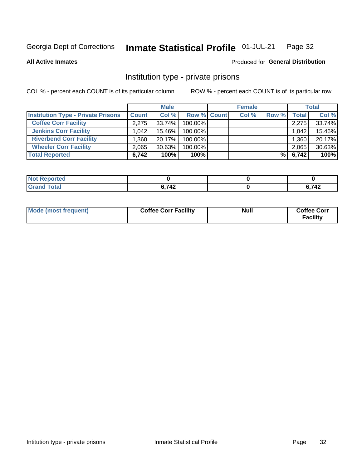#### Inmate Statistical Profile 01-JUL-21 Page 32

**All Active Inmates** 

### Produced for General Distribution

### Institution type - private prisons

COL % - percent each COUNT is of its particular column

|                                           |                   | <b>Male</b> |             | <b>Female</b> |       |              | <b>Total</b> |
|-------------------------------------------|-------------------|-------------|-------------|---------------|-------|--------------|--------------|
| <b>Institution Type - Private Prisons</b> | <b>Count</b>      | Col %       | Row % Count | Col %         | Row % | <b>Total</b> | Col %        |
| <b>Coffee Corr Facility</b>               | 2.275             | 33.74%      | 100.00%     |               |       | 2,275        | 33.74%       |
| <b>Jenkins Corr Facility</b>              | 1.042             | 15.46%      | 100.00%     |               |       | 1,042        | 15.46%       |
| <b>Riverbend Corr Facility</b>            | .360 <sub>1</sub> | 20.17%      | 100.00%     |               |       | 1,360        | 20.17%       |
| <b>Wheeler Corr Facility</b>              | 2,065             | $30.63\%$   | 100.00%     |               |       | 2,065        | 30.63%       |
| <b>Total Reported</b>                     | 6,742             | 100%        | $100\%$     |               | %∣    | 6,742        | 100%         |

| <b>borted</b><br><b>NOT</b> |       |            |
|-----------------------------|-------|------------|
| <b>otal</b>                 | 6,742 | フィク<br>14L |

| Mode (most frequent) | <b>Coffee Corr Facility</b> | <b>Null</b> | <b>Coffee Corr</b><br><b>Facility</b> |
|----------------------|-----------------------------|-------------|---------------------------------------|
|----------------------|-----------------------------|-------------|---------------------------------------|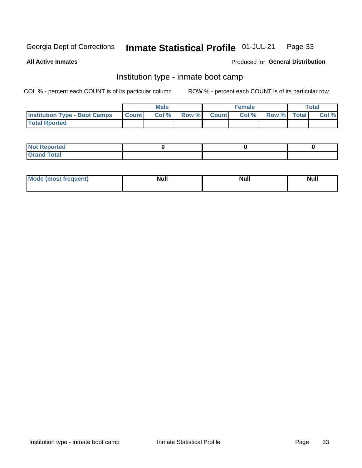#### Inmate Statistical Profile 01-JUL-21 Page 33

**All Active Inmates** 

### Produced for General Distribution

### Institution type - inmate boot camp

COL % - percent each COUNT is of its particular column

|                                      |                 | <b>Male</b> |              |              | <b>Female</b> |             | <b>Total</b> |
|--------------------------------------|-----------------|-------------|--------------|--------------|---------------|-------------|--------------|
| <b>Institution Type - Boot Camps</b> | <b>I</b> Count⊥ | Col %       | <b>Row %</b> | <b>Count</b> | Col %         | Row % Total | Col %        |
| <b>Total Rported</b>                 |                 |             |              |              |               |             |              |

| <b>Not Reported</b>            |  |  |
|--------------------------------|--|--|
| <b>Total</b><br>C <sub>r</sub> |  |  |

| Mod<br>uamo | Nul.<br>$- - - - - -$ | <b>Null</b> | <br>uu.<br>------ |
|-------------|-----------------------|-------------|-------------------|
|             |                       |             |                   |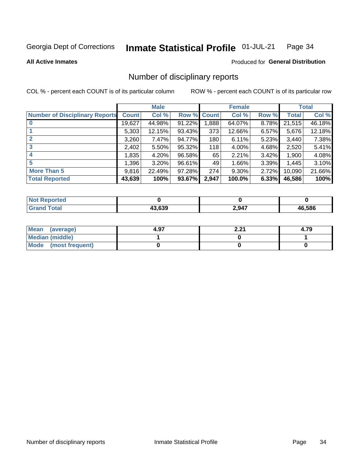#### Inmate Statistical Profile 01-JUL-21 Page 34

**All Active Inmates** 

### Produced for General Distribution

### Number of disciplinary reports

COL % - percent each COUNT is of its particular column

|                                       |              | <b>Male</b> |             |       | <b>Female</b> |          |        | <b>Total</b> |
|---------------------------------------|--------------|-------------|-------------|-------|---------------|----------|--------|--------------|
| <b>Number of Disciplinary Reports</b> | <b>Count</b> | Col %       | Row % Count |       | Col %         | Row %    | Total  | Col %        |
| $\bf{0}$                              | 19,627       | 44.98%      | 91.22%      | 1,888 | 64.07%        | 8.78%    | 21,515 | 46.18%       |
|                                       | 5,303        | 12.15%      | 93.43%      | 373   | 12.66%        | $6.57\%$ | 5,676  | 12.18%       |
| $\mathbf{2}$                          | 3,260        | 7.47%       | 94.77%      | 180   | 6.11%         | 5.23%    | 3,440  | 7.38%        |
| 3                                     | 2,402        | 5.50%       | 95.32%      | 118   | 4.00%         | 4.68%    | 2,520  | 5.41%        |
|                                       | ,835         | 4.20%       | 96.58%      | 65    | 2.21%         | 3.42%    | 1,900  | 4.08%        |
| 5                                     | 1,396        | 3.20%       | 96.61%      | 49    | 1.66%         | 3.39%    | 1,445  | 3.10%        |
| <b>More Than 5</b>                    | 9,816        | 22.49%      | 97.28%      | 274   | $9.30\%$      | 2.72%    | 10,090 | 21.66%       |
| <b>Total Reported</b>                 | 43,639       | 100%        | 93.67%      | 2,947 | 100.0%        | 6.33%    | 46,586 | 100%         |

| prted<br>NOT |        |       |             |
|--------------|--------|-------|-------------|
| ⊺otaı        | 13.639 | 2,947 | .586<br>46. |

| Mean (average)         | 4.97 | 0 י<br>L.LI | 4.79 |
|------------------------|------|-------------|------|
| <b>Median (middle)</b> |      |             |      |
| Mode (most frequent)   |      |             |      |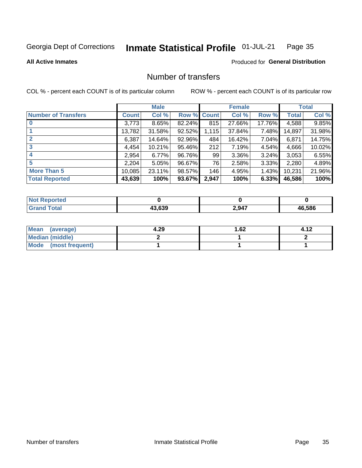#### Inmate Statistical Profile 01-JUL-21 Page 35

**All Active Inmates** 

### Produced for General Distribution

### Number of transfers

COL % - percent each COUNT is of its particular column

|                            |              | <b>Male</b> |                    |       | <b>Female</b> |        |        | <b>Total</b> |
|----------------------------|--------------|-------------|--------------------|-------|---------------|--------|--------|--------------|
| <b>Number of Transfers</b> | <b>Count</b> | Col %       | <b>Row % Count</b> |       | Col %         | Row %  | Total  | Col %        |
|                            | 3,773        | 8.65%       | 82.24%             | 815   | 27.66%        | 17.76% | 4,588  | 9.85%        |
|                            | 13,782       | 31.58%      | 92.52%             | 1,115 | 37.84%        | 7.48%  | 14,897 | 31.98%       |
| $\mathbf{2}$               | 6,387        | 14.64%      | 92.96%             | 484   | 16.42%        | 7.04%  | 6,871  | 14.75%       |
| 3                          | 4,454        | 10.21%      | 95.46%             | 212   | 7.19%         | 4.54%  | 4,666  | 10.02%       |
|                            | 2,954        | 6.77%       | 96.76%             | 99    | 3.36%         | 3.24%  | 3,053  | 6.55%        |
| 5                          | 2,204        | 5.05%       | 96.67%             | 76    | 2.58%         | 3.33%  | 2,280  | 4.89%        |
| <b>More Than 5</b>         | 10,085       | 23.11%      | 98.57%             | 146   | 4.95%         | 1.43%  | 10,231 | 21.96%       |
| <b>Total Reported</b>      | 43,639       | 100%        | 93.67%             | 2,947 | 100%          | 6.33%  | 46,586 | 100%         |

| <u>nteo</u><br>NO |        |       |        |  |
|-------------------|--------|-------|--------|--|
| ้วtaเ             | המה מג | 2,947 | 46.586 |  |

| Mean (average)       | 4.29 | 1.62 |  |
|----------------------|------|------|--|
| Median (middle)      |      |      |  |
| Mode (most frequent) |      |      |  |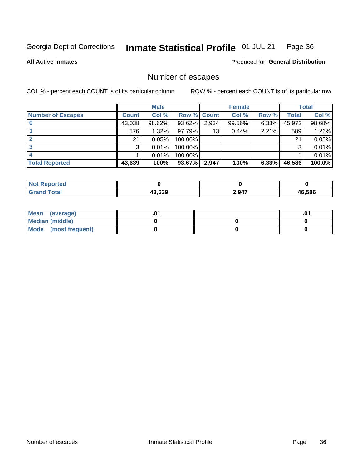#### Inmate Statistical Profile 01-JUL-21 Page 36

**All Active Inmates** 

### Produced for General Distribution

### Number of escapes

COL % - percent each COUNT is of its particular column

|                          |              | <b>Male</b> |             |       | <b>Female</b> |       |        | <b>Total</b> |
|--------------------------|--------------|-------------|-------------|-------|---------------|-------|--------|--------------|
| <b>Number of Escapes</b> | <b>Count</b> | Col %       | Row % Count |       | Col %         | Row % | Total  | Col %        |
|                          | 43,038       | 98.62%      | 93.62%      | 2,934 | 99.56%        | 6.38% | 45,972 | 98.68%       |
|                          | 576          | $1.32\%$    | 97.79%I     | 13    | 0.44%         | 2.21% | 589    | 1.26%        |
|                          | 21           | 0.05%       | 100.00%     |       |               |       | 21     | 0.05%        |
|                          | 3            | 0.01%       | 100.00%     |       |               |       | 3      | 0.01%        |
|                          |              | 0.01%       | 100.00%     |       |               |       |        | 0.01%        |
| <b>Total Reported</b>    | 43,639       | 100%        | $93.67\%$   | 2,947 | 100%          | 6.33% | 46,586 | 100.0%       |

| <b>Not Reported</b> |        |       |             |
|---------------------|--------|-------|-------------|
| <b>Total</b>        | 43.639 | 2,947 | 6.586<br>4һ |

| Mean (average)       |  | .0 <sup>4</sup> |
|----------------------|--|-----------------|
| Median (middle)      |  |                 |
| Mode (most frequent) |  |                 |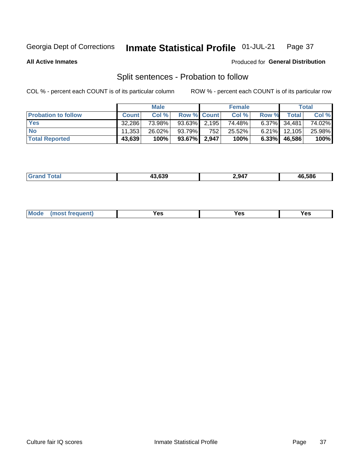#### Inmate Statistical Profile 01-JUL-21 Page 37

**All Active Inmates** 

### Produced for General Distribution

### Split sentences - Probation to follow

COL % - percent each COUNT is of its particular column

|                            |              | <b>Male</b> |                    |     | <b>Female</b> |          |                 | <b>Total</b> |
|----------------------------|--------------|-------------|--------------------|-----|---------------|----------|-----------------|--------------|
| <b>Probation to follow</b> | <b>Count</b> | Col%        | <b>Row % Count</b> |     | Col %         | Row %    | Total           | Col %        |
| <b>Yes</b>                 | 32.286       | 73.98%      | $93.63\%$ 2.195    |     | 74.48%        |          | $6.37\%$ 34,481 | 74.02%       |
| <b>No</b>                  | 11.353       | 26.02%      | 93.79%             | 752 | 25.52%        | $6.21\%$ | 12,105          | 25.98%       |
| <b>Total Reported</b>      | 43,639       | 100%        | $93.67\%$   2,947  |     | 100%          | $6.33\%$ | 46.586          | 100%         |

| ______ | המה חו | .947 | C EOC<br>. 4.<br>. JOC |
|--------|--------|------|------------------------|
|        |        |      |                        |

| $Moo$<br>requent<br>′es<br>Yes<br><b>YAC</b><br>. |
|---------------------------------------------------|
|---------------------------------------------------|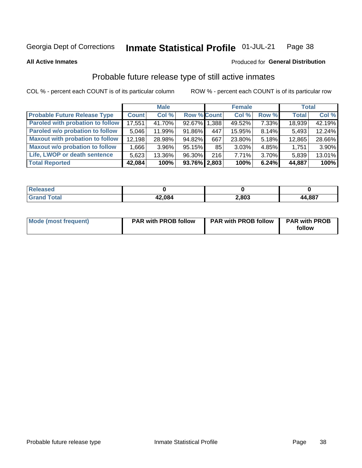#### Inmate Statistical Profile 01-JUL-21 Page 38

**All Active Inmates** 

### Produced for General Distribution

# Probable future release type of still active inmates

COL % - percent each COUNT is of its particular column

|                                         |              | <b>Male</b> |              |     | <b>Female</b> |          | <b>Total</b> |        |
|-----------------------------------------|--------------|-------------|--------------|-----|---------------|----------|--------------|--------|
| <b>Probable Future Release Type</b>     | <b>Count</b> | Col%        | Row % Count  |     | Col %         | Row %    | <b>Total</b> | Col %  |
| <b>Paroled with probation to follow</b> | 17,551       | 41.70%      | 92.67% 1.388 |     | 49.52%        | 7.33%    | 18,939       | 42.19% |
| Paroled w/o probation to follow         | 5,046        | 11.99%      | 91.86%       | 447 | 15.95%        | 8.14%    | 5,493        | 12.24% |
| <b>Maxout with probation to follow</b>  | 12,198       | 28.98%      | 94.82%       | 667 | 23.80%        | 5.18%    | 12,865       | 28.66% |
| <b>Maxout w/o probation to follow</b>   | 1,666        | $3.96\%$    | $95.15\%$    | 85  | 3.03%         | 4.85%    | 1,751        | 3.90%  |
| Life, LWOP or death sentence            | 5,623        | 13.36%      | 96.30%       | 216 | 7.71%         | $3.70\%$ | 5,839        | 13.01% |
| <b>Total Reported</b>                   | 42,084       | 100%        | 93.76% 2.803 |     | 100%          | 6.24%    | 44,887       | 100%   |

| 456U                  |        |       |        |
|-----------------------|--------|-------|--------|
| $f \wedge f \wedge f$ | 42,084 | 2,803 | 44,887 |

| Mode (most frequent) | <b>PAR with PROB follow</b> | <b>PAR with PROB follow</b> | <b>PAR with PROB</b> |
|----------------------|-----------------------------|-----------------------------|----------------------|
|                      |                             |                             | follow               |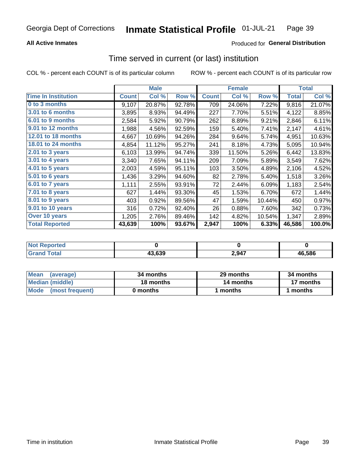## **All Active Inmates**

## Produced for General Distribution

# Time served in current (or last) institution

COL % - percent each COUNT is of its particular column

|                            |              | <b>Male</b> |        |              | <b>Female</b> |        |              | <b>Total</b> |
|----------------------------|--------------|-------------|--------|--------------|---------------|--------|--------------|--------------|
| <b>Time In Institution</b> | <b>Count</b> | Col %       | Row %  | <b>Count</b> | Col %         | Row %  | <b>Total</b> | Col $%$      |
| 0 to 3 months              | 9,107        | 20.87%      | 92.78% | 709          | 24.06%        | 7.22%  | 9,816        | 21.07%       |
| <b>3.01 to 6 months</b>    | 3,895        | 8.93%       | 94.49% | 227          | 7.70%         | 5.51%  | 4,122        | 8.85%        |
| 6.01 to 9 months           | 2,584        | 5.92%       | 90.79% | 262          | 8.89%         | 9.21%  | 2,846        | 6.11%        |
| 9.01 to 12 months          | 1,988        | 4.56%       | 92.59% | 159          | 5.40%         | 7.41%  | 2,147        | 4.61%        |
| <b>12.01 to 18 months</b>  | 4,667        | 10.69%      | 94.26% | 284          | 9.64%         | 5.74%  | 4,951        | 10.63%       |
| <b>18.01 to 24 months</b>  | 4,854        | 11.12%      | 95.27% | 241          | 8.18%         | 4.73%  | 5,095        | 10.94%       |
| 2.01 to 3 years            | 6,103        | 13.99%      | 94.74% | 339          | 11.50%        | 5.26%  | 6,442        | 13.83%       |
| $3.01$ to 4 years          | 3,340        | 7.65%       | 94.11% | 209          | 7.09%         | 5.89%  | 3,549        | 7.62%        |
| 4.01 to 5 years            | 2,003        | 4.59%       | 95.11% | 103          | 3.50%         | 4.89%  | 2,106        | 4.52%        |
| 5.01 to 6 years            | 1,436        | 3.29%       | 94.60% | 82           | 2.78%         | 5.40%  | 1,518        | 3.26%        |
| $6.01$ to 7 years          | 1,111        | 2.55%       | 93.91% | 72           | 2.44%         | 6.09%  | 1,183        | 2.54%        |
| $7.01$ to 8 years          | 627          | 1.44%       | 93.30% | 45           | 1.53%         | 6.70%  | 672          | 1.44%        |
| $8.01$ to 9 years          | 403          | 0.92%       | 89.56% | 47           | 1.59%         | 10.44% | 450          | 0.97%        |
| 9.01 to 10 years           | 316          | 0.72%       | 92.40% | 26           | 0.88%         | 7.60%  | 342          | 0.73%        |
| Over 10 years              | 1,205        | 2.76%       | 89.46% | 142          | 4.82%         | 10.54% | 1,347        | 2.89%        |
| <b>Total Reported</b>      | 43,639       | 100%        | 93.67% | 2,947        | 100%          | 6.33%  | 46,586       | 100.0%       |

| <b>NOT</b><br>orregi |            |       |        |
|----------------------|------------|-------|--------|
| `nta.                | 3.639<br>" | 2,947 | 46.586 |

| <b>Mean</b><br>(average) | 34 months | 29 months | 34 months |
|--------------------------|-----------|-----------|-----------|
| Median (middle)          | 18 months | 14 months | 17 months |
| Mode (most frequent)     | 0 months  | l months  | months    |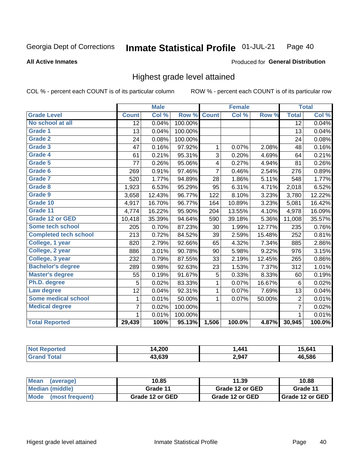### **All Active Inmates**

### Produced for General Distribution

## Highest grade level attained

COL % - percent each COUNT is of its particular column

|                              |                 | <b>Male</b> |         |                | <b>Female</b> |        |                 | <b>Total</b> |
|------------------------------|-----------------|-------------|---------|----------------|---------------|--------|-----------------|--------------|
| <b>Grade Level</b>           | <b>Count</b>    | Col %       | Row %   | <b>Count</b>   | Col %         | Row %  | <b>Total</b>    | Col %        |
| No school at all             | $\overline{12}$ | 0.04%       | 100.00% |                |               |        | $\overline{12}$ | 0.04%        |
| <b>Grade 1</b>               | 13              | 0.04%       | 100.00% |                |               |        | 13              | 0.04%        |
| <b>Grade 2</b>               | 24              | 0.08%       | 100.00% |                |               |        | 24              | 0.08%        |
| Grade 3                      | 47              | 0.16%       | 97.92%  | 1              | 0.07%         | 2.08%  | 48              | 0.16%        |
| <b>Grade 4</b>               | 61              | 0.21%       | 95.31%  | 3              | 0.20%         | 4.69%  | 64              | 0.21%        |
| Grade 5                      | 77              | 0.26%       | 95.06%  | 4              | 0.27%         | 4.94%  | 81              | 0.26%        |
| Grade 6                      | 269             | 0.91%       | 97.46%  | $\overline{7}$ | 0.46%         | 2.54%  | 276             | 0.89%        |
| <b>Grade 7</b>               | 520             | 1.77%       | 94.89%  | 28             | 1.86%         | 5.11%  | 548             | 1.77%        |
| Grade 8                      | 1,923           | 6.53%       | 95.29%  | 95             | 6.31%         | 4.71%  | 2,018           | 6.52%        |
| Grade 9                      | 3,658           | 12.43%      | 96.77%  | 122            | 8.10%         | 3.23%  | 3,780           | 12.22%       |
| Grade 10                     | 4,917           | 16.70%      | 96.77%  | 164            | 10.89%        | 3.23%  | 5,081           | 16.42%       |
| Grade 11                     | 4,774           | 16.22%      | 95.90%  | 204            | 13.55%        | 4.10%  | 4,978           | 16.09%       |
| <b>Grade 12 or GED</b>       | 10,418          | 35.39%      | 94.64%  | 590            | 39.18%        | 5.36%  | 11,008          | 35.57%       |
| Some tech school             | 205             | 0.70%       | 87.23%  | 30             | 1.99%         | 12.77% | 235             | 0.76%        |
| <b>Completed tech school</b> | 213             | 0.72%       | 84.52%  | 39             | 2.59%         | 15.48% | 252             | 0.81%        |
| College, 1 year              | 820             | 2.79%       | 92.66%  | 65             | 4.32%         | 7.34%  | 885             | 2.86%        |
| College, 2 year              | 886             | 3.01%       | 90.78%  | 90             | 5.98%         | 9.22%  | 976             | 3.15%        |
| College, 3 year              | 232             | 0.79%       | 87.55%  | 33             | 2.19%         | 12.45% | 265             | 0.86%        |
| <b>Bachelor's degree</b>     | 289             | 0.98%       | 92.63%  | 23             | 1.53%         | 7.37%  | 312             | 1.01%        |
| <b>Master's degree</b>       | 55              | 0.19%       | 91.67%  | 5              | 0.33%         | 8.33%  | 60              | 0.19%        |
| Ph.D. degree                 | 5               | 0.02%       | 83.33%  | 1              | 0.07%         | 16.67% | 6               | 0.02%        |
| Law degree                   | 12              | 0.04%       | 92.31%  | $\mathbf{1}$   | 0.07%         | 7.69%  | 13              | 0.04%        |
| <b>Some medical school</b>   | 1               | 0.01%       | 50.00%  | 1              | 0.07%         | 50.00% | $\overline{2}$  | 0.01%        |
| <b>Medical degree</b>        | $\overline{7}$  | 0.02%       | 100.00% |                |               |        | $\overline{7}$  | 0.02%        |
|                              | 1               | $0.01\%$    | 100.00% |                |               |        | 1               | 0.01%        |
| <b>Total Reported</b>        | 29,439          | 100%        | 95.13%  | 1,506          | 100.0%        | 4.87%  | 30,945          | 100.0%       |

| 4,200<br>ıл | ,441  | 641        |
|-------------|-------|------------|
| 13 630      | 2,947 | 586<br>AF. |

| Mean<br>(average)    | 10.85           | 11.39           | 10.88           |  |
|----------------------|-----------------|-----------------|-----------------|--|
| Median (middle)      | Grade 11        | Grade 12 or GED | Grade 11        |  |
| Mode (most frequent) | Grade 12 or GED | Grade 12 or GED | Grade 12 or GED |  |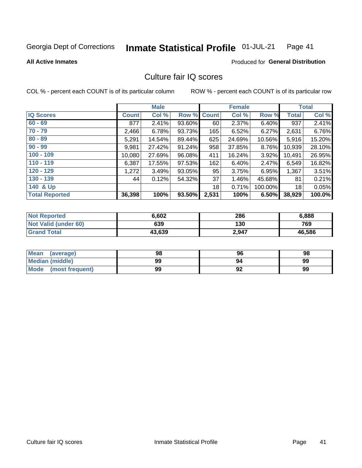#### Inmate Statistical Profile 01-JUL-21 Page 41

### **All Active Inmates**

### **Produced for General Distribution**

# Culture fair IQ scores

COL % - percent each COUNT is of its particular column

|                       |              | <b>Male</b> |        |              | <b>Female</b> |          |              | <b>Total</b> |
|-----------------------|--------------|-------------|--------|--------------|---------------|----------|--------------|--------------|
| <b>IQ Scores</b>      | <b>Count</b> | Col %       | Row %  | <b>Count</b> | Col %         | Row %    | <b>Total</b> | Col %        |
| $60 - 69$             | 877          | 2.41%       | 93.60% | 60           | 2.37%         | 6.40%    | 937          | 2.41%        |
| $70 - 79$             | 2,466        | 6.78%       | 93.73% | 165          | 6.52%         | $6.27\%$ | 2,631        | 6.76%        |
| $80 - 89$             | 5,291        | 14.54%      | 89.44% | 625          | 24.69%        | 10.56%   | 5,916        | 15.20%       |
| $90 - 99$             | 9,981        | 27.42%      | 91.24% | 958          | 37.85%        | 8.76%    | 10,939       | 28.10%       |
| $100 - 109$           | 10,080       | 27.69%      | 96.08% | 411          | 16.24%        | $3.92\%$ | 10,491       | 26.95%       |
| $110 - 119$           | 6,387        | 17.55%      | 97.53% | 162          | 6.40%         | 2.47%    | 6,549        | 16.82%       |
| $120 - 129$           | 1,272        | 3.49%       | 93.05% | 95           | 3.75%         | 6.95%    | 1,367        | 3.51%        |
| $130 - 139$           | 44           | 0.12%       | 54.32% | 37           | 1.46%         | 45.68%   | 81           | 0.21%        |
| 140 & Up              |              |             |        | 18           | 0.71%         | 100.00%  | 18           | 0.05%        |
| <b>Total Reported</b> | 36,398       | 100%        | 93.50% | 2,531        | 100%          | 6.50%    | 38,929       | 100.0%       |

| <b>Not Reported</b>         | 6,602  | 286   | 6,888  |
|-----------------------------|--------|-------|--------|
| <b>Not Valid (under 60)</b> | 639    | 130   | 769    |
| <b>Grand Total</b>          | 43,639 | 2,947 | 46,586 |

| <b>Mean</b><br>(average)       | 98 | 96                | 98 |
|--------------------------------|----|-------------------|----|
| Median (middle)                | 99 | 94                | 99 |
| <b>Mode</b><br>(most frequent) | 99 | $\mathbf{a}$<br>∍ | 99 |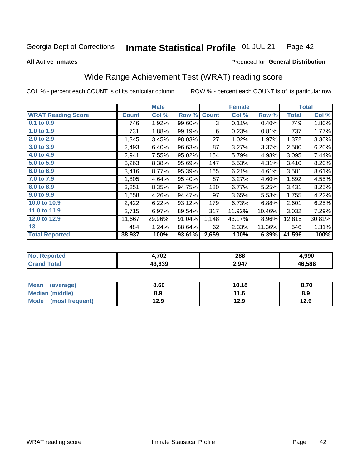#### Inmate Statistical Profile 01-JUL-21 Page 42

**All Active Inmates** 

### Produced for General Distribution

# Wide Range Achievement Test (WRAT) reading score

COL % - percent each COUNT is of its particular column

|                           |              | <b>Male</b> |        |              | <b>Female</b> |        |              | <b>Total</b> |
|---------------------------|--------------|-------------|--------|--------------|---------------|--------|--------------|--------------|
| <b>WRAT Reading Score</b> | <b>Count</b> | Col %       | Row %  | <b>Count</b> | Col %         | Row %  | <b>Total</b> | Col %        |
| 0.1 to 0.9                | 746          | 1.92%       | 99.60% | 3            | 0.11%         | 0.40%  | 749          | 1.80%        |
| 1.0 to 1.9                | 731          | 1.88%       | 99.19% | 6            | 0.23%         | 0.81%  | 737          | 1.77%        |
| 2.0 to 2.9                | 1,345        | 3.45%       | 98.03% | 27           | 1.02%         | 1.97%  | 1,372        | 3.30%        |
| 3.0 to 3.9                | 2,493        | 6.40%       | 96.63% | 87           | 3.27%         | 3.37%  | 2,580        | 6.20%        |
| 4.0 to 4.9                | 2,941        | 7.55%       | 95.02% | 154          | 5.79%         | 4.98%  | 3,095        | 7.44%        |
| 5.0 to 5.9                | 3,263        | 8.38%       | 95.69% | 147          | 5.53%         | 4.31%  | 3,410        | 8.20%        |
| 6.0 to 6.9                | 3,416        | 8.77%       | 95.39% | 165          | 6.21%         | 4.61%  | 3,581        | 8.61%        |
| 7.0 to 7.9                | 1,805        | 4.64%       | 95.40% | 87           | 3.27%         | 4.60%  | 1,892        | 4.55%        |
| 8.0 to 8.9                | 3,251        | 8.35%       | 94.75% | 180          | 6.77%         | 5.25%  | 3,431        | 8.25%        |
| 9.0 to 9.9                | 1,658        | 4.26%       | 94.47% | 97           | 3.65%         | 5.53%  | 1,755        | 4.22%        |
| 10.0 to 10.9              | 2,422        | 6.22%       | 93.12% | 179          | 6.73%         | 6.88%  | 2,601        | 6.25%        |
| 11.0 to 11.9              | 2,715        | 6.97%       | 89.54% | 317          | 11.92%        | 10.46% | 3,032        | 7.29%        |
| 12.0 to 12.9              | 11,667       | 29.96%      | 91.04% | 1,148        | 43.17%        | 8.96%  | 12,815       | 30.81%       |
| 13                        | 484          | 1.24%       | 88.64% | 62           | 2.33%         | 11.36% | 546          | 1.31%        |
| <b>Total Reported</b>     | 38,937       | 100%        | 93.61% | 2,659        | 100%          | 6.39%  | 41,596       | 100%         |

| NO | 4,702  | 288   | 990.ا  |
|----|--------|-------|--------|
|    | 13.639 | 2,947 | 46.586 |

| <b>Mean</b><br>(average)       | 8.60 | 10.18 | 8.70 |
|--------------------------------|------|-------|------|
| Median (middle)                | 8.9  | 11.6  | 8.9  |
| <b>Mode</b><br>(most frequent) | 12.9 | 12.9  | 12.9 |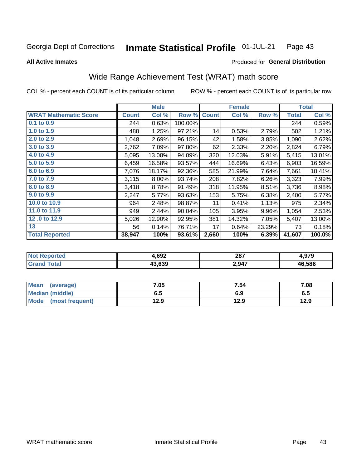#### **Inmate Statistical Profile 01-JUL-21** Page 43

### **All Active Inmates**

## Produced for General Distribution

# Wide Range Achievement Test (WRAT) math score

COL % - percent each COUNT is of its particular column

|                              |              | <b>Male</b> |         |              | <b>Female</b> |        |              | <b>Total</b> |
|------------------------------|--------------|-------------|---------|--------------|---------------|--------|--------------|--------------|
| <b>WRAT Mathematic Score</b> | <b>Count</b> | Col %       | Row %   | <b>Count</b> | Col %         | Row %  | <b>Total</b> | Col %        |
| 0.1 to 0.9                   | 244          | 0.63%       | 100.00% |              |               |        | 244          | 0.59%        |
| 1.0 to 1.9                   | 488          | 1.25%       | 97.21%  | 14           | 0.53%         | 2.79%  | 502          | 1.21%        |
| 2.0 to 2.9                   | 1,048        | 2.69%       | 96.15%  | 42           | 1.58%         | 3.85%  | 1,090        | 2.62%        |
| 3.0 to 3.9                   | 2,762        | 7.09%       | 97.80%  | 62           | 2.33%         | 2.20%  | 2,824        | 6.79%        |
| 4.0 to 4.9                   | 5,095        | 13.08%      | 94.09%  | 320          | 12.03%        | 5.91%  | 5,415        | 13.01%       |
| 5.0 to 5.9                   | 6,459        | 16.58%      | 93.57%  | 444          | 16.69%        | 6.43%  | 6,903        | 16.59%       |
| 6.0 to 6.9                   | 7,076        | 18.17%      | 92.36%  | 585          | 21.99%        | 7.64%  | 7,661        | 18.41%       |
| 7.0 to 7.9                   | 3,115        | 8.00%       | 93.74%  | 208          | 7.82%         | 6.26%  | 3,323        | 7.99%        |
| 8.0 to 8.9                   | 3,418        | 8.78%       | 91.49%  | 318          | 11.95%        | 8.51%  | 3,736        | 8.98%        |
| 9.0 to 9.9                   | 2,247        | 5.77%       | 93.63%  | 153          | 5.75%         | 6.38%  | 2,400        | 5.77%        |
| 10.0 to 10.9                 | 964          | 2.48%       | 98.87%  | 11           | 0.41%         | 1.13%  | 975          | 2.34%        |
| 11.0 to 11.9                 | 949          | 2.44%       | 90.04%  | 105          | 3.95%         | 9.96%  | 1,054        | 2.53%        |
| 12.0 to 12.9                 | 5,026        | 12.90%      | 92.95%  | 381          | 14.32%        | 7.05%  | 5,407        | 13.00%       |
| 13                           | 56           | 0.14%       | 76.71%  | 17           | 0.64%         | 23.29% | 73           | 0.18%        |
| <b>Total Reported</b>        | 38,947       | 100%        | 93.61%  | 2,660        | 100%          | 6.39%  | 41,607       | 100.0%       |

| <b>orted</b><br>NO) | 4,692  | 287   | 070    |
|---------------------|--------|-------|--------|
| <b>Total</b>        | 43.639 | 2,947 | 46,586 |

| <b>Mean</b><br>(average) | 7.05 | 7.54 | 7.08 |
|--------------------------|------|------|------|
| Median (middle)          | כ.ס  | 6.9  | ხ.მ  |
| Mode<br>(most frequent)  | 12.9 | 12.9 | 12.9 |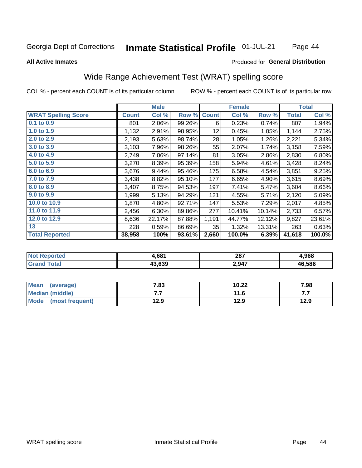### Inmate Statistical Profile 01-JUL-21 Page 44

### **All Active Inmates**

## **Produced for General Distribution**

# Wide Range Achievement Test (WRAT) spelling score

COL % - percent each COUNT is of its particular column

|                            |              | <b>Male</b> |        |              | <b>Female</b> |        |              | <b>Total</b> |
|----------------------------|--------------|-------------|--------|--------------|---------------|--------|--------------|--------------|
| <b>WRAT Spelling Score</b> | <b>Count</b> | Col %       | Row %  | <b>Count</b> | Col %         | Row %  | <b>Total</b> | Col %        |
| 0.1 to 0.9                 | 801          | 2.06%       | 99.26% | 6            | 0.23%         | 0.74%  | 807          | 1.94%        |
| 1.0 to 1.9                 | 1,132        | 2.91%       | 98.95% | 12           | 0.45%         | 1.05%  | 1,144        | 2.75%        |
| 2.0 to 2.9                 | 2,193        | 5.63%       | 98.74% | 28           | 1.05%         | 1.26%  | 2,221        | 5.34%        |
| 3.0 to 3.9                 | 3,103        | 7.96%       | 98.26% | 55           | 2.07%         | 1.74%  | 3,158        | 7.59%        |
| 4.0 to 4.9                 | 2,749        | 7.06%       | 97.14% | 81           | 3.05%         | 2.86%  | 2,830        | 6.80%        |
| 5.0 to 5.9                 | 3,270        | 8.39%       | 95.39% | 158          | 5.94%         | 4.61%  | 3,428        | 8.24%        |
| 6.0 to 6.9                 | 3,676        | 9.44%       | 95.46% | 175          | 6.58%         | 4.54%  | 3,851        | 9.25%        |
| 7.0 to 7.9                 | 3,438        | 8.82%       | 95.10% | 177          | 6.65%         | 4.90%  | 3,615        | 8.69%        |
| 8.0 to 8.9                 | 3,407        | 8.75%       | 94.53% | 197          | 7.41%         | 5.47%  | 3,604        | 8.66%        |
| 9.0 to 9.9                 | 1,999        | 5.13%       | 94.29% | 121          | 4.55%         | 5.71%  | 2,120        | 5.09%        |
| 10.0 to 10.9               | 1,870        | 4.80%       | 92.71% | 147          | 5.53%         | 7.29%  | 2,017        | 4.85%        |
| 11.0 to 11.9               | 2,456        | 6.30%       | 89.86% | 277          | 10.41%        | 10.14% | 2,733        | 6.57%        |
| 12.0 to 12.9               | 8,636        | 22.17%      | 87.88% | 1,191        | 44.77%        | 12.12% | 9,827        | 23.61%       |
| 13                         | 228          | 0.59%       | 86.69% | 35           | 1.32%         | 13.31% | 263          | 0.63%        |
| <b>Total Reported</b>      | 38,958       | 100%        | 93.61% | 2,660        | 100.0%        | 6.39%  | 41,618       | 100.0%       |

| NO | 4,681  | 287<br>___ | 968.ا  |
|----|--------|------------|--------|
|    | 43.639 | 2,947      | 46.586 |

| <b>Mean</b><br>(average) | 7.83 | 10.22 | 7.98 |
|--------------------------|------|-------|------|
| Median (middle)          | .    | 11.6  | .    |
| Mode (most frequent)     | 12.9 | 12.9  | 12.9 |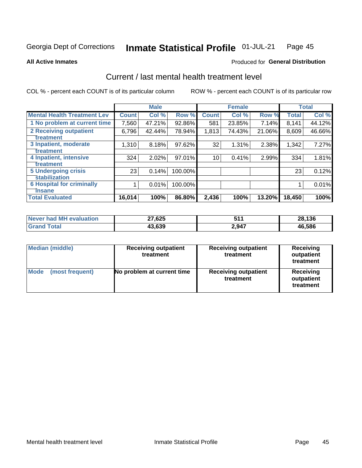#### Inmate Statistical Profile 01-JUL-21 Page 45

**All Active Inmates** 

## **Produced for General Distribution**

# Current / last mental health treatment level

COL % - percent each COUNT is of its particular column

|                                    |              | <b>Male</b> |         |              | <b>Female</b> |        |              | <b>Total</b> |
|------------------------------------|--------------|-------------|---------|--------------|---------------|--------|--------------|--------------|
| <b>Mental Health Treatment Lev</b> | <b>Count</b> | Col %       | Row %   | <b>Count</b> | Col %         | Row %  | <b>Total</b> | Col %        |
| 1 No problem at current time       | 7,560        | 47.21%      | 92.86%  | 581          | 23.85%        | 7.14%  | 8,141        | 44.12%       |
| 2 Receiving outpatient             | 6,796        | 42.44%      | 78.94%  | 1,813        | 74.43%        | 21.06% | 8,609        | 46.66%       |
| <b>Treatment</b>                   |              |             |         |              |               |        |              |              |
| 3 Inpatient, moderate              | 1,310        | 8.18%       | 97.62%  | 32           | 1.31%         | 2.38%  | 1,342        | 7.27%        |
| <b>Treatment</b>                   |              |             |         |              |               |        |              |              |
| 4 Inpatient, intensive             | 324          | 2.02%       | 97.01%  | 10           | 0.41%         | 2.99%  | 334          | 1.81%        |
| Treatment                          |              |             |         |              |               |        |              |              |
| <b>5 Undergoing crisis</b>         | 23           | 0.14%       | 100.00% |              |               |        | 23           | 0.12%        |
| <b>stabilization</b>               |              |             |         |              |               |        |              |              |
| <b>6 Hospital for criminally</b>   |              | 0.01%       | 100.00% |              |               |        |              | 0.01%        |
| <b>Tinsane</b>                     |              |             |         |              |               |        |              |              |
| <b>Total Evaluated</b>             | 16,014       | 100%        | 86.80%  | 2,436        | 100%          | 13.20% | 18,450       | 100%         |

| Never had MH evaluation | 27,625 | -44<br><u>.</u> | 28.136 |
|-------------------------|--------|-----------------|--------|
| $\tau$ otal             | .3,639 | 2,947           | 46.586 |

| <b>Median (middle)</b>         | <b>Receiving outpatient</b><br>treatment | <b>Receiving outpatient</b><br>treatment | <b>Receiving</b><br>outpatient<br>treatment |  |
|--------------------------------|------------------------------------------|------------------------------------------|---------------------------------------------|--|
| <b>Mode</b><br>(most frequent) | No problem at current time               | <b>Receiving outpatient</b><br>treatment | Receiving<br>outpatient<br>treatment        |  |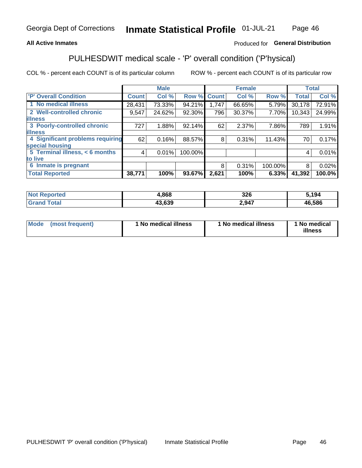## **All Active Inmates**

## Produced for General Distribution

# PULHESDWIT medical scale - 'P' overall condition ('P'hysical)

COL % - percent each COUNT is of its particular column

|                                  |              | <b>Male</b> |         |              | <b>Female</b> |         |              | <b>Total</b> |
|----------------------------------|--------------|-------------|---------|--------------|---------------|---------|--------------|--------------|
| 'P' Overall Condition            | <b>Count</b> | Col %       | Row %   | <b>Count</b> | Col %         | Row %   | <b>Total</b> | Col %        |
| 1 No medical illness             | 28,431       | 73.33%      | 94.21%  | 1,747        | 66.65%        | 5.79%   | 30,178       | 72.91%       |
| 2 Well-controlled chronic        | 9,547        | 24.62%      | 92.30%  | 796          | 30.37%        | 7.70%   | 10,343       | 24.99%       |
| <b>illness</b>                   |              |             |         |              |               |         |              |              |
| 3 Poorly-controlled chronic      | 727          | 1.88%       | 92.14%  | 62           | 2.37%         | 7.86%   | 789          | 1.91%        |
| <b>illness</b>                   |              |             |         |              |               |         |              |              |
| 4 Significant problems requiring | 62           | 0.16%       | 88.57%  | 8            | 0.31%         | 11.43%  | 70           | 0.17%        |
| special housing                  |              |             |         |              |               |         |              |              |
| 5 Terminal illness, < 6 months   | 4            | 0.01%       | 100.00% |              |               |         | 4            | 0.01%        |
| to live                          |              |             |         |              |               |         |              |              |
| 6 Inmate is pregnant             |              |             |         | 8            | 0.31%         | 100.00% | 8            | 0.02%        |
| <b>Total Reported</b>            | 38,771       | 100%        | 93.67%  | 2,621        | 100%          | 6.33%   | 41,392       | 100.0%       |

| тес | .868       | 326  | ;194   |
|-----|------------|------|--------|
|     | $\sim$ 000 | 2947 | 46.586 |

| Mode | (most frequent) | 1 No medical illness | 1 No medical illness | 1 No medical<br>illness |
|------|-----------------|----------------------|----------------------|-------------------------|
|------|-----------------|----------------------|----------------------|-------------------------|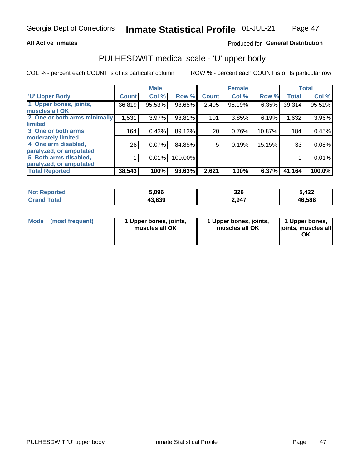### **All Active Inmates**

## Produced for General Distribution

# PULHESDWIT medical scale - 'U' upper body

COL % - percent each COUNT is of its particular column

|                              |              | <b>Male</b> |         |              | <b>Female</b> |        |              | <b>Total</b> |
|------------------------------|--------------|-------------|---------|--------------|---------------|--------|--------------|--------------|
| <b>U' Upper Body</b>         | <b>Count</b> | Col %       | Row %   | <b>Count</b> | Col %         | Row %  | <b>Total</b> | Col %        |
| 1 Upper bones, joints,       | 36,819       | 95.53%      | 93.65%  | 2,495        | 95.19%        | 6.35%  | 39,314       | 95.51%       |
| muscles all OK               |              |             |         |              |               |        |              |              |
| 2 One or both arms minimally | 1,531        | 3.97%       | 93.81%  | 101          | 3.85%         | 6.19%  | 1,632        | 3.96%        |
| limited                      |              |             |         |              |               |        |              |              |
| 3 One or both arms           | 164          | 0.43%       | 89.13%  | 20           | 0.76%         | 10.87% | 184          | 0.45%        |
| <b>moderately limited</b>    |              |             |         |              |               |        |              |              |
| 4 One arm disabled,          | 28           | 0.07%       | 84.85%  | 5            | 0.19%         | 15.15% | 33           | 0.08%        |
| paralyzed, or amputated      |              |             |         |              |               |        |              |              |
| 5 Both arms disabled,        |              | 0.01%       | 100.00% |              |               |        |              | 0.01%        |
| paralyzed, or amputated      |              |             |         |              |               |        |              |              |
| <b>Total Reported</b>        | 38,543       | 100%        | 93.63%  | 2,621        | 100%          | 6.37%  | 41,164       | 100.0%       |

| <b>Not Reported</b> | 5,096  | 326   | 5,422  |
|---------------------|--------|-------|--------|
| Total<br>'Grand     | 43,639 | 2,947 | 46,586 |

| Mode<br>(most frequent) | 1 Upper bones, joints,<br>muscles all OK | 1 Upper bones, joints,<br>muscles all OK | 1 Upper bones,<br>joints, muscles all<br>ΟK |
|-------------------------|------------------------------------------|------------------------------------------|---------------------------------------------|
|-------------------------|------------------------------------------|------------------------------------------|---------------------------------------------|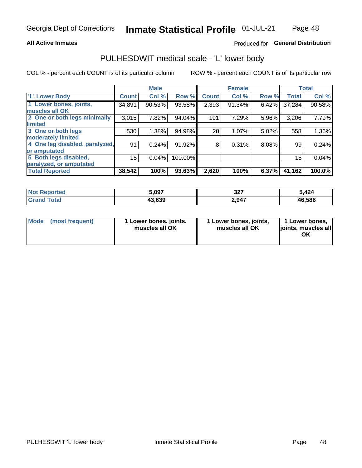### **All Active Inmates**

## Produced for General Distribution

## PULHESDWIT medical scale - 'L' lower body

COL % - percent each COUNT is of its particular column

|                                |              | <b>Male</b> |         |              | <b>Female</b> |       |              | <b>Total</b> |
|--------------------------------|--------------|-------------|---------|--------------|---------------|-------|--------------|--------------|
| 'L' Lower Body                 | <b>Count</b> | Col %       | Row %   | <b>Count</b> | Col %         | Row % | <b>Total</b> | Col %        |
| 1 Lower bones, joints,         | 34,891       | 90.53%      | 93.58%  | 2,393        | 91.34%        | 6.42% | 37,284       | 90.58%       |
| muscles all OK                 |              |             |         |              |               |       |              |              |
| 2 One or both legs minimally   | 3,015        | 7.82%       | 94.04%  | 191          | 7.29%         | 5.96% | 3,206        | 7.79%        |
| limited                        |              |             |         |              |               |       |              |              |
| 3 One or both legs             | 530          | 1.38%       | 94.98%  | 28           | 1.07%         | 5.02% | 558          | 1.36%        |
| moderately limited             |              |             |         |              |               |       |              |              |
| 4 One leg disabled, paralyzed, | 91           | 0.24%       | 91.92%  | 8            | 0.31%         | 8.08% | 99           | 0.24%        |
| or amputated                   |              |             |         |              |               |       |              |              |
| 5 Both legs disabled,          | 15           | 0.04%       | 100.00% |              |               |       | 15           | 0.04%        |
| paralyzed, or amputated        |              |             |         |              |               |       |              |              |
| <b>Total Reported</b>          | 38,542       | 100%        | 93.63%  | 2,620        | 100%          | 6.37% | 41,162       | 100.0%       |

| <b>Not Reported</b> | ,097                 | 227<br>JZ 1 | 5,424  |
|---------------------|----------------------|-------------|--------|
| $\tau$ otal<br>Grar | 43,639<br>$\sqrt{2}$ | 2,947       | 46,586 |

| Mode | (most frequent) | 1 Lower bones, joints,<br>muscles all OK | 1 Lower bones, joints,<br>muscles all OK | 1 Lower bones,<br>ljoints, muscles all<br>ОK |
|------|-----------------|------------------------------------------|------------------------------------------|----------------------------------------------|
|------|-----------------|------------------------------------------|------------------------------------------|----------------------------------------------|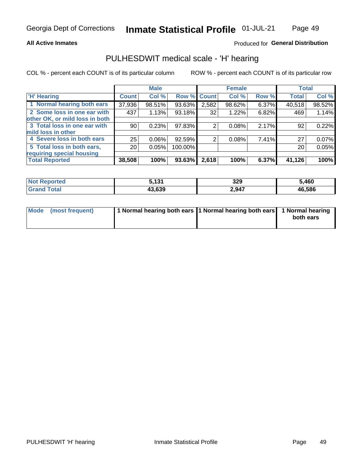### **All Active Inmates**

## Produced for General Distribution

## PULHESDWIT medical scale - 'H' hearing

COL % - percent each COUNT is of its particular column

|                                |                 | <b>Male</b> |                    |       | <b>Female</b> |       | <b>Total</b> |        |
|--------------------------------|-----------------|-------------|--------------------|-------|---------------|-------|--------------|--------|
| <b>'H' Hearing</b>             | <b>Count</b>    | Col %       | <b>Row % Count</b> |       | Col %         | Row % | <b>Total</b> | Col %  |
| 1 Normal hearing both ears     | 37,936          | 98.51%      | 93.63%             | 2,582 | 98.62%        | 6.37% | 40,518       | 98.52% |
| 2 Some loss in one ear with    | 437             | 1.13%       | 93.18%             | 32    | 1.22%         | 6.82% | 469          | 1.14%  |
| other OK, or mild loss in both |                 |             |                    |       |               |       |              |        |
| 3 Total loss in one ear with   | 90 <sup>°</sup> | 0.23%       | 97.83%             | 2     | 0.08%         | 2.17% | 92           | 0.22%  |
| mild loss in other             |                 |             |                    |       |               |       |              |        |
| 4 Severe loss in both ears     | 25              | 0.06%       | 92.59%             | 2     | 0.08%         | 7.41% | 27           | 0.07%  |
| 5 Total loss in both ears,     | 20 <sub>1</sub> | 0.05%       | 100.00%            |       |               |       | 20           | 0.05%  |
| requiring special housing      |                 |             |                    |       |               |       |              |        |
| <b>Total Reported</b>          | 38,508          | 100%        | 93.63%             | 2,618 | 100%          | 6.37% | 41,126       | 100%   |

| morted                  | 121    | 220<br>JLJ<br>. . | .460   |
|-------------------------|--------|-------------------|--------|
| $f$ $f \circ f \circ f$ | 43.639 | 2,947             | 46,586 |

| Mode (most frequent) | 1 Normal hearing both ears 1 Normal hearing both ears 1 Normal hearing |           |
|----------------------|------------------------------------------------------------------------|-----------|
|                      |                                                                        | both ears |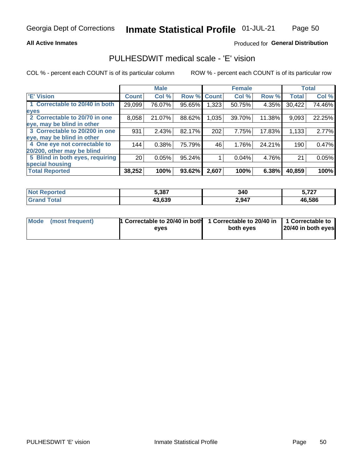### **All Active Inmates**

## Produced for General Distribution

## PULHESDWIT medical scale - 'E' vision

COL % - percent each COUNT is of its particular column

|                                 |                 | <b>Male</b> |        |              | <b>Female</b> |        |              | <b>Total</b> |
|---------------------------------|-----------------|-------------|--------|--------------|---------------|--------|--------------|--------------|
| 'E' Vision                      | <b>Count</b>    | Col %       | Row %  | <b>Count</b> | Col %         | Row %  | <b>Total</b> | Col %        |
| 1 Correctable to 20/40 in both  | 29,099          | 76.07%      | 95.65% | .323         | 50.75%        | 4.35%  | 30,422       | 74.46%       |
| eyes                            |                 |             |        |              |               |        |              |              |
| 2 Correctable to 20/70 in one   | 8,058           | 21.07%      | 88.62% | 1,035        | 39.70%        | 11.38% | 9,093        | 22.25%       |
| eye, may be blind in other      |                 |             |        |              |               |        |              |              |
| 3 Correctable to 20/200 in one  | 931             | 2.43%       | 82.17% | 202          | 7.75%         | 17.83% | 1,133        | 2.77%        |
| eye, may be blind in other      |                 |             |        |              |               |        |              |              |
| 4 One eye not correctable to    | 144             | 0.38%       | 75.79% | 46           | 1.76%         | 24.21% | 190          | 0.47%        |
| 20/200, other may be blind      |                 |             |        |              |               |        |              |              |
| 5 Blind in both eyes, requiring | 20 <sub>1</sub> | 0.05%       | 95.24% |              | 0.04%         | 4.76%  | 21           | 0.05%        |
| special housing                 |                 |             |        |              |               |        |              |              |
| <b>Total Reported</b>           | 38,252          | 100%        | 93.62% | 2,607        | 100%          | 6.38%  | 40,859       | 100%         |

| <b>Not Reported</b> | 5,387  | 340   | - 707<br>J.I 41 |
|---------------------|--------|-------|-----------------|
| Total<br>Grand      | 43,639 | 2,947 | 46,586          |

| Mode (most frequent) | 1 Correctable to 20/40 in both<br>eves | 1 Correctable to 20/40 in   1 Correctable to  <br>both eves | 20/40 in both eyes |
|----------------------|----------------------------------------|-------------------------------------------------------------|--------------------|
|                      |                                        |                                                             |                    |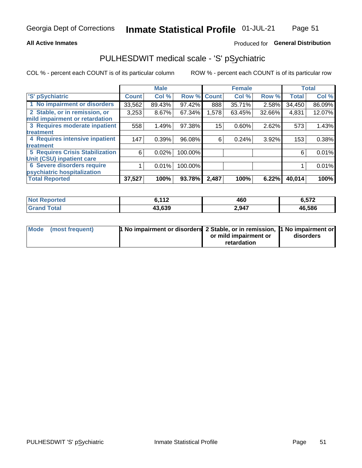### **All Active Inmates**

## Produced for General Distribution

# PULHESDWIT medical scale - 'S' pSychiatric

COL % - percent each COUNT is of its particular column

|                                        |              | <b>Male</b> |         |              | <b>Female</b> |        |              | <b>Total</b> |
|----------------------------------------|--------------|-------------|---------|--------------|---------------|--------|--------------|--------------|
| 'S' pSychiatric                        | <b>Count</b> | Col %       | Row %   | <b>Count</b> | Col %         | Row %  | <b>Total</b> | Col %        |
| 1 No impairment or disorders           | 33,562       | 89.43%      | 97.42%  | 888          | 35.71%        | 2.58%  | 34,450       | 86.09%       |
| 2 Stable, or in remission, or          | 3,253        | $8.67\%$    | 67.34%  | 1,578        | 63.45%        | 32.66% | 4,831        | 12.07%       |
| mild impairment or retardation         |              |             |         |              |               |        |              |              |
| 3 Requires moderate inpatient          | 558          | 1.49%       | 97.38%  | 15           | $0.60\%$      | 2.62%  | 573          | 1.43%        |
| treatment                              |              |             |         |              |               |        |              |              |
| 4 Requires intensive inpatient         | 147          | 0.39%       | 96.08%  | 6            | 0.24%         | 3.92%  | 153          | 0.38%        |
| treatment                              |              |             |         |              |               |        |              |              |
| <b>5 Requires Crisis Stabilization</b> | 6            | 0.02%       | 100.00% |              |               |        | 6            | 0.01%        |
| Unit (CSU) inpatient care              |              |             |         |              |               |        |              |              |
| <b>6 Severe disorders require</b>      |              | 0.01%       | 100.00% |              |               |        |              | 0.01%        |
| psychiatric hospitalization            |              |             |         |              |               |        |              |              |
| <b>Total Reported</b>                  | 37,527       | 100%        | 93.78%  | 2,487        | 100%          | 6.22%  | 40,014       | 100%         |

| <b>Not Reported</b>  | 2.117<br>- 14 | 460   | 6,572  |
|----------------------|---------------|-------|--------|
| <b>Total</b><br>.Grs | 43.639        | 2,947 | 46,586 |

| Mode | (most frequent) | 1 No impairment or disorders 2 Stable, or in remission, 1 No impairment or |                       |           |
|------|-----------------|----------------------------------------------------------------------------|-----------------------|-----------|
|      |                 |                                                                            | or mild impairment or | disorders |
|      |                 |                                                                            | retardation           |           |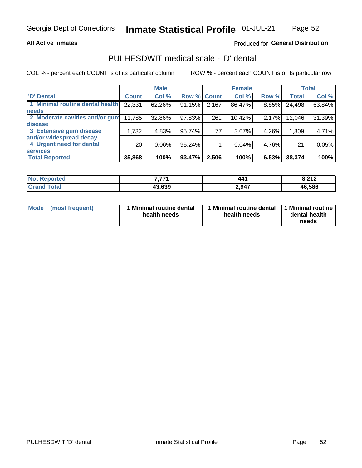### **All Active Inmates**

## Produced for General Distribution

# PULHESDWIT medical scale - 'D' dental

COL % - percent each COUNT is of its particular column

|                                 |                 | <b>Male</b> |             |       | <b>Female</b> |       |              | <b>Total</b> |
|---------------------------------|-----------------|-------------|-------------|-------|---------------|-------|--------------|--------------|
| <b>D'</b> Dental                | <b>Count</b>    | Col %       | Row % Count |       | Col %         | Row % | <b>Total</b> | Col %        |
| 1 Minimal routine dental health | 22,331          | 62.26%      | 91.15%      | 2,167 | 86.47%        | 8.85% | 24,498       | 63.84%       |
| <b>needs</b>                    |                 |             |             |       |               |       |              |              |
| 2 Moderate cavities and/or gum  | 11,785          | 32.86%      | 97.83%      | 261   | 10.42%        | 2.17% | 12,046       | 31.39%       |
| disease                         |                 |             |             |       |               |       |              |              |
| 3 Extensive gum disease         | 1,732           | 4.83%       | 95.74%      | 77    | 3.07%         | 4.26% | 1,809        | 4.71%        |
| and/or widespread decay         |                 |             |             |       |               |       |              |              |
| 4 Urgent need for dental        | 20 <sub>1</sub> | $0.06\%$    | 95.24%      |       | 0.04%         | 4.76% | 21           | 0.05%        |
| <b>services</b>                 |                 |             |             |       |               |       |              |              |
| <b>Total Reported</b>           | 35,868          | 100%        | 93.47%      | 2,506 | 100%          | 6.53% | 38,374       | 100%         |

| ాorted       | フラフィ                               | 441   | 0.212   |
|--------------|------------------------------------|-------|---------|
| <b>NOT</b>   |                                    |       | 0.Z I Z |
| <b>Total</b> | .3.639<br>$\overline{\phantom{a}}$ | 2,947 | 46,586  |

| <b>Mode</b> | (most frequent) | Minimal routine dental<br>health needs | 1 Minimal routine dental 11 Minimal routine<br>health needs | dental health<br>needs |
|-------------|-----------------|----------------------------------------|-------------------------------------------------------------|------------------------|
|-------------|-----------------|----------------------------------------|-------------------------------------------------------------|------------------------|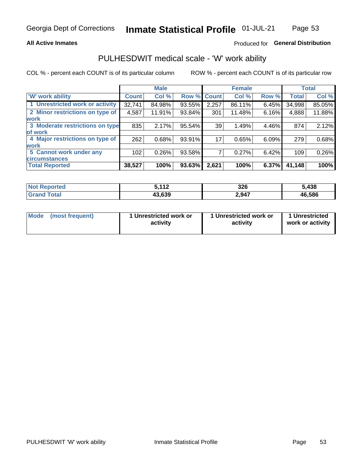### **All Active Inmates**

## Produced for General Distribution

## PULHESDWIT medical scale - 'W' work ability

COL % - percent each COUNT is of its particular column

|                                 |                  | <b>Male</b> |        |             | <b>Female</b> |       |              | <b>Total</b> |
|---------------------------------|------------------|-------------|--------|-------------|---------------|-------|--------------|--------------|
| <b>W' work ability</b>          | <b>Count</b>     | Col %       |        | Row % Count | Col %         | Row % | <b>Total</b> | Col %        |
| 1 Unrestricted work or activity | 32,741           | 84.98%      | 93.55% | 2,257       | 86.11%        | 6.45% | 34,998       | 85.05%       |
| 2 Minor restrictions on type of | 4,587            | 11.91%      | 93.84% | 301         | 11.48%        | 6.16% | 4,888        | 11.88%       |
| <b>work</b>                     |                  |             |        |             |               |       |              |              |
| 3 Moderate restrictions on type | 835              | 2.17%       | 95.54% | 39          | 1.49%         | 4.46% | 874          | 2.12%        |
| lof work                        |                  |             |        |             |               |       |              |              |
| 4 Major restrictions on type of | 262              | 0.68%       | 93.91% | 17          | 0.65%         | 6.09% | 279          | 0.68%        |
| <b>work</b>                     |                  |             |        |             |               |       |              |              |
| 5 Cannot work under any         | 102 <sub>2</sub> | 0.26%       | 93.58% |             | 0.27%         | 6.42% | 109          | 0.26%        |
| <b>circumstances</b>            |                  |             |        |             |               |       |              |              |
| <b>Total Reported</b>           | 38,527           | 100%        | 93.63% | 2,621       | 100%          | 6.37% | 41,148       | 100%         |

| <b>Not Reported</b> | こ イイつ<br>11 L | 326   | 5,438  |
|---------------------|---------------|-------|--------|
| Total<br>Grand      | 43,639        | 2,947 | 46,586 |

| <b>Mode</b>     | 1 Unrestricted work or | 1 Unrestricted work or | 1 Unrestricted   |
|-----------------|------------------------|------------------------|------------------|
| (most frequent) | activity               | activity               | work or activity |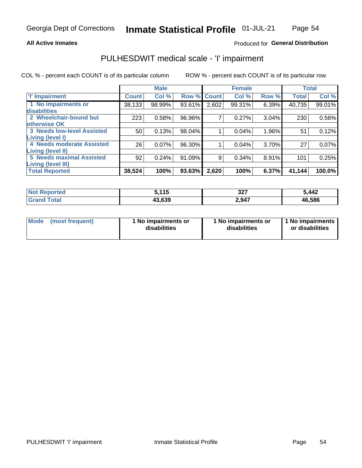### **All Active Inmates**

## Produced for General Distribution

# PULHESDWIT medical scale - 'I' impairment

COL % - percent each COUNT is of its particular column

|                                                              |              | <b>Male</b> |        |             | <b>Female</b> |       |              | <b>Total</b> |
|--------------------------------------------------------------|--------------|-------------|--------|-------------|---------------|-------|--------------|--------------|
| <b>T' Impairment</b>                                         | <b>Count</b> | Col %       |        | Row % Count | Col %         | Row % | <b>Total</b> | Col %        |
| 1 No impairments or<br>disabilities                          | 38,133       | 98.99%      | 93.61% | 2,602       | 99.31%        | 6.39% | 40,735       | 99.01%       |
| 2 Wheelchair-bound but<br>otherwise OK                       | 223          | 0.58%       | 96.96% | 7           | 0.27%         | 3.04% | 230          | 0.56%        |
| <b>3 Needs low-level Assisted</b><br>Living (level I)        | 50           | 0.13%       | 98.04% |             | 0.04%         | 1.96% | 51           | 0.12%        |
| 4 Needs moderate Assisted<br><b>Living (level II)</b>        | 26           | 0.07%       | 96.30% |             | 0.04%         | 3.70% | 27           | 0.07%        |
| <b>5 Needs maximal Assisted</b><br><b>Living (level III)</b> | 92           | 0.24%       | 91.09% | 9           | 0.34%         | 8.91% | 101          | 0.25%        |
| <b>Total Reported</b>                                        | 38,524       | 100%        | 93.63% | 2,620       | 100%          | 6.37% | 41,144       | 100.0%       |

| <b>Not</b>   | こ イイベ  | 227   | 5,442  |
|--------------|--------|-------|--------|
| Reported     |        | JZ.   |        |
| <b>Total</b> | 43,639 | 2,947 | 46,586 |

| Mode | (most frequent) | 1 No impairments or<br>disabilities | 1 No impairments or<br>disabilities | 1 No impairments<br>or disabilities |
|------|-----------------|-------------------------------------|-------------------------------------|-------------------------------------|
|------|-----------------|-------------------------------------|-------------------------------------|-------------------------------------|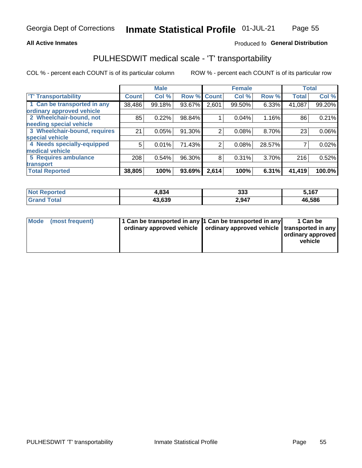### **All Active Inmates**

## Produced fo General Distribution

# PULHESDWIT medical scale - 'T' transportability

COL % - percent each COUNT is of its particular column

|                              |              | <b>Male</b> |        |              | <b>Female</b> |        | <b>Total</b> |          |
|------------------------------|--------------|-------------|--------|--------------|---------------|--------|--------------|----------|
| <b>T' Transportability</b>   | <b>Count</b> | Col %       | Row %  | <b>Count</b> | Col %         | Row %  | <b>Total</b> | Col %    |
| 1 Can be transported in any  | 38,486       | 99.18%      | 93.67% | 2,601        | 99.50%        | 6.33%  | 41,087       | 99.20%   |
| ordinary approved vehicle    |              |             |        |              |               |        |              |          |
| 2 Wheelchair-bound, not      | 85           | 0.22%       | 98.84% |              | 0.04%         | 1.16%  | 86           | 0.21%    |
| needing special vehicle      |              |             |        |              |               |        |              |          |
| 3 Wheelchair-bound, requires | 21           | 0.05%       | 91.30% | 2            | 0.08%         | 8.70%  | 23           | $0.06\%$ |
| special vehicle              |              |             |        |              |               |        |              |          |
| 4 Needs specially-equipped   | 5            | 0.01%       | 71.43% | 2            | 0.08%         | 28.57% |              | 0.02%    |
| medical vehicle              |              |             |        |              |               |        |              |          |
| <b>5 Requires ambulance</b>  | 208          | 0.54%       | 96.30% | 8            | 0.31%         | 3.70%  | 216          | 0.52%    |
| transport                    |              |             |        |              |               |        |              |          |
| <b>Total Reported</b>        | 38,805       | 100%        | 93.69% | 2,614        | 100%          | 6.31%  | 41,419       | 100.0%   |

| Reported<br>NOI | .834   | 333   | 5,167  |
|-----------------|--------|-------|--------|
| <b>Total</b>    | 43,639 | 2,947 | 46,586 |

|  | Mode (most frequent) | 1 Can be transported in any 1 Can be transported in any<br>ordinary approved vehicle   ordinary approved vehicle   transported in any |  | 1 Can be<br>  ordinary approved  <br>vehicle |
|--|----------------------|---------------------------------------------------------------------------------------------------------------------------------------|--|----------------------------------------------|
|--|----------------------|---------------------------------------------------------------------------------------------------------------------------------------|--|----------------------------------------------|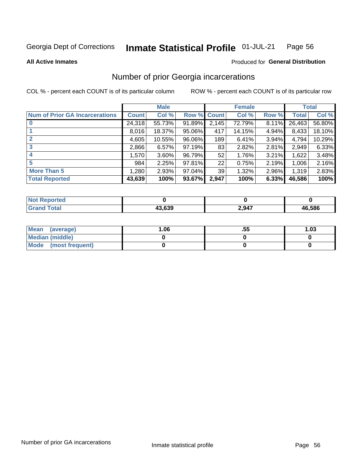#### Inmate Statistical Profile 01-JUL-21 Page 56

**All Active Inmates** 

### **Produced for General Distribution**

## Number of prior Georgia incarcerations

COL % - percent each COUNT is of its particular column

|                                       |              | <b>Male</b> |             |       | <b>Female</b> |       |        | <b>Total</b> |
|---------------------------------------|--------------|-------------|-------------|-------|---------------|-------|--------|--------------|
| <b>Num of Prior GA Incarcerations</b> | <b>Count</b> | Col %       | Row % Count |       | Col %         | Row % | Total  | Col %        |
|                                       | 24,318       | 55.73%      | 91.89%      | 2,145 | 72.79%        | 8.11% | 26,463 | 56.80%       |
|                                       | 8,016        | 18.37%      | 95.06%      | 417   | 14.15%        | 4.94% | 8,433  | 18.10%       |
| $\overline{2}$                        | 4,605        | 10.55%      | 96.06%      | 189   | 6.41%         | 3.94% | 4,794  | 10.29%       |
| 3                                     | 2,866        | 6.57%       | 97.19%      | 83    | 2.82%         | 2.81% | 2,949  | 6.33%        |
| $\boldsymbol{4}$                      | 1,570        | $3.60\%$    | 96.79%      | 52    | 1.76%         | 3.21% | 1,622  | 3.48%        |
| 5                                     | 984          | 2.25%       | 97.81%      | 22    | 0.75%         | 2.19% | 1,006  | 2.16%        |
| <b>More Than 5</b>                    | 1,280        | 2.93%       | 97.04%      | 39    | 1.32%         | 2.96% | 1,319  | 2.83%        |
| <b>Total Reported</b>                 | 43,639       | 100%        | 93.67%      | 2,947 | 100%          | 6.33% | 46,586 | 100%         |

| <b>Not</b><br>Reported |        |       |        |
|------------------------|--------|-------|--------|
| Total<br>"Gran∟        | 43.639 | 2,947 | 46,586 |

| Mean (average)         | 06.، | .55 | 1.03 |
|------------------------|------|-----|------|
| <b>Median (middle)</b> |      |     |      |
| Mode (most frequent)   |      |     |      |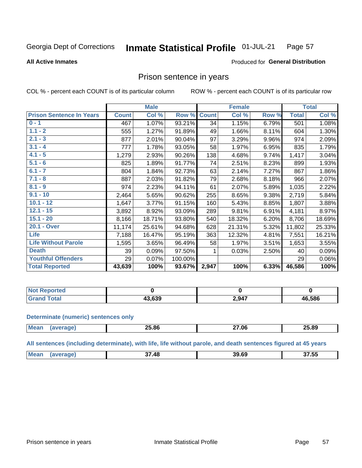#### Inmate Statistical Profile 01-JUL-21 Page 57

**All Active Inmates** 

### Produced for General Distribution

## Prison sentence in years

COL % - percent each COUNT is of its particular column

ROW % - percent each COUNT is of its particular row

|                                 |              | <b>Male</b> |         |              | <b>Female</b> |       |              | <b>Total</b> |
|---------------------------------|--------------|-------------|---------|--------------|---------------|-------|--------------|--------------|
| <b>Prison Sentence In Years</b> | <b>Count</b> | Col %       | Row %   | <b>Count</b> | Col %         | Row % | <b>Total</b> | Col %        |
| $0 - 1$                         | 467          | 1.07%       | 93.21%  | 34           | 1.15%         | 6.79% | 501          | 1.08%        |
| $1.1 - 2$                       | 555          | 1.27%       | 91.89%  | 49           | 1.66%         | 8.11% | 604          | 1.30%        |
| $2.1 - 3$                       | 877          | 2.01%       | 90.04%  | 97           | 3.29%         | 9.96% | 974          | 2.09%        |
| $3.1 - 4$                       | 777          | 1.78%       | 93.05%  | 58           | 1.97%         | 6.95% | 835          | 1.79%        |
| $4.1 - 5$                       | 1,279        | 2.93%       | 90.26%  | 138          | 4.68%         | 9.74% | 1,417        | 3.04%        |
| $5.1 - 6$                       | 825          | 1.89%       | 91.77%  | 74           | 2.51%         | 8.23% | 899          | 1.93%        |
| $6.1 - 7$                       | 804          | 1.84%       | 92.73%  | 63           | 2.14%         | 7.27% | 867          | 1.86%        |
| $7.1 - 8$                       | 887          | 2.03%       | 91.82%  | 79           | 2.68%         | 8.18% | 966          | 2.07%        |
| $8.1 - 9$                       | 974          | 2.23%       | 94.11%  | 61           | 2.07%         | 5.89% | 1,035        | 2.22%        |
| $9.1 - 10$                      | 2,464        | 5.65%       | 90.62%  | 255          | 8.65%         | 9.38% | 2,719        | 5.84%        |
| $10.1 - 12$                     | 1,647        | 3.77%       | 91.15%  | 160          | 5.43%         | 8.85% | 1,807        | 3.88%        |
| $12.1 - 15$                     | 3,892        | 8.92%       | 93.09%  | 289          | 9.81%         | 6.91% | 4,181        | 8.97%        |
| $15.1 - 20$                     | 8,166        | 18.71%      | 93.80%  | 540          | 18.32%        | 6.20% | 8,706        | 18.69%       |
| 20.1 - Over                     | 11,174       | 25.61%      | 94.68%  | 628          | 21.31%        | 5.32% | 11,802       | 25.33%       |
| Life                            | 7,188        | 16.47%      | 95.19%  | 363          | 12.32%        | 4.81% | 7,551        | 16.21%       |
| <b>Life Without Parole</b>      | 1,595        | 3.65%       | 96.49%  | 58           | 1.97%         | 3.51% | 1,653        | 3.55%        |
| <b>Death</b>                    | 39           | 0.09%       | 97.50%  |              | 0.03%         | 2.50% | 40           | 0.09%        |
| <b>Youthful Offenders</b>       | 29           | 0.07%       | 100.00% |              |               |       | 29           | 0.06%        |
| <b>Total Reported</b>           | 43,639       | 100%        | 93.67%  | 2,947        | 100%          | 6.33% | 46,586       | 100%         |

| <b>Not Reported</b> |            |       |        |
|---------------------|------------|-------|--------|
| <b>c</b> otal       | $\sim$ 000 | 2,947 | 46,586 |

### **Determinate (numeric) sentences only**

| <b>Mea</b> | 25 RR | 27 በ6<br>___ | 25.89 |
|------------|-------|--------------|-------|
|            |       |              |       |

All sentences (including determinate), with life, life without parole, and death sentences figured at 45 years

| <b>Mean</b> | 48<br>~- | 39.69 | $\sim$ $\sim$ $\sim$<br>37.55 |
|-------------|----------|-------|-------------------------------|
|             |          |       |                               |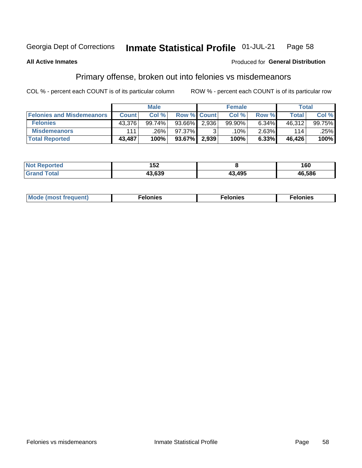#### Inmate Statistical Profile 01-JUL-21 Page 58

### **All Active Inmates**

### **Produced for General Distribution**

# Primary offense, broken out into felonies vs misdemeanors

COL % - percent each COUNT is of its particular column

|                                  | <b>Male</b>  |        |                    |       | <b>Female</b> | Total    |              |        |
|----------------------------------|--------------|--------|--------------------|-------|---------------|----------|--------------|--------|
| <b>Felonies and Misdemeanors</b> | <b>Count</b> | Col %  | <b>Row % Count</b> |       | Col %         | Row %    | <b>Total</b> | Col %  |
| <b>Felonies</b>                  | 43,376       | 99.74% | 93.66%             | 2,936 | 99.90%        | 6.34%    | 46,312       | 99.75% |
| <b>Misdemeanors</b>              | 111          | .26%   | 97.37%             |       | .10%          | $2.63\%$ | 114          | .25%   |
| <b>Total Reported</b>            | 43,487       | 100%   | $93.67\%$          | 2,939 | 100%          | 6.33%    | 46.426       | 100%   |

| <b>Not</b><br>Reported | IJZ    |       | 160    |
|------------------------|--------|-------|--------|
| <b>Granc</b><br>™otaï  | 13.639 | 3,495 | 46,586 |

| M      | .    | nes | onies |
|--------|------|-----|-------|
| nuenti | ____ | .   | .     |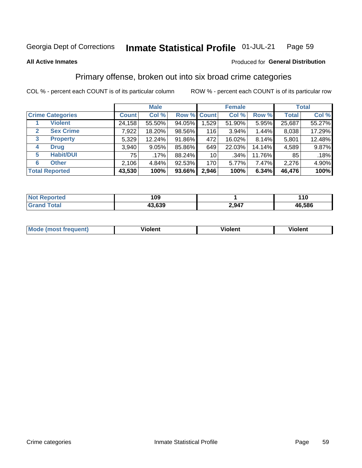### Inmate Statistical Profile 01-JUL-21 Page 59

### **All Active Inmates**

### Produced for General Distribution

## Primary offense, broken out into six broad crime categories

COL % - percent each COUNT is of its particular column

|                                  |              | <b>Male</b> |        |                 | <b>Female</b> | <b>Total</b> |              |        |
|----------------------------------|--------------|-------------|--------|-----------------|---------------|--------------|--------------|--------|
| <b>Crime Categories</b>          | <b>Count</b> | Col %       |        | Row % Count     | Col %         | Row %        | <b>Total</b> | Col %  |
| <b>Violent</b>                   | 24,158       | 55.50%      | 94.05% | 1,529           | 51.90%        | 5.95%        | 25,687       | 55.27% |
| <b>Sex Crime</b><br>$\mathbf{2}$ | 7,922        | 18.20%      | 98.56% | 116             | 3.94%         | 1.44%        | 8,038        | 17.29% |
| <b>Property</b><br>3             | 5,329        | 12.24%      | 91.86% | 472             | 16.02%        | 8.14%        | 5,801        | 12.48% |
| <b>Drug</b><br>4                 | 3,940        | 9.05%       | 85.86% | 649             | 22.03%        | 14.14%       | 4,589        | 9.87%  |
| <b>Habit/DUI</b><br>5            | 75           | .17%        | 88.24% | 10 <sup>1</sup> | .34%          | 11.76%       | 85           | .18%   |
| <b>Other</b><br>6                | 2,106        | 4.84%       | 92.53% | 170             | $5.77\%$      | 7.47%        | 2,276        | 4.90%  |
| <b>Total Reported</b>            | 43,530       | 100%        | 93.66% | 2,946           | 100%          | 6.34%        | 46,476       | 100%   |

| <b>TEG</b><br>NO | 109    |               | 110    |
|------------------|--------|---------------|--------|
| $-$              | 13.639 | 2947<br>L.JTI | 46,586 |

| M | - --<br>1010111 | .<br><b>VIOIGIIL</b> | 1.91311 |
|---|-----------------|----------------------|---------|
|   |                 |                      |         |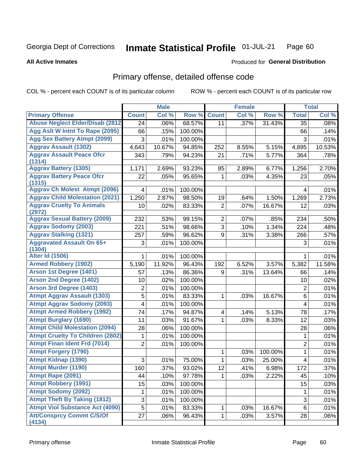#### Inmate Statistical Profile 01-JUL-21 Page 60

### **All Active Inmates**

## **Produced for General Distribution**

# Primary offense, detailed offense code

COL % - percent each COUNT is of its particular column

|                                            |                         | <b>Male</b> |         |                | <b>Female</b> |         |                         | <b>Total</b> |
|--------------------------------------------|-------------------------|-------------|---------|----------------|---------------|---------|-------------------------|--------------|
| <b>Primary Offense</b>                     | <b>Count</b>            | Col %       | Row %   | <b>Count</b>   | Col %         | Row %   | <b>Total</b>            | Col %        |
| <b>Abuse Neglect Elder/Disab (2812)</b>    | 24                      | .06%        | 68.57%  | 11             | .37%          | 31.43%  | 35                      | .08%         |
| Agg Aslt W Intnt To Rape (2095)            | 66                      | .15%        | 100.00% |                |               |         | 66                      | .14%         |
| <b>Agg Sex Battery Atmpt (2099)</b>        | 3                       | .01%        | 100.00% |                |               |         | 3                       | .01%         |
| <b>Aggrav Assault (1302)</b>               | 4,643                   | 10.67%      | 94.85%  | 252            | 8.55%         | 5.15%   | 4,895                   | 10.53%       |
| <b>Aggrav Assault Peace Ofcr</b><br>(1314) | 343                     | .79%        | 94.23%  | 21             | .71%          | 5.77%   | 364                     | .78%         |
| <b>Aggrav Battery (1305)</b>               | 1,171                   | 2.69%       | 93.23%  | 85             | 2.89%         | 6.77%   | 1,256                   | 2.70%        |
| <b>Aggrav Battery Peace Ofcr</b><br>(1315) | 22                      | .05%        | 95.65%  | 1              | .03%          | 4.35%   | 23                      | .05%         |
| <b>Aggrav Ch Molest Atmpt (2096)</b>       | 4                       | .01%        | 100.00% |                |               |         | 4                       | .01%         |
| <b>Aggrav Child Molestation (2021)</b>     | 1,250                   | 2.87%       | 98.50%  | 19             | .64%          | 1.50%   | 1,269                   | 2.73%        |
| <b>Aggrav Cruelty To Animals</b><br>(2972) | 10                      | .02%        | 83.33%  | $\overline{2}$ | .07%          | 16.67%  | 12                      | .03%         |
| <b>Aggrav Sexual Battery (2009)</b>        | 232                     | .53%        | 99.15%  | $\overline{2}$ | .07%          | .85%    | 234                     | .50%         |
| <b>Aggrav Sodomy (2003)</b>                | 221                     | .51%        | 98.66%  | 3              | .10%          | 1.34%   | 224                     | .48%         |
| <b>Aggrav Stalking (1321)</b>              | 257                     | .59%        | 96.62%  | 9              | .31%          | 3.38%   | 266                     | .57%         |
| <b>Aggravated Assault On 65+</b><br>(1304) | 3                       | .01%        | 100.00% |                |               |         | 3                       | .01%         |
| <b>Alter Id (1506)</b>                     |                         | .01%        | 100.00% |                |               |         | 1                       | .01%         |
| <b>Armed Robbery (1902)</b>                | 5,190                   | 11.92%      | 96.43%  | 192            | 6.52%         | 3.57%   | 5,382                   | 11.58%       |
| Arson 1st Degree (1401)                    | 57                      | .13%        | 86.36%  | 9              | .31%          | 13.64%  | 66                      | .14%         |
| <b>Arson 2nd Degree (1402)</b>             | 10                      | .02%        | 100.00% |                |               |         | 10                      | .02%         |
| <b>Arson 3rd Degree (1403)</b>             | $\overline{c}$          | .01%        | 100.00% |                |               |         | 2                       | .01%         |
| <b>Atmpt Aggrav Assault (1303)</b>         | 5                       | .01%        | 83.33%  | 1              | .03%          | 16.67%  | $\,6$                   | .01%         |
| <b>Atmpt Aggrav Sodomy (2093)</b>          | $\overline{\mathbf{4}}$ | .01%        | 100.00% |                |               |         | $\overline{\mathbf{4}}$ | .01%         |
| <b>Atmpt Armed Robbery (1992)</b>          | 74                      | .17%        | 94.87%  | 4              | .14%          | 5.13%   | 78                      | .17%         |
| <b>Atmpt Burglary (1690)</b>               | 11                      | .03%        | 91.67%  | 1              | .03%          | 8.33%   | 12                      | .03%         |
| <b>Atmpt Child Molestation (2094)</b>      | 28                      | .06%        | 100.00% |                |               |         | 28                      | .06%         |
| <b>Atmpt Cruelty To Children (2802)</b>    | 1                       | .01%        | 100.00% |                |               |         | 1                       | .01%         |
| <b>Atmpt Finan Ident Frd (7014)</b>        | $\overline{2}$          | .01%        | 100.00% |                |               |         | $\overline{2}$          | .01%         |
| <b>Atmpt Forgery (1790)</b>                |                         |             |         | 1              | .03%          | 100.00% | 1                       | .01%         |
| <b>Atmpt Kidnap (1390)</b>                 | 3                       | .01%        | 75.00%  | 1              | .03%          | 25.00%  | 4                       | .01%         |
| <b>Atmpt Murder (1190)</b>                 | 160                     | .37%        | 93.02%  | 12             | .41%          | 6.98%   | 172                     | .37%         |
| Atmpt Rape (2091)                          | 44                      | .10%        | 97.78%  | 1              | .03%          | 2.22%   | 45                      | .10%         |
| <b>Atmpt Robbery (1991)</b>                | 15                      | .03%        | 100.00% |                |               |         | 15                      | .03%         |
| <b>Atmpt Sodomy (2092)</b>                 | 1                       | .01%        | 100.00% |                |               |         | 1                       | .01%         |
| <b>Atmpt Theft By Taking (1812)</b>        | 3                       | .01%        | 100.00% |                |               |         | 3                       | .01%         |
| <b>Atmpt Viol Substance Act (4090)</b>     | 5                       | .01%        | 83.33%  | 1              | .03%          | 16.67%  | 6                       | .01%         |
| <b>Att/Consprcy Commt C/S/Of</b><br>(4134) | 27                      | .06%        | 96.43%  | 1              | .03%          | 3.57%   | 28                      | .06%         |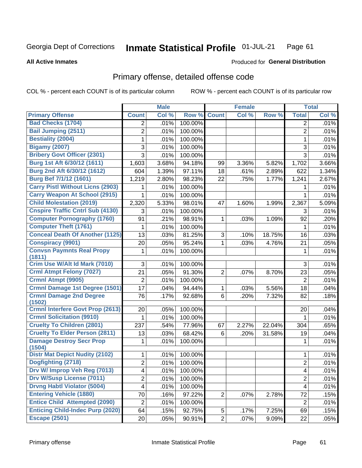#### **Inmate Statistical Profile 01-JUL-21** Page 61

### **All Active Inmates**

# **Produced for General Distribution**

# Primary offense, detailed offense code

COL % - percent each COUNT is of its particular column

|                                           |                | <b>Male</b> |         |                | <b>Female</b> |        |                          | <b>Total</b> |
|-------------------------------------------|----------------|-------------|---------|----------------|---------------|--------|--------------------------|--------------|
| <b>Primary Offense</b>                    | <b>Count</b>   | Col %       | Row %   | <b>Count</b>   | Col %         | Row %  | <b>Total</b>             | Col %        |
| <b>Bad Checks (1704)</b>                  | 2              | .01%        | 100.00% |                |               |        | 2                        | .01%         |
| <b>Bail Jumping (2511)</b>                | $\overline{2}$ | .01%        | 100.00% |                |               |        | $\overline{2}$           | .01%         |
| <b>Bestiality (2004)</b>                  | 1              | .01%        | 100.00% |                |               |        | 1                        | .01%         |
| <b>Bigamy (2007)</b>                      | 3              | .01%        | 100.00% |                |               |        | $\sqrt{3}$               | .01%         |
| <b>Bribery Govt Officer (2301)</b>        | 3              | .01%        | 100.00% |                |               |        | $\overline{3}$           | .01%         |
| Burg 1st Aft 6/30/12 (1611)               | 1,603          | 3.68%       | 94.18%  | 99             | 3.36%         | 5.82%  | 1,702                    | 3.66%        |
| Burg 2nd Aft 6/30/12 (1612)               | 604            | 1.39%       | 97.11%  | 18             | .61%          | 2.89%  | 622                      | 1.34%        |
| Burg Bef 7/1/12 (1601)                    | 1,219          | 2.80%       | 98.23%  | 22             | .75%          | 1.77%  | 1,241                    | 2.67%        |
| <b>Carry Pistl Without Licns (2903)</b>   | 1              | .01%        | 100.00% |                |               |        | 1                        | .01%         |
| <b>Carry Weapon At School (2915)</b>      | 1              | .01%        | 100.00% |                |               |        | $\mathbf{1}$             | .01%         |
| <b>Child Molestation (2019)</b>           | 2,320          | 5.33%       | 98.01%  | 47             | 1.60%         | 1.99%  | 2,367                    | 5.09%        |
| <b>Cnspire Traffic Cntrl Sub (4130)</b>   | 3              | .01%        | 100.00% |                |               |        | 3                        | .01%         |
| <b>Computer Pornography (1760)</b>        | 91             | .21%        | 98.91%  | $\mathbf{1}$   | .03%          | 1.09%  | 92                       | .20%         |
| <b>Computer Theft (1761)</b>              | 1              | .01%        | 100.00% |                |               |        | 1                        | .01%         |
| <b>Conceal Death Of Another (1125)</b>    | 13             | .03%        | 81.25%  | 3              | .10%          | 18.75% | 16                       | .03%         |
| <b>Conspiracy (9901)</b>                  | 20             | .05%        | 95.24%  | $\mathbf 1$    | .03%          | 4.76%  | 21                       | .05%         |
| <b>Convsn Paymnts Real Propy</b>          | 1              | .01%        | 100.00% |                |               |        | 1                        | .01%         |
| (1811)                                    |                |             |         |                |               |        |                          |              |
| Crim Use W/Alt Id Mark (7010)             | 3              | .01%        | 100.00% |                |               |        | 3                        | .01%         |
| <b>Crml Atmpt Felony (7027)</b>           | 21             | .05%        | 91.30%  | $\overline{2}$ | .07%          | 8.70%  | 23                       | .05%         |
| Crmnl Atmpt (9905)                        | $\overline{c}$ | .01%        | 100.00% |                |               |        | $\overline{2}$           | .01%         |
| <b>Crmnl Damage 1st Degree (1501)</b>     | 17             | .04%        | 94.44%  | $\mathbf{1}$   | .03%          | 5.56%  | 18                       | .04%         |
| <b>Crmnl Damage 2nd Degree</b><br>(1502)  | 76             | .17%        | 92.68%  | 6              | .20%          | 7.32%  | 82                       | .18%         |
| <b>Crmnl Interfere Govt Prop (2613)</b>   | 20             | .05%        | 100.00% |                |               |        | 20                       | .04%         |
| <b>Crmnl Solicitation (9910)</b>          | 1              | .01%        | 100.00% |                |               |        | 1                        | .01%         |
| <b>Cruelty To Children (2801)</b>         | 237            | .54%        | 77.96%  | 67             | 2.27%         | 22.04% | 304                      | .65%         |
| <b>Cruelty To Elder Person (2811)</b>     | 13             | .03%        | 68.42%  | 6              | .20%          | 31.58% | 19                       | .04%         |
| <b>Damage Destroy Secr Prop</b><br>(1504) | 1              | .01%        | 100.00% |                |               |        | 1                        | .01%         |
| <b>Distr Mat Depict Nudity (2102)</b>     | 1              | .01%        | 100.00% |                |               |        | $\mathbf{1}$             | .01%         |
| Dogfighting (2718)                        | $\overline{c}$ | .01%        | 100.00% |                |               |        | $\overline{2}$           | .01%         |
| Drv W/ Improp Veh Reg (7013)              | 4              | .01%        | 100.00% |                |               |        | 4                        | .01%         |
| <b>Drv W/Susp License (7011)</b>          | 2              | .01%        | 100.00% |                |               |        | $\overline{2}$           | .01%         |
| <b>Drvng Habtl Violator (5004)</b>        | 4              | .01%        | 100.00% |                |               |        | $\overline{\mathcal{A}}$ | .01%         |
| <b>Entering Vehicle (1880)</b>            | 70             | .16%        | 97.22%  | $\overline{2}$ | .07%          | 2.78%  | 72                       | .15%         |
| <b>Entice Child Attempted (2090)</b>      | $\overline{c}$ | .01%        | 100.00% |                |               |        | $\overline{2}$           | .01%         |
| <b>Enticing Child-Indec Purp (2020)</b>   | 64             | .15%        | 92.75%  | 5 <sup>1</sup> | .17%          | 7.25%  | 69                       | .15%         |
| <b>Escape (2501)</b>                      | 20             | .05%        | 90.91%  | $\overline{2}$ | .07%          | 9.09%  | 22                       | .05%         |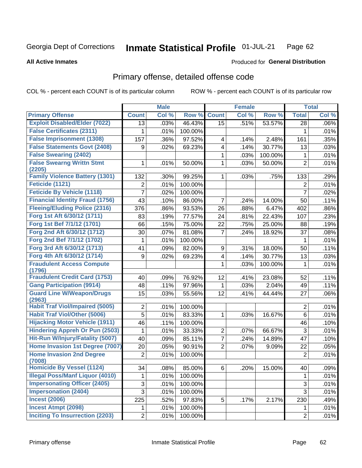#### Inmate Statistical Profile 01-JUL-21 Page 62

### **All Active Inmates**

## Produced for General Distribution

## Primary offense, detailed offense code

COL % - percent each COUNT is of its particular column

|                                            |                | <b>Male</b> |         |                | <b>Female</b> |         |                | <b>Total</b> |
|--------------------------------------------|----------------|-------------|---------|----------------|---------------|---------|----------------|--------------|
| <b>Primary Offense</b>                     | <b>Count</b>   | Col %       | Row %   | <b>Count</b>   | Col %         | Row %   | <b>Total</b>   | Col %        |
| <b>Exploit Disabled/Elder (7022)</b>       | 13             | .03%        | 46.43%  | 15             | .51%          | 53.57%  | 28             | .06%         |
| <b>False Certificates (2311)</b>           | 1              | .01%        | 100.00% |                |               |         | 1              | .01%         |
| <b>False Imprisonment (1308)</b>           | 157            | .36%        | 97.52%  | 4              | .14%          | 2.48%   | 161            | .35%         |
| <b>False Statements Govt (2408)</b>        | 9              | .02%        | 69.23%  | 4              | .14%          | 30.77%  | 13             | .03%         |
| <b>False Swearing (2402)</b>               |                |             |         | 1              | .03%          | 100.00% | 1              | .01%         |
| <b>False Swearng Writtn Stmt</b><br>(2205) | 1              | .01%        | 50.00%  | 1              | .03%          | 50.00%  | $\overline{2}$ | .01%         |
| <b>Family Violence Battery (1301)</b>      | 132            | .30%        | 99.25%  | 1              | .03%          | .75%    | 133            | .29%         |
| Feticide (1121)                            | 2              | .01%        | 100.00% |                |               |         | 2              | .01%         |
| <b>Feticide By Vehicle (1118)</b>          | 7              | .02%        | 100.00% |                |               |         | $\overline{7}$ | .02%         |
| <b>Financial Identity Fraud (1756)</b>     | 43             | .10%        | 86.00%  | 7              | .24%          | 14.00%  | 50             | .11%         |
| <b>Fleeing/Eluding Police (2316)</b>       | 376            | .86%        | 93.53%  | 26             | .88%          | 6.47%   | 402            | .86%         |
| Forg 1st Aft 6/30/12 (1711)                | 83             | .19%        | 77.57%  | 24             | .81%          | 22.43%  | 107            | .23%         |
| Forg 1st Bef 7/1/12 (1701)                 | 66             | .15%        | 75.00%  | 22             | .75%          | 25.00%  | 88             | .19%         |
| Forg 2nd Aft 6/30/12 (1712)                | 30             | .07%        | 81.08%  | 7              | .24%          | 18.92%  | 37             | .08%         |
| Forg 2nd Bef 7/1/12 (1702)                 | 1              | .01%        | 100.00% |                |               |         | 1              | .01%         |
| Forg 3rd Aft 6/30/12 (1713)                | 41             | .09%        | 82.00%  | 9              | .31%          | 18.00%  | 50             | .11%         |
| Forg 4th Aft 6/30/12 (1714)                | 9              | .02%        | 69.23%  | 4              | .14%          | 30.77%  | 13             | .03%         |
| <b>Fraudulent Access Compute</b><br>(1796) |                |             |         | 1              | .03%          | 100.00% | $\mathbf{1}$   | .01%         |
| <b>Fraudulent Credit Card (1753)</b>       | 40             | .09%        | 76.92%  | 12             | .41%          | 23.08%  | 52             | .11%         |
| <b>Gang Participation (9914)</b>           | 48             | .11%        | 97.96%  | 1              | .03%          | 2.04%   | 49             | .11%         |
| <b>Guard Line W/Weapon/Drugs</b><br>(2963) | 15             | .03%        | 55.56%  | 12             | .41%          | 44.44%  | 27             | .06%         |
| <b>Habit Traf Viol/Impaired (5005)</b>     | 2              | .01%        | 100.00% |                |               |         | $\overline{2}$ | .01%         |
| <b>Habit Traf Viol/Other (5006)</b>        | 5              | .01%        | 83.33%  | 1              | .03%          | 16.67%  | 6              | .01%         |
| <b>Hijacking Motor Vehicle (1911)</b>      | 46             | .11%        | 100.00% |                |               |         | 46             | .10%         |
| <b>Hindering Appreh Or Pun (2503)</b>      | 1              | .01%        | 33.33%  | $\overline{2}$ | .07%          | 66.67%  | 3              | .01%         |
| <b>Hit-Run W/Injury/Fatality (5007)</b>    | 40             | .09%        | 85.11%  | $\overline{7}$ | .24%          | 14.89%  | 47             | .10%         |
| Home Invasion 1st Degree (7007)            | 20             | .05%        | 90.91%  | $\overline{2}$ | .07%          | 9.09%   | 22             | .05%         |
| <b>Home Invasion 2nd Degree</b><br>(7008)  | $\overline{2}$ | .01%        | 100.00% |                |               |         | $\overline{2}$ | .01%         |
| <b>Homicide By Vessel (1124)</b>           | 34             | .08%        | 85.00%  | 6              | .20%          | 15.00%  | 40             | .09%         |
| <b>Illegal Poss/Manf Liquor (4010)</b>     | 1              | .01%        | 100.00% |                |               |         | 1              | .01%         |
| <b>Impersonating Officer (2405)</b>        | 3              | .01%        | 100.00% |                |               |         | 3              | .01%         |
| <b>Impersonation (2404)</b>                | 3              | .01%        | 100.00% |                |               |         | 3              | .01%         |
| <b>Incest (2006)</b>                       | 225            | .52%        | 97.83%  | 5              | .17%          | 2.17%   | 230            | .49%         |
| <b>Incest Atmpt (2098)</b>                 | $\mathbf 1$    | .01%        | 100.00% |                |               |         | 1.             | .01%         |
| <b>Inciting To Insurrection (2203)</b>     | $\overline{2}$ | .01%        | 100.00% |                |               |         | $\overline{2}$ | .01%         |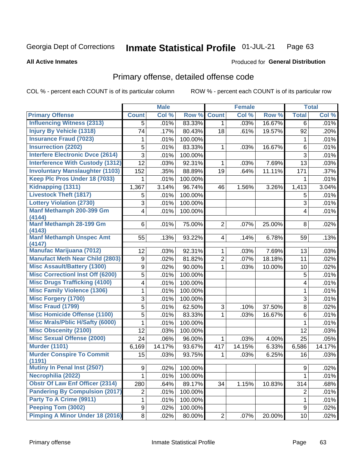#### Inmate Statistical Profile 01-JUL-21 Page 63

### **All Active Inmates**

## **Produced for General Distribution**

# Primary offense, detailed offense code

COL % - percent each COUNT is of its particular column

|                                                                  |                | <b>Male</b> |         |                         | <b>Female</b> |        |                         | <b>Total</b> |
|------------------------------------------------------------------|----------------|-------------|---------|-------------------------|---------------|--------|-------------------------|--------------|
| <b>Primary Offense</b>                                           | <b>Count</b>   | Col %       | Row %   | <b>Count</b>            | Col %         | Row %  | <b>Total</b>            | Col %        |
| <b>Influencing Witness (2313)</b>                                | 5              | .01%        | 83.33%  | $\mathbf{1}$            | .03%          | 16.67% | 6                       | .01%         |
| <b>Injury By Vehicle (1318)</b>                                  | 74             | .17%        | 80.43%  | 18                      | .61%          | 19.57% | 92                      | .20%         |
| <b>Insurance Fraud (7023)</b>                                    | 1              | .01%        | 100.00% |                         |               |        | 1                       | .01%         |
| <b>Insurrection (2202)</b>                                       | 5              | .01%        | 83.33%  | 1                       | .03%          | 16.67% | 6                       | .01%         |
| <b>Interfere Electronic Dvce (2614)</b>                          | 3              | .01%        | 100.00% |                         |               |        | 3                       | .01%         |
| <b>Interference With Custody (1312)</b>                          | 12             | .03%        | 92.31%  | 1                       | .03%          | 7.69%  | 13                      | .03%         |
| <b>Involuntary Manslaughter (1103)</b>                           | 152            | .35%        | 88.89%  | 19                      | .64%          | 11.11% | 171                     | .37%         |
| Keep Plc Pros Under 18 (7033)                                    | 1              | .01%        | 100.00% |                         |               |        | 1                       | .01%         |
| Kidnapping (1311)                                                | 1,367          | 3.14%       | 96.74%  | 46                      | 1.56%         | 3.26%  | 1,413                   | 3.04%        |
| <b>Livestock Theft (1817)</b>                                    | 5              | .01%        | 100.00% |                         |               |        | 5                       | .01%         |
| <b>Lottery Violation (2730)</b>                                  | 3              | .01%        | 100.00% |                         |               |        | 3                       | .01%         |
| Manf Methamph 200-399 Gm<br>(4144)                               | $\overline{4}$ | .01%        | 100.00% |                         |               |        | $\overline{\mathbf{4}}$ | .01%         |
| Manf Methamph 28-199 Gm<br>(4143)                                | 6              | .01%        | 75.00%  | $\overline{2}$          | .07%          | 25.00% | 8                       | .02%         |
| <b>Manf Methamph Unspec Amt</b><br>(4147)                        | 55             | .13%        | 93.22%  | $\overline{\mathbf{4}}$ | .14%          | 6.78%  | 59                      | .13%         |
| <b>Manufac Marijuana (7012)</b>                                  | 12             | .03%        | 92.31%  | 1                       | .03%          | 7.69%  | 13                      | .03%         |
| <b>Manufact Meth Near Child (2803)</b>                           | 9              | .02%        | 81.82%  | $\overline{2}$          | .07%          | 18.18% | 11                      | .02%         |
| <b>Misc Assault/Battery (1300)</b>                               | 9              | .02%        | 90.00%  | 1                       | .03%          | 10.00% | 10                      | .02%         |
| <b>Misc Correctionl Inst Off (6200)</b>                          | 5              | .01%        | 100.00% |                         |               |        | 5                       | .01%         |
| <b>Misc Drugs Trafficking (4100)</b>                             | 4              | .01%        | 100.00% |                         |               |        | 4                       | .01%         |
| <b>Misc Family Violence (1306)</b>                               | 1              | .01%        | 100.00% |                         |               |        | 1                       | .01%         |
| <b>Misc Forgery (1700)</b>                                       | 3              | .01%        | 100.00% |                         |               |        | $\sqrt{3}$              | .01%         |
| <b>Misc Fraud (1799)</b>                                         | $\overline{5}$ | .01%        | 62.50%  | 3                       | .10%          | 37.50% | 8                       | .02%         |
| <b>Misc Homicide Offense (1100)</b>                              | 5              | .01%        | 83.33%  | 1                       | .03%          | 16.67% | 6                       | .01%         |
| <b>Misc Mrals/Pblic H/Safty (6000)</b>                           | 1              | .01%        | 100.00% |                         |               |        | 1                       | .01%         |
| <b>Misc Obscenity (2100)</b>                                     | 12             | .03%        | 100.00% |                         |               |        | 12                      | .03%         |
| <b>Misc Sexual Offense (2000)</b>                                | 24             | .06%        | 96.00%  | 1                       | .03%          | 4.00%  | 25                      | .05%         |
| <b>Murder (1101)</b>                                             | 6,169          | 14.17%      | 93.67%  | 417                     | 14.15%        | 6.33%  | 6,586                   | 14.17%       |
| <b>Murder Conspire To Commit</b>                                 | 15             | .03%        | 93.75%  | 1                       | .03%          | 6.25%  | 16                      | .03%         |
| (1191)<br>Mutiny In Penal Inst (2507)                            |                |             | 100.00% |                         |               |        |                         |              |
| Necrophilia (2022)                                               | 9 <br>1        | .02%        |         |                         |               |        | 9<br>1                  | .02%         |
| <b>Obstr Of Law Enf Officer (2314)</b>                           |                | .01%        | 100.00% |                         |               |        |                         | .01%         |
|                                                                  | 280            | .64%        | 89.17%  | 34                      | 1.15%         | 10.83% | 314                     | .68%         |
| <b>Pandering By Compulsion (2017)</b><br>Party To A Crime (9911) | $\overline{2}$ | .01%        | 100.00% |                         |               |        | $\overline{2}$          | .01%         |
| Peeping Tom (3002)                                               | 1              | .01%        | 100.00% |                         |               |        | 1                       | .01%         |
|                                                                  | 9              | .02%        | 100.00% |                         |               |        | 9                       | .02%         |
| <b>Pimping A Minor Under 18 (2016)</b>                           | 8              | .02%        | 80.00%  | $\overline{2}$          | .07%          | 20.00% | 10                      | .02%         |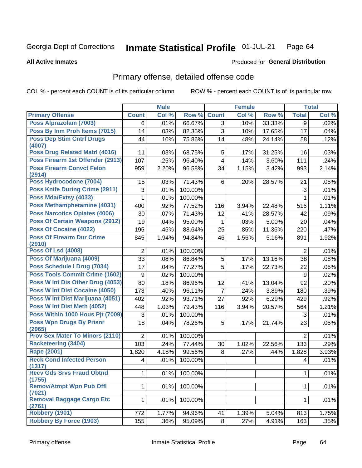#### Inmate Statistical Profile 01-JUL-21 Page 64

### **All Active Inmates**

## **Produced for General Distribution**

# Primary offense, detailed offense code

COL % - percent each COUNT is of its particular column

|                                            |                  | <b>Male</b> |         |                | <b>Female</b> |        |                | <b>Total</b> |
|--------------------------------------------|------------------|-------------|---------|----------------|---------------|--------|----------------|--------------|
| <b>Primary Offense</b>                     | <b>Count</b>     | Col %       | Row %   | <b>Count</b>   | Col %         | Row %  | <b>Total</b>   | Col %        |
| Poss Alprazolam (7003)                     | 6                | .01%        | 66.67%  | 3 <sup>1</sup> | .10%          | 33.33% | 9              | .02%         |
| Poss By Inm Proh Items (7015)              | 14               | .03%        | 82.35%  | $\overline{3}$ | .10%          | 17.65% | 17             | .04%         |
| <b>Poss Dep Stim Cntrf Drugs</b><br>(4007) | 44               | .10%        | 75.86%  | 14             | .48%          | 24.14% | 58             | .12%         |
| Poss Drug Related Matrl (4016)             | 11               | .03%        | 68.75%  | 5              | .17%          | 31.25% | 16             | .03%         |
| Poss Firearm 1st Offender (2913)           | 107              | .25%        | 96.40%  | 4              | .14%          | 3.60%  | 111            | .24%         |
| <b>Poss Firearm Convct Felon</b><br>(2914) | 959              | 2.20%       | 96.58%  | 34             | 1.15%         | 3.42%  | 993            | 2.14%        |
| Poss Hydrocodone (7004)                    | 15               | .03%        | 71.43%  | 6              | .20%          | 28.57% | 21             | .05%         |
| <b>Poss Knife During Crime (2911)</b>      | 3                | .01%        | 100.00% |                |               |        | 3              | .01%         |
| Poss Mda/Extsy (4033)                      | 1                | .01%        | 100.00% |                |               |        | $\mathbf{1}$   | .01%         |
| Poss Methamphetamine (4031)                | 400              | .92%        | 77.52%  | 116            | 3.94%         | 22.48% | 516            | 1.11%        |
| <b>Poss Narcotics Opiates (4006)</b>       | 30               | .07%        | 71.43%  | 12             | .41%          | 28.57% | 42             | .09%         |
| <b>Poss Of Certain Weapons (2912)</b>      | 19               | .04%        | 95.00%  | $\mathbf{1}$   | .03%          | 5.00%  | 20             | .04%         |
| Poss Of Cocaine (4022)                     | 195              | .45%        | 88.64%  | 25             | .85%          | 11.36% | 220            | .47%         |
| <b>Poss Of Firearm Dur Crime</b>           | 845              | 1.94%       | 94.84%  | 46             | 1.56%         | 5.16%  | 891            | 1.92%        |
| (2910)                                     |                  |             |         |                |               |        |                |              |
| <b>Poss Of Lsd (4008)</b>                  | $\overline{2}$   | .01%        | 100.00% |                |               |        | $\overline{2}$ | .01%         |
| Poss Of Marijuana (4009)                   | 33               | .08%        | 86.84%  | 5              | .17%          | 13.16% | 38             | .08%         |
| Poss Schedule I Drug (7034)                | 17               | .04%        | 77.27%  | $\overline{5}$ | .17%          | 22.73% | 22             | .05%         |
| <b>Poss Tools Commit Crime (1602)</b>      | $\boldsymbol{9}$ | .02%        | 100.00% |                |               |        | 9              | .02%         |
| Poss W Int Dis Other Drug (4053)           | 80               | .18%        | 86.96%  | 12             | .41%          | 13.04% | 92             | .20%         |
| Poss W Int Dist Cocaine (4050)             | 173              | .40%        | 96.11%  | $\overline{7}$ | .24%          | 3.89%  | 180            | .39%         |
| Poss W Int Dist Marijuana (4051)           | 402              | .92%        | 93.71%  | 27             | .92%          | 6.29%  | 429            | .92%         |
| Poss W Int Dist Meth (4052)                | 448              | 1.03%       | 79.43%  | 116            | 3.94%         | 20.57% | 564            | 1.21%        |
| Poss Within 1000 Hous Pjt (7009)           | 3                | .01%        | 100.00% |                |               |        | 3              | .01%         |
| <b>Poss Wpn Drugs By Prisnr</b><br>(2965)  | 18               | .04%        | 78.26%  | 5              | .17%          | 21.74% | 23             | .05%         |
| <b>Prov Sex Mater To Minors (2110)</b>     | $\overline{2}$   | .01%        | 100.00% |                |               |        | $\overline{2}$ | .01%         |
| <b>Racketeering (3404)</b>                 | 103              | .24%        | 77.44%  | 30             | 1.02%         | 22.56% | 133            | .29%         |
| <b>Rape (2001)</b>                         | 1,820            | 4.18%       | 99.56%  | 8              | .27%          | .44%   | 1,828          | 3.93%        |
| <b>Reck Cond Infected Person</b><br>(1317) | 4                | .01%        | 100.00% |                |               |        | 4              | .01%         |
| <b>Recv Gds Srvs Fraud Obtnd</b><br>(1755) | $\mathbf{1}$     | .01%        | 100.00% |                |               |        | $\mathbf{1}$   | .01%         |
| <b>Remov/Atmpt Wpn Pub Offl</b><br>(7021)  | 1                | .01%        | 100.00% |                |               |        | 1              | .01%         |
| Removal Baggage Cargo Etc<br>(2761)        | $\mathbf 1$      | .01%        | 100.00% |                |               |        | $\mathbf{1}$   | .01%         |
| Robbery (1901)                             | 772              | 1.77%       | 94.96%  | 41             | 1.39%         | 5.04%  | 813            | 1.75%        |
| <b>Robbery By Force (1903)</b>             | 155              | .36%        | 95.09%  | 8 <sup>1</sup> | .27%          | 4.91%  | 163            | .35%         |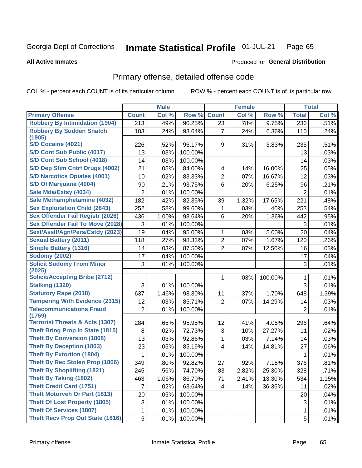#### Inmate Statistical Profile 01-JUL-21 Page 65

**All Active Inmates** 

## **Produced for General Distribution**

# Primary offense, detailed offense code

COL % - percent each COUNT is of its particular column

|                                            |                  | <b>Male</b> |         |                 | <b>Female</b> |         |                | <b>Total</b> |
|--------------------------------------------|------------------|-------------|---------|-----------------|---------------|---------|----------------|--------------|
| <b>Primary Offense</b>                     | <b>Count</b>     | Col %       | Row %   | <b>Count</b>    | Col %         | Row %   | <b>Total</b>   | Col %        |
| <b>Robbery By Intimidation (1904)</b>      | $\overline{213}$ | .49%        | 90.25%  | $\overline{23}$ | .78%          | 9.75%   | 236            | .51%         |
| <b>Robbery By Sudden Snatch</b><br>(1905)  | 103              | .24%        | 93.64%  | $\overline{7}$  | .24%          | 6.36%   | 110            | .24%         |
| <b>S/D Cocaine (4021)</b>                  | 226              | .52%        | 96.17%  | 9               | .31%          | 3.83%   | 235            | .51%         |
| <b>S/D Cont Sub Public (4017)</b>          | 13               | .03%        | 100.00% |                 |               |         | 13             | .03%         |
| S/D Cont Sub School (4018)                 | 14               | .03%        | 100.00% |                 |               |         | 14             | .03%         |
| S/D Dep Stim Cntrf Drugs (4002)            | 21               | .05%        | 84.00%  | 4               | .14%          | 16.00%  | 25             | .05%         |
| <b>S/D Narcotics Opiates (4001)</b>        | 10               | .02%        | 83.33%  | $\overline{2}$  | .07%          | 16.67%  | 12             | .03%         |
| S/D Of Marijuana (4004)                    | 90               | .21%        | 93.75%  | 6               | .20%          | 6.25%   | 96             | .21%         |
| Sale Mda/Extsy (4034)                      | $\overline{2}$   | .01%        | 100.00% |                 |               |         | $\overline{2}$ | .01%         |
| Sale Methamphetamine (4032)                | 182              | .42%        | 82.35%  | 39              | 1.32%         | 17.65%  | 221            | .48%         |
| <b>Sex Exploitation Child (2843)</b>       | 252              | .58%        | 99.60%  | 1               | .03%          | .40%    | 253            | .54%         |
| <b>Sex Offender Fail Registr (2026)</b>    | 436              | 1.00%       | 98.64%  | 6               | .20%          | 1.36%   | 442            | .95%         |
| <b>Sex Offender Fail To Move (2028)</b>    | 3                | .01%        | 100.00% |                 |               |         | 3              | .01%         |
| Sexl/Asslt/Agn/Pers/Cstdy (2023)           | 19               | .04%        | 95.00%  | 1               | .03%          | 5.00%   | 20             | .04%         |
| <b>Sexual Battery (2011)</b>               | 118              | .27%        | 98.33%  | $\overline{2}$  | .07%          | 1.67%   | 120            | .26%         |
| <b>Simple Battery (1316)</b>               | 14               | .03%        | 87.50%  | $\overline{2}$  | .07%          | 12.50%  | 16             | .03%         |
| <b>Sodomy (2002)</b>                       | 17               | .04%        | 100.00% |                 |               |         | 17             | .04%         |
| <b>Solicit Sodomy From Minor</b><br>(2025) | 3                | .01%        | 100.00% |                 |               |         | 3              | .01%         |
| <b>Solicit/Accepting Bribe (2712)</b>      |                  |             |         | 1               | .03%          | 100.00% | 1              | .01%         |
| <b>Stalking (1320)</b>                     | 3                | .01%        | 100.00% |                 |               |         | 3              | .01%         |
| <b>Statutory Rape (2018)</b>               | 637              | 1.46%       | 98.30%  | 11              | .37%          | 1.70%   | 648            | 1.39%        |
| <b>Tampering With Evidence (2315)</b>      | 12               | .03%        | 85.71%  | $\overline{2}$  | .07%          | 14.29%  | 14             | .03%         |
| <b>Telecommunications Fraud</b><br>(1759)  | $\overline{2}$   | .01%        | 100.00% |                 |               |         | $\overline{2}$ | .01%         |
| <b>Terrorist Threats &amp; Acts (1307)</b> | 284              | .65%        | 95.95%  | 12              | .41%          | 4.05%   | 296            | .64%         |
| <b>Theft Bring Prop In State (1815)</b>    | 8                | .02%        | 72.73%  | 3               | .10%          | 27.27%  | 11             | .02%         |
| <b>Theft By Conversion (1808)</b>          | 13               | .03%        | 92.86%  | 1               | .03%          | 7.14%   | 14             | .03%         |
| <b>Theft By Deception (1803)</b>           | 23               | .05%        | 85.19%  | 4               | .14%          | 14.81%  | 27             | .06%         |
| <b>Theft By Extortion (1804)</b>           | 1                | .01%        | 100.00% |                 |               |         | 1              | .01%         |
| <b>Theft By Rec Stolen Prop (1806)</b>     | 349              | .80%        | 92.82%  | 27              | .92%          | 7.18%   | 376            | .81%         |
| <b>Theft By Shoplifting (1821)</b>         | 245              | .56%        | 74.70%  | 83              | 2.82%         | 25.30%  | 328            | .71%         |
| <b>Theft By Taking (1802)</b>              | 463              | 1.06%       | 86.70%  | 71              | 2.41%         | 13.30%  | 534            | 1.15%        |
| <b>Theft Credit Card (1751)</b>            | $\overline{7}$   | .02%        | 63.64%  | 4               | .14%          | 36.36%  | 11             | .02%         |
| <b>Theft Motorveh Or Part (1813)</b>       | 20               | .05%        | 100.00% |                 |               |         | 20             | .04%         |
| <b>Theft Of Lost Property (1805)</b>       | 3                | .01%        | 100.00% |                 |               |         | $\mathbf{3}$   | .01%         |
| <b>Theft Of Services (1807)</b>            | 1                | .01%        | 100.00% |                 |               |         | $\mathbf 1$    | .01%         |
| <b>Theft Recv Prop Out State (1816)</b>    | 5                | .01%        | 100.00% |                 |               |         | 5              | .01%         |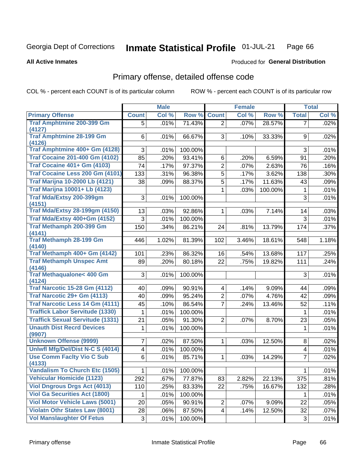#### Inmate Statistical Profile 01-JUL-21 Page 66

### **All Active Inmates**

## **Produced for General Distribution**

# Primary offense, detailed offense code

COL % - percent each COUNT is of its particular column

|                                            |                | <b>Male</b> |         |                         | <b>Female</b> |         |                | <b>Total</b> |
|--------------------------------------------|----------------|-------------|---------|-------------------------|---------------|---------|----------------|--------------|
| <b>Primary Offense</b>                     | <b>Count</b>   | Col %       | Row %   | <b>Count</b>            | Col %         | Row %   | <b>Total</b>   | Col %        |
| <b>Traf Amphtmine 200-399 Gm</b>           | 5              | .01%        | 71.43%  | $\overline{2}$          | .07%          | 28.57%  | 7              | .02%         |
| (4127)                                     |                |             |         |                         |               |         |                |              |
| <b>Traf Amphtmine 28-199 Gm</b><br>(4126)  | 6              | .01%        | 66.67%  | 3                       | .10%          | 33.33%  | 9              | .02%         |
| Traf Amphtmine 400+ Gm (4128)              | 3              | .01%        | 100.00% |                         |               |         | 3              | .01%         |
| <b>Traf Cocaine 201-400 Gm (4102)</b>      | 85             | .20%        | 93.41%  | 6                       | .20%          | 6.59%   | 91             | .20%         |
| <b>Traf Cocaine 401+ Gm (4103)</b>         | 74             | .17%        | 97.37%  | $\overline{2}$          | .07%          | 2.63%   | 76             | .16%         |
| Traf Cocaine Less 200 Gm (4101)            | 133            | .31%        | 96.38%  | $\overline{5}$          | .17%          | 3.62%   | 138            | .30%         |
| <b>Traf Marijna 10-2000 Lb (4121)</b>      | 38             | .09%        | 88.37%  | 5                       | .17%          | 11.63%  | 43             | .09%         |
| <b>Traf Marijna 10001+ Lb (4123)</b>       |                |             |         | 1                       | .03%          | 100.00% | $\mathbf 1$    | .01%         |
| Traf Mda/Extsy 200-399gm                   | 3              | .01%        | 100.00% |                         |               |         | 3              | .01%         |
| (4151)                                     |                |             |         |                         |               |         |                |              |
| <b>Traf Mda/Extsy 28-199gm (4150)</b>      | 13             | .03%        | 92.86%  | 1                       | .03%          | 7.14%   | 14             | .03%         |
| Traf Mda/Extsy 400+Gm (4152)               | 3              | .01%        | 100.00% |                         |               |         | 3              | .01%         |
| Traf Methamph 200-399 Gm                   | 150            | .34%        | 86.21%  | 24                      | .81%          | 13.79%  | 174            | .37%         |
| (4141)                                     |                |             |         |                         |               |         |                |              |
| <b>Traf Methamph 28-199 Gm</b><br>(4140)   | 446            | 1.02%       | 81.39%  | 102                     | 3.46%         | 18.61%  | 548            | 1.18%        |
| Traf Methamph 400+ Gm (4142)               | 101            | .23%        | 86.32%  | 16                      | .54%          | 13.68%  | 117            | .25%         |
| <b>Traf Methamph Unspec Amt</b>            | 89             | .20%        | 80.18%  | 22                      | .75%          | 19.82%  | 111            | .24%         |
| (4146)                                     |                |             |         |                         |               |         |                |              |
| <b>Traf Methaqualone&lt; 400 Gm</b>        | 3              | .01%        | 100.00% |                         |               |         | 3              | .01%         |
| (4124)                                     |                |             |         |                         |               |         |                |              |
| <b>Traf Narcotic 15-28 Gm (4112)</b>       | 40             | .09%        | 90.91%  | $\overline{\mathbf{4}}$ | .14%          | 9.09%   | 44             | .09%         |
| Traf Narcotic 29+ Gm (4113)                | 40             | .09%        | 95.24%  | $\overline{2}$          | .07%          | 4.76%   | 42             | .09%         |
| <b>Traf Narcotic Less 14 Gm (4111)</b>     | 45             | .10%        | 86.54%  | $\overline{7}$          | .24%          | 13.46%  | 52             | .11%         |
| <b>Traffick Labor Servitude (1330)</b>     | 1              | .01%        | 100.00% |                         |               |         | $\mathbf 1$    | .01%         |
| <b>Traffick Sexual Servitude (1331)</b>    | 21             | .05%        | 91.30%  | $\overline{2}$          | .07%          | 8.70%   | 23             | .05%         |
| <b>Unauth Dist Recrd Devices</b><br>(9907) | 1              | .01%        | 100.00% |                         |               |         | 1              | .01%         |
| <b>Unknown Offense (9999)</b>              | 7              | .02%        | 87.50%  | 1                       | .03%          | 12.50%  | 8              | .02%         |
| Uniwfl Mfg/Del/Dist N-C S (4014)           | $\overline{4}$ | .01%        | 100.00% |                         |               |         | 4              | .01%         |
| <b>Use Comm Facity Vio C Sub</b>           | 6              | .01%        | 85.71%  | 1                       | .03%          | 14.29%  | $\overline{7}$ | .02%         |
| (4133)                                     |                |             |         |                         |               |         |                |              |
| Vandalism To Church Etc (1505)             | $\mathbf 1$    | .01%        | 100.00% |                         |               |         | 1              | .01%         |
| <b>Vehicular Homicide (1123)</b>           | 292            | .67%        | 77.87%  | 83                      | 2.82%         | 22.13%  | 375            | .81%         |
| <b>Viol Dngrous Drgs Act (4013)</b>        | 110            | .25%        | 83.33%  | 22                      | .75%          | 16.67%  | 132            | .28%         |
| <b>Viol Ga Securities Act (1800)</b>       | 1              | .01%        | 100.00% |                         |               |         | 1              | .01%         |
| <b>Viol Motor Vehicle Laws (5001)</b>      | 20             | .05%        | 90.91%  | $\overline{2}$          | $.07\%$       | 9.09%   | 22             | .05%         |
| <b>Violatn Othr States Law (8001)</b>      | 28             | .06%        | 87.50%  | $\overline{4}$          | .14%          | 12.50%  | 32             | .07%         |
| <b>Vol Manslaughter Of Fetus</b>           | 3              | .01%        | 100.00% |                         |               |         | 3              | .01%         |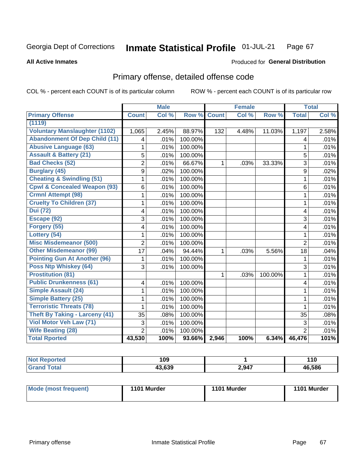#### Inmate Statistical Profile 01-JUL-21 Page 67

### **All Active Inmates**

# **Produced for General Distribution**

# Primary offense, detailed offense code

COL % - percent each COUNT is of its particular column

|                                         |                | <b>Male</b> |         |              | <b>Female</b> |         |                         | <b>Total</b> |
|-----------------------------------------|----------------|-------------|---------|--------------|---------------|---------|-------------------------|--------------|
| <b>Primary Offense</b>                  | <b>Count</b>   | Col %       | Row %   | <b>Count</b> | Col %         | Row %   | <b>Total</b>            | Col %        |
| (1119)                                  |                |             |         |              |               |         |                         |              |
| <b>Voluntary Manslaughter (1102)</b>    | 1,065          | 2.45%       | 88.97%  | 132          | 4.48%         | 11.03%  | 1,197                   | 2.58%        |
| <b>Abandonment Of Dep Child (11)</b>    | 4              | .01%        | 100.00% |              |               |         | 4                       | .01%         |
| <b>Abusive Language (63)</b>            | 1              | .01%        | 100.00% |              |               |         | 1                       | .01%         |
| <b>Assault &amp; Battery (21)</b>       | 5              | .01%        | 100.00% |              |               |         | 5                       | .01%         |
| <b>Bad Checks (52)</b>                  | $\overline{2}$ | .01%        | 66.67%  | 1            | .03%          | 33.33%  | 3                       | .01%         |
| <b>Burglary (45)</b>                    | 9              | .02%        | 100.00% |              |               |         | 9                       | .02%         |
| <b>Cheating &amp; Swindling (51)</b>    | 1              | .01%        | 100.00% |              |               |         | 1                       | .01%         |
| <b>Cpwl &amp; Concealed Weapon (93)</b> | 6              | .01%        | 100.00% |              |               |         | 6                       | .01%         |
| <b>Crmnl Attempt (98)</b>               | 1              | .01%        | 100.00% |              |               |         | 1                       | .01%         |
| <b>Cruelty To Children (37)</b>         | 1              | .01%        | 100.00% |              |               |         | 1                       | .01%         |
| <b>Dui</b> (72)                         | 4              | .01%        | 100.00% |              |               |         | 4                       | .01%         |
| Escape (92)                             | 3              | .01%        | 100.00% |              |               |         | 3                       | .01%         |
| Forgery (55)                            | 4              | .01%        | 100.00% |              |               |         | $\overline{\mathbf{4}}$ | .01%         |
| Lottery (54)                            | $\mathbf 1$    | .01%        | 100.00% |              |               |         | $\mathbf{1}$            | .01%         |
| <b>Misc Misdemeanor (500)</b>           | $\overline{2}$ | .01%        | 100.00% |              |               |         | $\overline{2}$          | .01%         |
| <b>Other Misdemeanor (99)</b>           | 17             | .04%        | 94.44%  | 1            | .03%          | 5.56%   | 18                      | .04%         |
| <b>Pointing Gun At Another (96)</b>     | 1              | .01%        | 100.00% |              |               |         | 1                       | .01%         |
| <b>Poss Ntp Whiskey (64)</b>            | 3              | .01%        | 100.00% |              |               |         | 3                       | .01%         |
| <b>Prostitution (81)</b>                |                |             |         | 1            | .03%          | 100.00% | 1                       | .01%         |
| <b>Public Drunkenness (61)</b>          | 4              | .01%        | 100.00% |              |               |         | 4                       | .01%         |
| <b>Simple Assault (24)</b>              | 1              | .01%        | 100.00% |              |               |         | 1                       | .01%         |
| <b>Simple Battery (25)</b>              | 1              | .01%        | 100.00% |              |               |         | 1                       | .01%         |
| <b>Terroristic Threats (78)</b>         | 1              | .01%        | 100.00% |              |               |         | 1                       | .01%         |
| <b>Theft By Taking - Larceny (41)</b>   | 35             | .08%        | 100.00% |              |               |         | 35                      | .08%         |
| <b>Viol Motor Veh Law (71)</b>          | 3              | .01%        | 100.00% |              |               |         | 3                       | .01%         |
| <b>Wife Beating (28)</b>                | $\overline{2}$ | .01%        | 100.00% |              |               |         | $\overline{2}$          | .01%         |
| <b>Total Rported</b>                    | 43,530         | 100%        | 93.66%  | 2,946        | 100%          | 6.34%   | 46,476                  | 101%         |

|                  | 109            |       | 44<br><u>, , a</u> |
|------------------|----------------|-------|--------------------|
| $F_{\mathbf{a}}$ | ההה הו<br>.035 | 2,947 | 46.586             |

| Mode (most frequent) | 1101 Murder | 1101 Murder | 1101 Murder |
|----------------------|-------------|-------------|-------------|
|                      |             |             |             |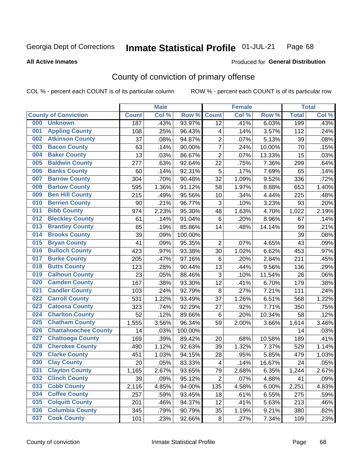#### Inmate Statistical Profile 01-JUL-21 Page 68

### **All Active Inmates**

# Produced for General Distribution

# County of conviction of primary offense

COL % - percent each COUNT is of its particular column

|     |                             |              | <b>Male</b> |                  |                         | <b>Female</b> |        |              | <b>Total</b> |
|-----|-----------------------------|--------------|-------------|------------------|-------------------------|---------------|--------|--------------|--------------|
|     | <b>County of Conviction</b> | <b>Count</b> | Col %       | Row <sub>%</sub> | <b>Count</b>            | Col %         | Row %  | <b>Total</b> | Col %        |
| 000 | <b>Unknown</b>              | 187          | .43%        | 93.97%           | 12                      | .41%          | 6.03%  | 199          | .43%         |
| 001 | <b>Appling County</b>       | 108          | .25%        | 96.43%           | 4                       | .14%          | 3.57%  | 112          | .24%         |
| 002 | <b>Atkinson County</b>      | 37           | .08%        | 94.87%           | 2                       | .07%          | 5.13%  | 39           | .08%         |
| 003 | <b>Bacon County</b>         | 63           | .14%        | 90.00%           | $\overline{7}$          | .24%          | 10.00% | 70           | .15%         |
| 004 | <b>Baker County</b>         | 13           | .03%        | 86.67%           | $\overline{2}$          | .07%          | 13.33% | 15           | .03%         |
| 005 | <b>Baldwin County</b>       | 277          | .63%        | 92.64%           | 22                      | .75%          | 7.36%  | 299          | .64%         |
| 006 | <b>Banks County</b>         | 60           | .14%        | 92.31%           | 5                       | .17%          | 7.69%  | 65           | .14%         |
| 007 | <b>Barrow County</b>        | 304          | .70%        | 90.48%           | 32                      | 1.09%         | 9.52%  | 336          | .72%         |
| 008 | <b>Bartow County</b>        | 595          | 1.36%       | 91.12%           | 58                      | 1.97%         | 8.88%  | 653          | 1.40%        |
| 009 | <b>Ben Hill County</b>      | 215          | .49%        | 95.56%           | 10                      | .34%          | 4.44%  | 225          | .48%         |
| 010 | <b>Berrien County</b>       | 90           | .21%        | 96.77%           | 3                       | .10%          | 3.23%  | 93           | .20%         |
| 011 | <b>Bibb County</b>          | 974          | 2.23%       | 95.30%           | 48                      | 1.63%         | 4.70%  | 1,022        | 2.19%        |
| 012 | <b>Bleckley County</b>      | 61           | .14%        | 91.04%           | $\,6$                   | .20%          | 8.96%  | 67           | .14%         |
| 013 | <b>Brantley County</b>      | 85           | .19%        | 85.86%           | 14                      | .48%          | 14.14% | 99           | .21%         |
| 014 | <b>Brooks County</b>        | 39           | .09%        | 100.00%          |                         |               |        | 39           | .08%         |
| 015 | <b>Bryan County</b>         | 41           | .09%        | 95.35%           | $\overline{2}$          | .07%          | 4.65%  | 43           | .09%         |
| 016 | <b>Bulloch County</b>       | 423          | .97%        | 93.38%           | 30                      | 1.02%         | 6.62%  | 453          | .97%         |
| 017 | <b>Burke County</b>         | 205          | .47%        | 97.16%           | 6                       | .20%          | 2.84%  | 211          | .45%         |
| 018 | <b>Butts County</b>         | 123          | .28%        | 90.44%           | 13                      | .44%          | 9.56%  | 136          | .29%         |
| 019 | <b>Calhoun County</b>       | 23           | .05%        | 88.46%           | $\sqrt{3}$              | .10%          | 11.54% | 26           | .06%         |
| 020 | <b>Camden County</b>        | 167          | .38%        | 93.30%           | 12                      | .41%          | 6.70%  | 179          | .38%         |
| 021 | <b>Candler County</b>       | 103          | .24%        | 92.79%           | $\,8\,$                 | .27%          | 7.21%  | 111          | .24%         |
| 022 | <b>Carroll County</b>       | 531          | 1.22%       | 93.49%           | 37                      | 1.26%         | 6.51%  | 568          | 1.22%        |
| 023 | <b>Catoosa County</b>       | 323          | .74%        | 92.29%           | 27                      | .92%          | 7.71%  | 350          | .75%         |
| 024 | <b>Charlton County</b>      | 52           | .12%        | 89.66%           | $\,6$                   | .20%          | 10.34% | 58           | .12%         |
| 025 | <b>Chatham County</b>       | 1,555        | 3.56%       | 96.34%           | 59                      | 2.00%         | 3.66%  | 1,614        | 3.46%        |
| 026 | <b>Chattahoochee County</b> | 14           | .03%        | 100.00%          |                         |               |        | 14           | .03%         |
| 027 | <b>Chattooga County</b>     | 169          | .39%        | 89.42%           | 20                      | .68%          | 10.58% | 189          | .41%         |
| 028 | <b>Cherokee County</b>      | 490          | 1.12%       | 92.63%           | 39                      | 1.32%         | 7.37%  | 529          | 1.14%        |
| 029 | <b>Clarke County</b>        | 451          | 1.03%       | 94.15%           | 28                      | .95%          | 5.85%  | 479          | 1.03%        |
| 030 | <b>Clay County</b>          | 20           | .05%        | 83.33%           | $\overline{\mathbf{4}}$ | .14%          | 16.67% | 24           | .05%         |
| 031 | <b>Clayton County</b>       | 1,165        | 2.67%       | 93.65%           | 79                      | 2.68%         | 6.35%  | 1,244        | 2.67%        |
| 032 | <b>Clinch County</b>        | 39           | .09%        | 95.12%           | $\overline{2}$          | .07%          | 4.88%  | 41           | .09%         |
| 033 | <b>Cobb County</b>          | 2,116        | 4.85%       | 94.00%           | 135                     | 4.58%         | 6.00%  | 2,251        | 4.83%        |
| 034 | <b>Coffee County</b>        | 257          | .59%        | 93.45%           | 18                      | .61%          | 6.55%  | 275          | .59%         |
| 035 | <b>Colquitt County</b>      | 201          | .46%        | 94.37%           | 12                      | .41%          | 5.63%  | 213          | .46%         |
| 036 | <b>Columbia County</b>      | 345          | .79%        | 90.79%           | 35                      | 1.19%         | 9.21%  | 380          | .82%         |
| 037 | <b>Cook County</b>          | 101          | .23%        | 92.66%           | 8                       | .27%          | 7.34%  | 109          | .23%         |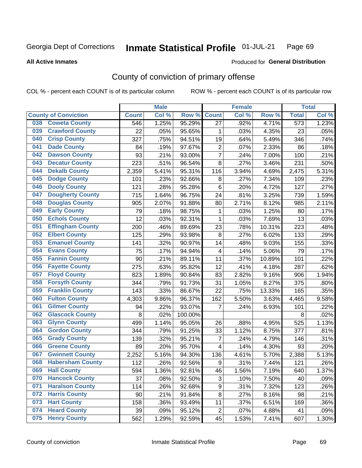#### **Inmate Statistical Profile 01-JUL-21** Page 69

### **All Active Inmates**

# **Produced for General Distribution**

## County of conviction of primary offense

COL % - percent each COUNT is of its particular column

|                               |                         |              | <b>Male</b> |         |                | <b>Female</b> |        |                  | <b>Total</b> |
|-------------------------------|-------------------------|--------------|-------------|---------|----------------|---------------|--------|------------------|--------------|
| <b>County of Conviction</b>   |                         | <b>Count</b> | Col %       | Row %   | <b>Count</b>   | Col %         | Row %  | <b>Total</b>     | Col %        |
| <b>Coweta County</b><br>038   |                         | 546          | 1.25%       | 95.29%  | 27             | .92%          | 4.71%  | $\overline{573}$ | 1.23%        |
| 039                           | <b>Crawford County</b>  | 22           | .05%        | 95.65%  | 1              | .03%          | 4.35%  | 23               | .05%         |
| <b>Crisp County</b><br>040    |                         | 327          | .75%        | 94.51%  | 19             | .64%          | 5.49%  | 346              | .74%         |
| <b>Dade County</b><br>041     |                         | 84           | .19%        | 97.67%  | $\overline{2}$ | .07%          | 2.33%  | 86               | .18%         |
| <b>Dawson County</b><br>042   |                         | 93           | .21%        | 93.00%  | $\overline{7}$ | .24%          | 7.00%  | 100              | .21%         |
| 043<br><b>Decatur County</b>  |                         | 223          | .51%        | 96.54%  | 8              | .27%          | 3.46%  | 231              | .50%         |
| <b>Dekalb County</b><br>044   |                         | 2,359        | 5.41%       | 95.31%  | 116            | 3.94%         | 4.69%  | 2,475            | 5.31%        |
| <b>Dodge County</b><br>045    |                         | 101          | .23%        | 92.66%  | 8              | .27%          | 7.34%  | 109              | .23%         |
| <b>Dooly County</b><br>046    |                         | 121          | .28%        | 95.28%  | $6\phantom{1}$ | .20%          | 4.72%  | 127              | .27%         |
| 047                           | <b>Dougherty County</b> | 715          | 1.64%       | 96.75%  | 24             | .81%          | 3.25%  | 739              | 1.59%        |
| 048                           | <b>Douglas County</b>   | 905          | 2.07%       | 91.88%  | 80             | 2.71%         | 8.12%  | 985              | 2.11%        |
| <b>Early County</b><br>049    |                         | 79           | .18%        | 98.75%  | 1              | .03%          | 1.25%  | 80               | .17%         |
| <b>Echols County</b><br>050   |                         | 12           | .03%        | 92.31%  | $\mathbf{1}$   | .03%          | 7.69%  | 13               | .03%         |
| 051                           | <b>Effingham County</b> | 200          | .46%        | 89.69%  | 23             | .78%          | 10.31% | 223              | .48%         |
| <b>Elbert County</b><br>052   |                         | 125          | .29%        | 93.98%  | 8              | .27%          | 6.02%  | 133              | .29%         |
| 053                           | <b>Emanuel County</b>   | 141          | .32%        | 90.97%  | 14             | .48%          | 9.03%  | 155              | .33%         |
| <b>Evans County</b><br>054    |                         | 75           | .17%        | 94.94%  | 4              | .14%          | 5.06%  | 79               | .17%         |
| <b>Fannin County</b><br>055   |                         | 90           | .21%        | 89.11%  | 11             | .37%          | 10.89% | 101              | .22%         |
| <b>Fayette County</b><br>056  |                         | 275          | .63%        | 95.82%  | 12             | .41%          | 4.18%  | 287              | .62%         |
| <b>Floyd County</b><br>057    |                         | 823          | 1.89%       | 90.84%  | 83             | 2.82%         | 9.16%  | 906              | 1.94%        |
| <b>Forsyth County</b><br>058  |                         | 344          | .79%        | 91.73%  | 31             | 1.05%         | 8.27%  | 375              | .80%         |
| <b>Franklin County</b><br>059 |                         | 143          | .33%        | 86.67%  | 22             | .75%          | 13.33% | 165              | .35%         |
| <b>Fulton County</b><br>060   |                         | 4,303        | 9.86%       | 96.37%  | 162            | 5.50%         | 3.63%  | 4,465            | 9.58%        |
| <b>Gilmer County</b><br>061   |                         | 94           | .22%        | 93.07%  | 7              | .24%          | 6.93%  | 101              | .22%         |
| 062                           | <b>Glascock County</b>  | 8            | .02%        | 100.00% |                |               |        | 8                | .02%         |
| 063<br><b>Glynn County</b>    |                         | 499          | 1.14%       | 95.05%  | 26             | .88%          | 4.95%  | 525              | 1.13%        |
| <b>Gordon County</b><br>064   |                         | 344          | .79%        | 91.25%  | 33             | 1.12%         | 8.75%  | 377              | .81%         |
| <b>Grady County</b><br>065    |                         | 139          | .32%        | 95.21%  | $\overline{7}$ | .24%          | 4.79%  | 146              | .31%         |
| <b>Greene County</b><br>066   |                         | 89           | .20%        | 95.70%  | 4              | .14%          | 4.30%  | 93               | .20%         |
| 067                           | <b>Gwinnett County</b>  | 2,252        | 5.16%       | 94.30%  | 136            | 4.61%         | 5.70%  | 2,388            | 5.13%        |
| 068                           | <b>Habersham County</b> | 112          | .26%        | 92.56%  | 9              | .31%          | 7.44%  | 121              | .26%         |
| 069<br><b>Hall County</b>     |                         | 594          | 1.36%       | 92.81%  | 46             | 1.56%         | 7.19%  | 640              | 1.37%        |
| 070                           | <b>Hancock County</b>   | 37           | .08%        | 92.50%  | 3              | .10%          | 7.50%  | 40               | .09%         |
| 071                           | <b>Haralson County</b>  | 114          | .26%        | 92.68%  | 9              | .31%          | 7.32%  | 123              | .26%         |
| <b>Harris County</b><br>072   |                         | 90           | .21%        | 91.84%  | 8              | .27%          | 8.16%  | 98               | .21%         |
| <b>Hart County</b><br>073     |                         | 158          | .36%        | 93.49%  | 11             | .37%          | 6.51%  | 169              | .36%         |
| <b>Heard County</b><br>074    |                         | 39           | .09%        | 95.12%  | $\overline{2}$ | .07%          | 4.88%  | 41               | .09%         |
| <b>Henry County</b><br>075    |                         | 562          | 1.29%       | 92.59%  | 45             | 1.53%         | 7.41%  | 607              | 1.30%        |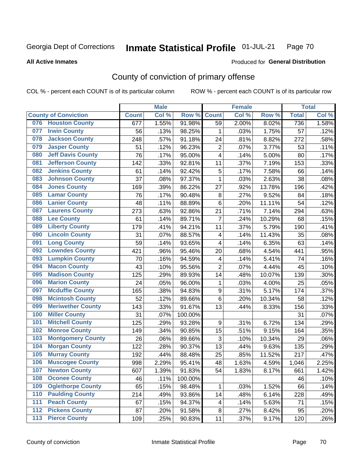#### Inmate Statistical Profile 01-JUL-21 Page 70

### **All Active Inmates**

# Produced for General Distribution

# County of conviction of primary offense

COL % - percent each COUNT is of its particular column

|                                 |              | <b>Male</b> |         |                         | <b>Female</b> |        |              | <b>Total</b> |
|---------------------------------|--------------|-------------|---------|-------------------------|---------------|--------|--------------|--------------|
| <b>County of Conviction</b>     | <b>Count</b> | Col %       | Row %   | <b>Count</b>            | Col %         | Row %  | <b>Total</b> | Col %        |
| <b>Houston County</b><br>076    | 677          | 1.55%       | 91.98%  | 59                      | 2.00%         | 8.02%  | 736          | 1.58%        |
| <b>Irwin County</b><br>077      | 56           | .13%        | 98.25%  | 1                       | .03%          | 1.75%  | 57           | .12%         |
| <b>Jackson County</b><br>078    | 248          | .57%        | 91.18%  | 24                      | .81%          | 8.82%  | 272          | .58%         |
| <b>Jasper County</b><br>079     | 51           | .12%        | 96.23%  | $\overline{2}$          | .07%          | 3.77%  | 53           | .11%         |
| <b>Jeff Davis County</b><br>080 | 76           | .17%        | 95.00%  | 4                       | .14%          | 5.00%  | 80           | .17%         |
| 081<br><b>Jefferson County</b>  | 142          | .33%        | 92.81%  | 11                      | .37%          | 7.19%  | 153          | .33%         |
| <b>Jenkins County</b><br>082    | 61           | .14%        | 92.42%  | 5                       | .17%          | 7.58%  | 66           | .14%         |
| <b>Johnson County</b><br>083    | 37           | .08%        | 97.37%  | 1                       | .03%          | 2.63%  | 38           | .08%         |
| <b>Jones County</b><br>084      | 169          | .39%        | 86.22%  | 27                      | .92%          | 13.78% | 196          | .42%         |
| <b>Lamar County</b><br>085      | 76           | .17%        | 90.48%  | 8                       | .27%          | 9.52%  | 84           | .18%         |
| <b>Lanier County</b><br>086     | 48           | .11%        | 88.89%  | $\,6$                   | .20%          | 11.11% | 54           | .12%         |
| <b>Laurens County</b><br>087    | 273          | .63%        | 92.86%  | 21                      | .71%          | 7.14%  | 294          | .63%         |
| <b>Lee County</b><br>088        | 61           | .14%        | 89.71%  | $\overline{7}$          | .24%          | 10.29% | 68           | .15%         |
| <b>Liberty County</b><br>089    | 179          | .41%        | 94.21%  | 11                      | .37%          | 5.79%  | 190          | .41%         |
| <b>Lincoln County</b><br>090    | 31           | .07%        | 88.57%  | $\overline{\mathbf{4}}$ | .14%          | 11.43% | 35           | .08%         |
| <b>Long County</b><br>091       | 59           | .14%        | 93.65%  | 4                       | .14%          | 6.35%  | 63           | .14%         |
| <b>Lowndes County</b><br>092    | 421          | .96%        | 95.46%  | 20                      | .68%          | 4.54%  | 441          | .95%         |
| <b>Lumpkin County</b><br>093    | 70           | .16%        | 94.59%  | 4                       | .14%          | 5.41%  | 74           | .16%         |
| <b>Macon County</b><br>094      | 43           | .10%        | 95.56%  | $\overline{2}$          | .07%          | 4.44%  | 45           | .10%         |
| <b>Madison County</b><br>095    | 125          | .29%        | 89.93%  | 14                      | .48%          | 10.07% | 139          | .30%         |
| <b>Marion County</b><br>096     | 24           | .05%        | 96.00%  | 1                       | .03%          | 4.00%  | 25           | .05%         |
| <b>Mcduffie County</b><br>097   | 165          | .38%        | 94.83%  | $\boldsymbol{9}$        | .31%          | 5.17%  | 174          | .37%         |
| <b>Mcintosh County</b><br>098   | 52           | .12%        | 89.66%  | $6\phantom{1}$          | .20%          | 10.34% | 58           | .12%         |
| <b>Meriwether County</b><br>099 | 143          | .33%        | 91.67%  | 13                      | .44%          | 8.33%  | 156          | .33%         |
| <b>Miller County</b><br>100     | 31           | .07%        | 100.00% |                         |               |        | 31           | .07%         |
| <b>Mitchell County</b><br>101   | 125          | .29%        | 93.28%  | 9                       | .31%          | 6.72%  | 134          | .29%         |
| <b>Monroe County</b><br>102     | 149          | .34%        | 90.85%  | 15                      | .51%          | 9.15%  | 164          | .35%         |
| <b>Montgomery County</b><br>103 | 26           | .06%        | 89.66%  | 3                       | .10%          | 10.34% | 29           | .06%         |
| <b>Morgan County</b><br>104     | 122          | .28%        | 90.37%  | 13                      | .44%          | 9.63%  | 135          | .29%         |
| <b>Murray County</b><br>105     | 192          | .44%        | 88.48%  | 25                      | .85%          | 11.52% | 217          | .47%         |
| <b>Muscogee County</b><br>106   | 998          | 2.29%       | 95.41%  | 48                      | 1.63%         | 4.59%  | 1,046        | 2.25%        |
| 107<br><b>Newton County</b>     | 607          | 1.39%       | 91.83%  | 54                      | 1.83%         | 8.17%  | 661          | 1.42%        |
| <b>Oconee County</b><br>108     | 46           | .11%        | 100.00% |                         |               |        | 46           | .10%         |
| 109<br><b>Oglethorpe County</b> | 65           | .15%        | 98.48%  | 1                       | .03%          | 1.52%  | 66           | .14%         |
| <b>Paulding County</b><br>110   | 214          | .49%        | 93.86%  | 14                      | .48%          | 6.14%  | 228          | .49%         |
| <b>Peach County</b><br>111      | 67           | .15%        | 94.37%  | 4                       | .14%          | 5.63%  | 71           | .15%         |
| <b>Pickens County</b><br>112    | 87           | .20%        | 91.58%  | 8                       | .27%          | 8.42%  | 95           | .20%         |
| <b>Pierce County</b><br>113     | 109          | .25%        | 90.83%  | 11                      | .37%          | 9.17%  | 120          | .26%         |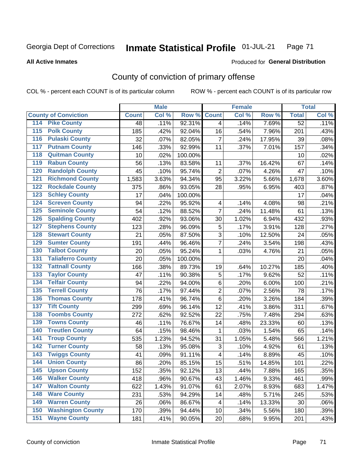#### Inmate Statistical Profile 01-JUL-21 Page 71

### **All Active Inmates**

## **Produced for General Distribution**

# County of conviction of primary offense

COL % - percent each COUNT is of its particular column

|                                          |              | <b>Male</b> |         |                | <b>Female</b> |        |                 | <b>Total</b> |
|------------------------------------------|--------------|-------------|---------|----------------|---------------|--------|-----------------|--------------|
| <b>County of Conviction</b>              | <b>Count</b> | Col %       | Row %   | <b>Count</b>   | Col %         | Row %  | <b>Total</b>    | Col %        |
| 114 Pike County                          | 48           | .11%        | 92.31%  | 4              | .14%          | 7.69%  | $\overline{52}$ | .11%         |
| <b>Polk County</b><br>$\overline{115}$   | 185          | .42%        | 92.04%  | 16             | .54%          | 7.96%  | 201             | .43%         |
| <b>Pulaski County</b><br>116             | 32           | .07%        | 82.05%  | $\overline{7}$ | .24%          | 17.95% | 39              | .08%         |
| 117<br><b>Putnam County</b>              | 146          | .33%        | 92.99%  | 11             | .37%          | 7.01%  | 157             | .34%         |
| <b>Quitman County</b><br>118             | 10           | .02%        | 100.00% |                |               |        | 10              | .02%         |
| <b>Rabun County</b><br>119               | 56           | .13%        | 83.58%  | 11             | .37%          | 16.42% | 67              | .14%         |
| <b>Randolph County</b><br>120            | 45           | .10%        | 95.74%  | $\overline{2}$ | .07%          | 4.26%  | 47              | .10%         |
| <b>Richmond County</b><br>121            | 1,583        | 3.63%       | 94.34%  | 95             | 3.22%         | 5.66%  | 1,678           | 3.60%        |
| <b>Rockdale County</b><br>122            | 375          | .86%        | 93.05%  | 28             | .95%          | 6.95%  | 403             | .87%         |
| <b>Schley County</b><br>123              | 17           | .04%        | 100.00% |                |               |        | 17              | .04%         |
| <b>Screven County</b><br>124             | 94           | .22%        | 95.92%  | 4              | .14%          | 4.08%  | 98              | .21%         |
| <b>Seminole County</b><br>125            | 54           | .12%        | 88.52%  | $\overline{7}$ | .24%          | 11.48% | 61              | .13%         |
| <b>Spalding County</b><br>126            | 402          | .92%        | 93.06%  | 30             | 1.02%         | 6.94%  | 432             | .93%         |
| <b>Stephens County</b><br>127            | 123          | .28%        | 96.09%  | 5              | .17%          | 3.91%  | 128             | .27%         |
| <b>Stewart County</b><br>128             | 21           | .05%        | 87.50%  | 3              | .10%          | 12.50% | 24              | .05%         |
| <b>Sumter County</b><br>129              | 191          | .44%        | 96.46%  | $\overline{7}$ | .24%          | 3.54%  | 198             | .43%         |
| <b>Talbot County</b><br>130              | 20           | .05%        | 95.24%  | $\mathbf 1$    | .03%          | 4.76%  | 21              | .05%         |
| <b>Taliaferro County</b><br>131          | 20           | .05%        | 100.00% |                |               |        | 20              | .04%         |
| <b>Tattnall County</b><br>132            | 166          | .38%        | 89.73%  | 19             | .64%          | 10.27% | 185             | .40%         |
| <b>Taylor County</b><br>133              | 47           | .11%        | 90.38%  | 5              | .17%          | 9.62%  | 52              | .11%         |
| <b>Telfair County</b><br>134             | 94           | .22%        | 94.00%  | 6              | .20%          | 6.00%  | 100             | .21%         |
| <b>Terrell County</b><br>135             | 76           | .17%        | 97.44%  | $\overline{c}$ | .07%          | 2.56%  | 78              | .17%         |
| <b>Thomas County</b><br>136              | 178          | .41%        | 96.74%  | $\,6$          | .20%          | 3.26%  | 184             | .39%         |
| <b>Tift County</b><br>137                | 299          | .69%        | 96.14%  | 12             | .41%          | 3.86%  | 311             | .67%         |
| <b>Toombs County</b><br>138              | 272          | .62%        | 92.52%  | 22             | .75%          | 7.48%  | 294             | .63%         |
| <b>Towns County</b><br>139               | 46           | .11%        | 76.67%  | 14             | .48%          | 23.33% | 60              | .13%         |
| <b>Treutlen County</b><br>140            | 64           | .15%        | 98.46%  | 1              | .03%          | 1.54%  | 65              | .14%         |
| <b>Troup County</b><br>141               | 535          | 1.23%       | 94.52%  | 31             | 1.05%         | 5.48%  | 566             | 1.21%        |
| <b>Turner County</b><br>142              | 58           | .13%        | 95.08%  | 3              | .10%          | 4.92%  | 61              | .13%         |
| <b>Twiggs County</b><br>$\overline{143}$ | 41           | .09%        | 91.11%  | 4              | .14%          | 8.89%  | 45              | .10%         |
| <b>Union County</b><br>144               | 86           | .20%        | 85.15%  | 15             | .51%          | 14.85% | 101             | .22%         |
| 145<br><b>Upson County</b>               | 152          | .35%        | 92.12%  | 13             | .44%          | 7.88%  | 165             | .35%         |
| <b>Walker County</b><br>146              | 418          | .96%        | 90.67%  | 43             | 1.46%         | 9.33%  | 461             | .99%         |
| <b>Walton County</b><br>147              | 622          | 1.43%       | 91.07%  | 61             | 2.07%         | 8.93%  | 683             | 1.47%        |
| <b>Ware County</b><br>148                | 231          | .53%        | 94.29%  | 14             | .48%          | 5.71%  | 245             | .53%         |
| <b>Warren County</b><br>149              | 26           | .06%        | 86.67%  | 4              | .14%          | 13.33% | 30              | .06%         |
| <b>Washington County</b><br>150          | 170          | .39%        | 94.44%  | 10             | .34%          | 5.56%  | 180             | .39%         |
| <b>Wayne County</b><br>151               | 181          | .41%        | 90.05%  | 20             | .68%          | 9.95%  | 201             | .43%         |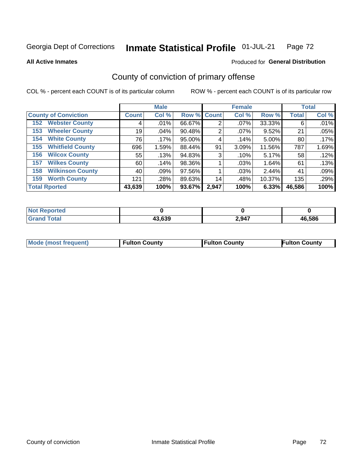#### Inmate Statistical Profile 01-JUL-21 Page 72

**All Active Inmates** 

### Produced for General Distribution

# County of conviction of primary offense

COL % - percent each COUNT is of its particular column

|                                |              | <b>Male</b> |             |       | <b>Female</b> |        |              | <b>Total</b> |
|--------------------------------|--------------|-------------|-------------|-------|---------------|--------|--------------|--------------|
| <b>County of Conviction</b>    | <b>Count</b> | Col %       | Row % Count |       | Col %         | Row %  | <b>Total</b> | Col %        |
| <b>Webster County</b><br>152   | 4            | $.01\%$     | 66.67%      | 2     | $.07\%$       | 33.33% | 6            | .01%         |
| <b>Wheeler County</b><br>153   | 19           | $.04\%$     | 90.48%      | 2     | $.07\%$       | 9.52%  | 21           | .05%         |
| <b>White County</b><br>154     | 76           | $.17\%$     | 95.00%      | 4     | .14%          | 5.00%  | 80           | $.17\%$      |
| <b>Whitfield County</b><br>155 | 696          | 1.59%       | 88.44%      | 91    | 3.09%         | 11.56% | 787          | 1.69%        |
| <b>Wilcox County</b><br>156    | 55           | .13%        | 94.83%      | 3     | .10%          | 5.17%  | 58           | .12%         |
| <b>Wilkes County</b><br>157    | 60           | .14%        | 98.36%      |       | .03%          | 1.64%  | 61           | .13%         |
| <b>Wilkinson County</b><br>158 | 40           | .09%        | 97.56%      |       | .03%          | 2.44%  | 41           | .09%         |
| <b>Worth County</b><br>159     | 121          | .28%        | 89.63%      | 14    | .48%          | 10.37% | 135          | .29%         |
| <b>Total Rported</b>           | 43,639       | 100%        | 93.67%      | 2,947 | 100%          | 6.33%  | 46,586       | 100%         |

| <b>Not Reported</b> |        |       |        |
|---------------------|--------|-------|--------|
| <b>Total</b>        | 43,639 | 2,947 | 46.586 |

| Mode (most frequent) | <b>Fulton County</b> | <b>Fulton County</b> | <b>Fulton County</b> |
|----------------------|----------------------|----------------------|----------------------|
|                      |                      |                      |                      |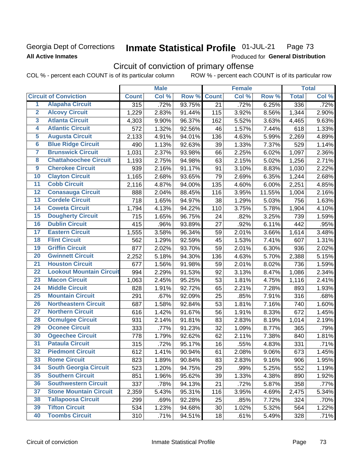## Georgia Dept of Corrections **All Active Inmates**

### Inmate Statistical Profile 01-JUL-21 Page 73

Produced for General Distribution

# Circuit of conviction of primary offense

COL % - percent each COUNT is of its particular column ROW % - percent each COUNT is of its particular row

|                         |                                 | <b>Male</b>      |       |        | <b>Female</b> |       |          | <b>Total</b> |       |
|-------------------------|---------------------------------|------------------|-------|--------|---------------|-------|----------|--------------|-------|
|                         | <b>Circuit of Conviction</b>    | <b>Count</b>     | Col % | Row %  | <b>Count</b>  | Col % | Row %    | <b>Total</b> | Col % |
| 1                       | <b>Alapaha Circuit</b>          | $\overline{315}$ | .72%  | 93.75% | 21            | .72%  | 6.25%    | 336          | .72%  |
| $\overline{2}$          | <b>Alcovy Circuit</b>           | 1,229            | 2.83% | 91.44% | 115           | 3.92% | 8.56%    | 1,344        | 2.90% |
| $\overline{\mathbf{3}}$ | <b>Atlanta Circuit</b>          | 4,303            | 9.90% | 96.37% | 162           | 5.52% | 3.63%    | 4,465        | 9.63% |
| 4                       | <b>Atlantic Circuit</b>         | 572              | 1.32% | 92.56% | 46            | 1.57% | 7.44%    | 618          | 1.33% |
| $\overline{5}$          | <b>Augusta Circuit</b>          | 2,133            | 4.91% | 94.01% | 136           | 4.63% | 5.99%    | 2,269        | 4.89% |
| $\overline{6}$          | <b>Blue Ridge Circuit</b>       | 490              | 1.13% | 92.63% | 39            | 1.33% | 7.37%    | 529          | 1.14% |
| $\overline{\mathbf{7}}$ | <b>Brunswick Circuit</b>        | 1,031            | 2.37% | 93.98% | 66            | 2.25% | 6.02%    | 1,097        | 2.36% |
| $\overline{\mathbf{8}}$ | <b>Chattahoochee Circuit</b>    | 1,193            | 2.75% | 94.98% | 63            | 2.15% | 5.02%    | 1,256        | 2.71% |
| $\overline{9}$          | <b>Cherokee Circuit</b>         | 939              | 2.16% | 91.17% | 91            | 3.10% | 8.83%    | 1,030        | 2.22% |
| 10                      | <b>Clayton Circuit</b>          | 1,165            | 2.68% | 93.65% | 79            | 2.69% | 6.35%    | 1,244        | 2.68% |
| $\overline{11}$         | <b>Cobb Circuit</b>             | 2,116            | 4.87% | 94.00% | 135           | 4.60% | 6.00%    | 2,251        | 4.85% |
| $\overline{12}$         | <b>Conasauga Circuit</b>        | 888              | 2.04% | 88.45% | 116           | 3.95% | 11.55%   | 1,004        | 2.16% |
| 13                      | <b>Cordele Circuit</b>          | 718              | 1.65% | 94.97% | 38            | 1.29% | 5.03%    | 756          | 1.63% |
| 14                      | <b>Coweta Circuit</b>           | 1,794            | 4.13% | 94.22% | 110           | 3.75% | 5.78%    | 1,904        | 4.10% |
| 15                      | <b>Dougherty Circuit</b>        | 715              | 1.65% | 96.75% | 24            | .82%  | 3.25%    | 739          | 1.59% |
| 16                      | <b>Dublin Circuit</b>           | 415              | .96%  | 93.89% | 27            | .92%  | 6.11%    | 442          | .95%  |
| 17                      | <b>Eastern Circuit</b>          | 1,555            | 3.58% | 96.34% | 59            | 2.01% | 3.66%    | 1,614        | 3.48% |
| 18                      | <b>Flint Circuit</b>            | 562              | 1.29% | 92.59% | 45            | 1.53% | 7.41%    | 607          | 1.31% |
| 19                      | <b>Griffin Circuit</b>          | 877              | 2.02% | 93.70% | 59            | 2.01% | 6.30%    | 936          | 2.02% |
| $\overline{20}$         | <b>Gwinnett Circuit</b>         | 2,252            | 5.18% | 94.30% | 136           | 4.63% | 5.70%    | 2,388        | 5.15% |
| $\overline{21}$         | <b>Houston Circuit</b>          | 677              | 1.56% | 91.98% | 59            | 2.01% | 8.02%    | 736          | 1.59% |
| $\overline{22}$         | <b>Lookout Mountain Circuit</b> | 994              | 2.29% | 91.53% | 92            | 3.13% | 8.47%    | 1,086        | 2.34% |
| 23                      | <b>Macon Circuit</b>            | 1,063            | 2.45% | 95.25% | 53            | 1.81% | 4.75%    | 1,116        | 2.41% |
| $\overline{24}$         | <b>Middle Circuit</b>           | 828              | 1.91% | 92.72% | 65            | 2.21% | 7.28%    | 893          | 1.93% |
| 25                      | <b>Mountain Circuit</b>         | 291              | .67%  | 92.09% | 25            | .85%  | 7.91%    | 316          | .68%  |
| 26                      | <b>Northeastern Circuit</b>     | 687              | 1.58% | 92.84% | 53            | 1.81% | 7.16%    | 740          | 1.60% |
| $\overline{27}$         | <b>Northern Circuit</b>         | 616              | 1.42% | 91.67% | 56            | 1.91% | 8.33%    | 672          | 1.45% |
| 28                      | <b>Ocmulgee Circuit</b>         | 931              | 2.14% | 91.81% | 83            | 2.83% | 8.19%    | 1,014        | 2.19% |
| 29                      | <b>Oconee Circuit</b>           | 333              | .77%  | 91.23% | 32            | 1.09% | 8.77%    | 365          | .79%  |
| 30                      | <b>Ogeechee Circuit</b>         | 778              | 1.79% | 92.62% | 62            | 2.11% | 7.38%    | 840          | 1.81% |
| $\overline{31}$         | <b>Pataula Circuit</b>          | 315              | .72%  | 95.17% | 16            | .55%  | 4.83%    | 331          | .71%  |
| 32                      | <b>Piedmont Circuit</b>         | 612              | 1.41% | 90.94% | 61            | 2.08% | $9.06\%$ | 673          | 1.45% |
| 33                      | <b>Rome Circuit</b>             | 823              | 1.89% | 90.84% | 83            | 2.83% | 9.16%    | 906          | 1.95% |
| 34                      | <b>South Georgia Circuit</b>    | 523              | 1.20% | 94.75% | 29            | .99%  | 5.25%    | 552          | 1.19% |
| 35                      | <b>Southern Circuit</b>         | 851              | 1.96% | 95.62% | 39            | 1.33% | 4.38%    | 890          | 1.92% |
| 36                      | <b>Southwestern Circuit</b>     | 337              | .78%  | 94.13% | 21            | .72%  | 5.87%    | 358          | .77%  |
| 37                      | <b>Stone Mountain Circuit</b>   | 2,359            | 5.43% | 95.31% | 116           | 3.95% | 4.69%    | 2,475        | 5.34% |
| 38                      | <b>Tallapoosa Circuit</b>       | 299              | .69%  | 92.28% | 25            | .85%  | 7.72%    | 324          | .70%  |
| 39                      | <b>Tifton Circuit</b>           | 534              | 1.23% | 94.68% | 30            | 1.02% | 5.32%    | 564          | 1.22% |
| 40                      | <b>Toombs Circuit</b>           | 310              | .71%  | 94.51% | 18            | .61%  | 5.49%    | 328          | .71%  |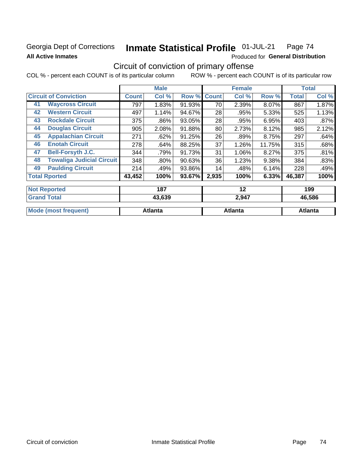### **Georgia Dept of Corrections All Active Inmates**

#### Inmate Statistical Profile 01-JUL-21 Page 74

Produced for General Distribution

# Circuit of conviction of primary offense

|                      |                                  |              | <b>Male</b> |        |              | <b>Female</b> |        |              | <b>Total</b> |  |
|----------------------|----------------------------------|--------------|-------------|--------|--------------|---------------|--------|--------------|--------------|--|
|                      | <b>Circuit of Conviction</b>     | <b>Count</b> | Col %       | Row %  | <b>Count</b> | Col %         | Row %  | <b>Total</b> | Col %        |  |
| 41                   | <b>Waycross Circuit</b>          | 797          | 1.83%       | 91.93% | 70           | 2.39%         | 8.07%  | 867          | 1.87%        |  |
| 42                   | <b>Western Circuit</b>           | 497          | 1.14%       | 94.67% | 28           | .95%          | 5.33%  | 525          | 1.13%        |  |
| 43                   | <b>Rockdale Circuit</b>          | 375          | .86%        | 93.05% | 28           | .95%          | 6.95%  | 403          | .87%         |  |
| 44                   | <b>Douglas Circuit</b>           | 905          | 2.08%       | 91.88% | 80           | 2.73%         | 8.12%  | 985          | 2.12%        |  |
| 45                   | <b>Appalachian Circuit</b>       | 271          | .62%        | 91.25% | 26           | .89%          | 8.75%  | 297          | .64%         |  |
| 46                   | <b>Enotah Circuit</b>            | 278          | .64%        | 88.25% | 37           | 1.26%         | 11.75% | 315          | .68%         |  |
| 47                   | <b>Bell-Forsyth J.C.</b>         | 344          | .79%        | 91.73% | 31           | 1.06%         | 8.27%  | 375          | .81%         |  |
| 48                   | <b>Towaliga Judicial Circuit</b> | 348          | $.80\%$     | 90.63% | 36           | 1.23%         | 9.38%  | 384          | .83%         |  |
| 49                   | <b>Paulding Circuit</b>          | 214          | .49%        | 93.86% | 14           | .48%          | 6.14%  | 228          | .49%         |  |
| <b>Total Rported</b> |                                  | 43,452       | 100%        | 93.67% | 2,935        | 100%          | 6.33%  | 46,387       | 100%         |  |
| <b>Not Reported</b>  |                                  |              | 187         |        |              | 12            |        |              | 199          |  |
| <b>Grand Total</b>   |                                  |              | 43,639      |        |              | 2,947         |        |              | 46,586       |  |

| <b>Mode (most frequent)</b> | Atlanta | Atlanta | Atlanta |
|-----------------------------|---------|---------|---------|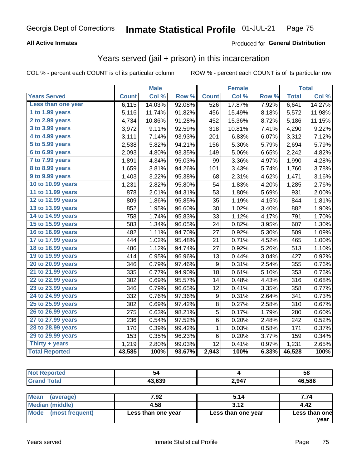#### **All Active Inmates**

#### Produced for **General Distribution**

### Years served (jail + prison) in this incarceration

|                              |              | <b>Male</b> |                  |                  | <b>Female</b> |                  |              | <b>Total</b> |
|------------------------------|--------------|-------------|------------------|------------------|---------------|------------------|--------------|--------------|
| <b>Years Served</b>          | <b>Count</b> | Col %       | Row <sup>%</sup> | <b>Count</b>     | Col %         | Row <sub>%</sub> | <b>Total</b> | Col%         |
| Less than one year           | 6,115        | 14.03%      | 92.08%           | 526              | 17.87%        | 7.92%            | 6,641        | 14.27%       |
| 1 to 1.99 years              | 5,116        | 11.74%      | 91.82%           | 456              | 15.49%        | 8.18%            | 5,572        | 11.98%       |
| 2 to 2.99 years              | 4,734        | 10.86%      | 91.28%           | 452              | 15.36%        | 8.72%            | 5,186        | 11.15%       |
| 3 to 3.99 years              | 3,972        | 9.11%       | 92.59%           | 318              | 10.81%        | 7.41%            | 4,290        | 9.22%        |
| 4 to 4.99 years              | 3,111        | 7.14%       | 93.93%           | 201              | 6.83%         | 6.07%            | 3,312        | 7.12%        |
| $\overline{5}$ to 5.99 years | 2,538        | 5.82%       | 94.21%           | 156              | 5.30%         | 5.79%            | 2,694        | 5.79%        |
| 6 to 6.99 years              | 2,093        | 4.80%       | 93.35%           | 149              | 5.06%         | 6.65%            | 2,242        | 4.82%        |
| 7 to 7.99 years              | 1,891        | 4.34%       | 95.03%           | 99               | 3.36%         | 4.97%            | 1,990        | 4.28%        |
| <b>8 to 8.99 years</b>       | 1,659        | 3.81%       | 94.26%           | 101              | 3.43%         | 5.74%            | 1,760        | 3.78%        |
| 9 to 9.99 years              | 1,403        | 3.22%       | 95.38%           | 68               | 2.31%         | 4.62%            | 1,471        | 3.16%        |
| 10 to 10.99 years            | 1,231        | 2.82%       | 95.80%           | 54               | 1.83%         | 4.20%            | 1,285        | 2.76%        |
| 11 to 11.99 years            | 878          | 2.01%       | 94.31%           | 53               | 1.80%         | 5.69%            | 931          | 2.00%        |
| 12 to 12.99 years            | 809          | 1.86%       | 95.85%           | 35               | 1.19%         | 4.15%            | 844          | 1.81%        |
| 13 to 13.99 years            | 852          | 1.95%       | 96.60%           | 30               | 1.02%         | 3.40%            | 882          | 1.90%        |
| 14 to 14.99 years            | 758          | 1.74%       | 95.83%           | 33               | 1.12%         | 4.17%            | 791          | 1.70%        |
| 15 to 15.99 years            | 583          | 1.34%       | 96.05%           | 24               | 0.82%         | 3.95%            | 607          | 1.30%        |
| 16 to 16.99 years            | 482          | 1.11%       | 94.70%           | 27               | 0.92%         | 5.30%            | 509          | 1.09%        |
| 17 to 17.99 years            | 444          | 1.02%       | 95.48%           | 21               | 0.71%         | 4.52%            | 465          | 1.00%        |
| 18 to 18.99 years            | 486          | 1.12%       | 94.74%           | 27               | 0.92%         | 5.26%            | 513          | 1.10%        |
| 19 to 19.99 years            | 414          | 0.95%       | 96.96%           | 13               | 0.44%         | 3.04%            | 427          | 0.92%        |
| 20 to 20.99 years            | 346          | 0.79%       | 97.46%           | $\boldsymbol{9}$ | 0.31%         | 2.54%            | 355          | 0.76%        |
| 21 to 21.99 years            | 335          | 0.77%       | 94.90%           | 18               | 0.61%         | 5.10%            | 353          | 0.76%        |
| 22 to 22.99 years            | 302          | 0.69%       | 95.57%           | 14               | 0.48%         | 4.43%            | 316          | 0.68%        |
| 23 to 23.99 years            | 346          | 0.79%       | 96.65%           | 12               | 0.41%         | 3.35%            | 358          | 0.77%        |
| 24 to 24.99 years            | 332          | 0.76%       | 97.36%           | $\boldsymbol{9}$ | 0.31%         | 2.64%            | 341          | 0.73%        |
| 25 to 25.99 years            | 302          | 0.69%       | 97.42%           | 8                | 0.27%         | 2.58%            | 310          | 0.67%        |
| 26 to 26.99 years            | 275          | 0.63%       | 98.21%           | $\overline{5}$   | 0.17%         | 1.79%            | 280          | 0.60%        |
| 27 to 27.99 years            | 236          | 0.54%       | 97.52%           | 6                | 0.20%         | 2.48%            | 242          | 0.52%        |
| 28 to 28.99 years            | 170          | 0.39%       | 99.42%           | $\mathbf 1$      | 0.03%         | 0.58%            | 171          | 0.37%        |
| 29 to 29.99 years            | 153          | 0.35%       | 96.23%           | $\,6$            | 0.20%         | 3.77%            | 159          | 0.34%        |
| Thirty + years               | 1,219        | 2.80%       | 99.03%           | 12               | 0.41%         | 0.97%            | 1,231        | 2.65%        |
| <b>Total Reported</b>        | 43,585       | 100%        | 93.67%           | 2,943            | 100%          | 6.33%            | 46,528       | 100%         |

| <b>Not Reported</b>      | 54     |       | 58     |
|--------------------------|--------|-------|--------|
| <b>Grand Total</b>       | 43,639 | 2,947 | 46,586 |
|                          |        |       |        |
| <b>Mean</b><br>(average) | 7.92   | 5.14  | 7.74   |

| N                       | I .J <i>l</i>      | J. I T             | .                     |
|-------------------------|--------------------|--------------------|-----------------------|
| Median (middle)         | 4.58               | 3.12               | 4.42                  |
| Mode<br>(most frequent) | Less than one year | Less than one year | Less than one<br>vear |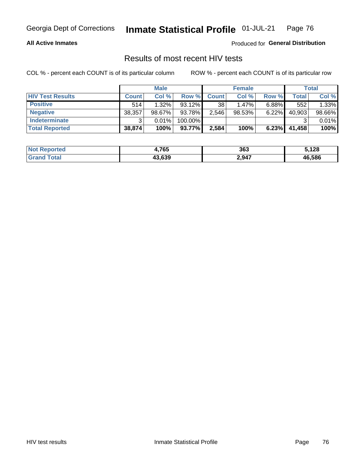#### **All Active Inmates**

Produced for **General Distribution**

### Results of most recent HIV tests

|                         | <b>Male</b>  |        | <b>Female</b> |              |          | Total    |        |        |
|-------------------------|--------------|--------|---------------|--------------|----------|----------|--------|--------|
| <b>HIV Test Results</b> | <b>Count</b> | Col %  | Row %I        | <b>Count</b> | Col %    | Row %    | Total  | Col %  |
| <b>Positive</b>         | 514          | 1.32%  | $93.12\%$     | 38           | $1.47\%$ | $6.88\%$ | 552    | 1.33%  |
| <b>Negative</b>         | 38,357       | 98.67% | 93.78%        | 2,546        | 98.53%   | 6.22%    | 40,903 | 98.66% |
| Indeterminate           | ົ            | 0.01%  | 100.00%       |              |          |          |        | 0.01%  |
| <b>Total Reported</b>   | 38,874       | 100%   | 93.77%        | 2,584        | 100%     | 6.23%    | 41,458 | 100%   |

| <b>Not Reported</b> | 4,765  | 363   | .128   |
|---------------------|--------|-------|--------|
| Гоtal               | 43,639 | 2,947 | 46,586 |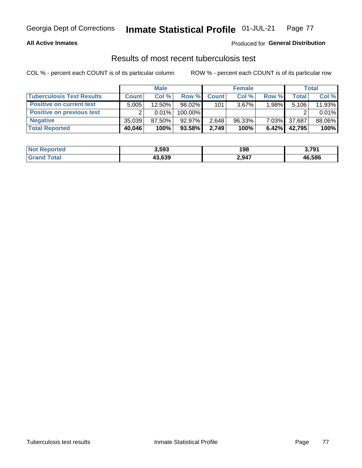#### **All Active Inmates**

#### Produced for **General Distribution**

### Results of most recent tuberculosis test

|                                  | <b>Male</b>  |           | <b>Female</b> |              |           | Total    |        |        |
|----------------------------------|--------------|-----------|---------------|--------------|-----------|----------|--------|--------|
| <b>Tuberculosis Test Results</b> | <b>Count</b> | Col%      | Row %         | <b>Count</b> | Col %     | Row %    | Total  | Col %  |
| <b>Positive on current test</b>  | 5,005        | $12.50\%$ | $98.02\%$     | 101          | $3.67\%$  | 1.98%    | 5,106  | 11.93% |
| <b>Positive on previous test</b> | ົ            | $0.01\%$  | 100.00%       |              |           |          |        | 0.01%  |
| <b>Negative</b>                  | 35.039       | $87.50\%$ | $92.97\%$     | 2,648        | $96.33\%$ | $7.03\%$ | 37,687 | 88.06% |
| <b>Total Reported</b>            | 40,046       | 100%      | 93.58%        | 2.749        | 100%      | 6.42%    | 42.795 | 100%   |

| <b>Not Reported</b> | 3,593  | 198   | 3,791  |
|---------------------|--------|-------|--------|
| <b>Total</b>        | 43,639 | 2,947 | 46,586 |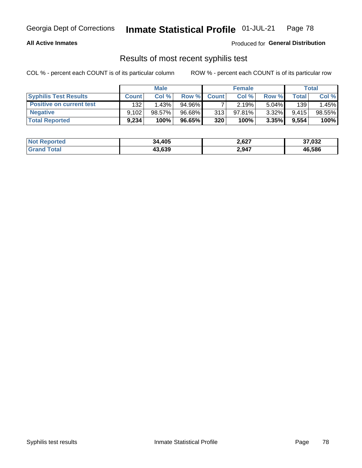#### **All Active Inmates**

Produced for **General Distribution**

### Results of most recent syphilis test

|                                 | <b>Male</b>  |        | <b>Female</b> |              |        | Total    |       |        |
|---------------------------------|--------------|--------|---------------|--------------|--------|----------|-------|--------|
| <b>Syphilis Test Results</b>    | <b>Count</b> | Col%   | Row %I        | <b>Count</b> | Col %  | Row %I   | Total | Col %  |
| <b>Positive on current test</b> | 132          | 1.43%  | 94.96%        |              | 2.19%  | $5.04\%$ | 139   | .45%   |
| <b>Negative</b>                 | 9.102        | 98.57% | 96.68%        | 313          | 97.81% | $3.32\%$ | 9.415 | 98.55% |
| <b>Total Reported</b>           | 9.234        | 100%   | 96.65%        | 320          | 100%   | 3.35%    | 9,554 | 100%   |

| <b>Not Reported</b> | 34,405 | 2,627 | 37,032 |
|---------------------|--------|-------|--------|
| <b>Grand Total</b>  | 43,639 | 2,947 | 46,586 |